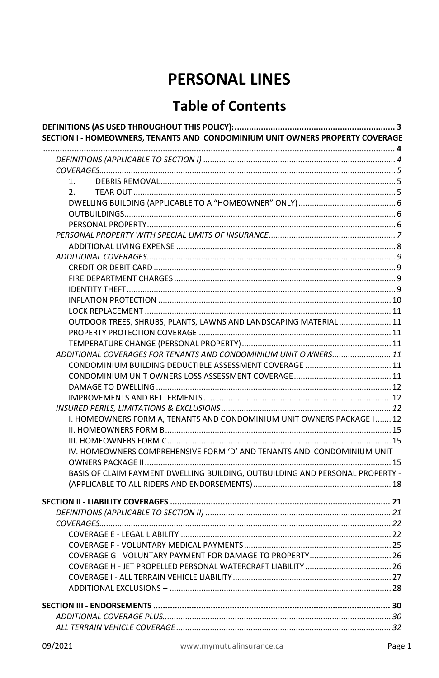# **PERSONAL LINES**

# **Table of Contents**

| SECTION I - HOMEOWNERS, TENANTS AND CONDOMINIUM UNIT OWNERS PROPERTY COVERAGE |  |
|-------------------------------------------------------------------------------|--|
|                                                                               |  |
|                                                                               |  |
|                                                                               |  |
| 1.                                                                            |  |
| 2.                                                                            |  |
|                                                                               |  |
|                                                                               |  |
|                                                                               |  |
|                                                                               |  |
|                                                                               |  |
|                                                                               |  |
|                                                                               |  |
|                                                                               |  |
|                                                                               |  |
|                                                                               |  |
|                                                                               |  |
| OUTDOOR TREES, SHRUBS, PLANTS, LAWNS AND LANDSCAPING MATERIAL  11             |  |
|                                                                               |  |
|                                                                               |  |
| ADDITIONAL COVERAGES FOR TENANTS AND CONDOMINIUM UNIT OWNERS 11               |  |
|                                                                               |  |
|                                                                               |  |
|                                                                               |  |
|                                                                               |  |
|                                                                               |  |
| I. HOMEOWNERS FORM A, TENANTS AND CONDOMINIUM UNIT OWNERS PACKAGE I  12       |  |
|                                                                               |  |
|                                                                               |  |
| IV. HOMEOWNERS COMPREHENSIVE FORM 'D' AND TENANTS AND CONDOMINIUM UNIT        |  |
|                                                                               |  |
| BASIS OF CLAIM PAYMENT DWELLING BUILDING, OUTBUILDING AND PERSONAL PROPERTY - |  |
|                                                                               |  |
|                                                                               |  |
|                                                                               |  |
|                                                                               |  |
|                                                                               |  |
|                                                                               |  |
|                                                                               |  |
|                                                                               |  |
|                                                                               |  |
|                                                                               |  |
|                                                                               |  |
|                                                                               |  |
|                                                                               |  |
|                                                                               |  |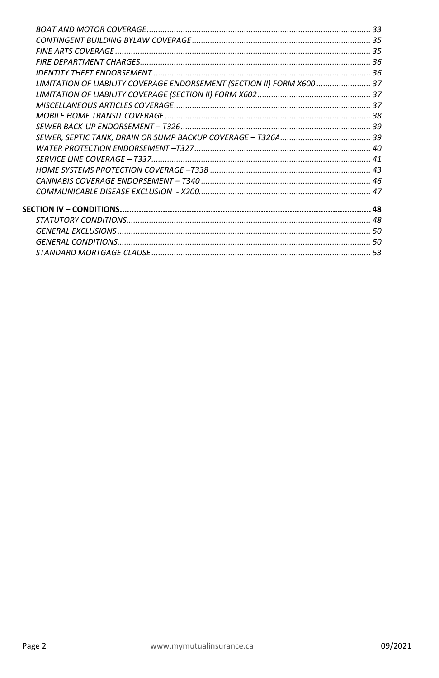| LIMITATION OF LIABILITY COVERAGE ENDORSEMENT (SECTION II) FORM X600  37 |  |
|-------------------------------------------------------------------------|--|
|                                                                         |  |
|                                                                         |  |
|                                                                         |  |
|                                                                         |  |
|                                                                         |  |
|                                                                         |  |
|                                                                         |  |
|                                                                         |  |
|                                                                         |  |
|                                                                         |  |
|                                                                         |  |
|                                                                         |  |
|                                                                         |  |
|                                                                         |  |
|                                                                         |  |
|                                                                         |  |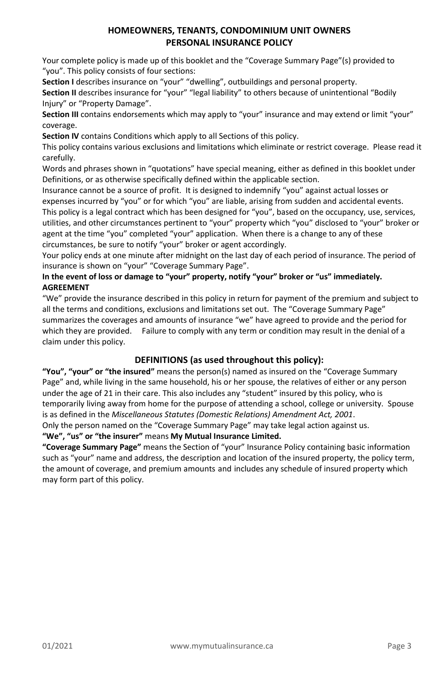# **HOMEOWNERS, TENANTS, CONDOMINIUM UNIT OWNERS PERSONAL INSURANCE POLICY**

Your complete policy is made up of this booklet and the "Coverage Summary Page"(s) provided to "you". This policy consists of four sections:

Section I describes insurance on "your" "dwelling", outbuildings and personal property.

**Section II** describes insurance for "your" "legal liability" to others because of unintentional "Bodily Injury" or "Property Damage".

**Section III** contains endorsements which may apply to "your" insurance and may extend or limit "your" coverage.

**Section IV** contains Conditions which apply to all Sections of this policy.

This policy contains various exclusions and limitations which eliminate or restrict coverage. Please read it carefully.

Words and phrases shown in "quotations" have special meaning, either as defined in this booklet under Definitions, or as otherwise specifically defined within the applicable section.

Insurance cannot be a source of profit. It is designed to indemnify "you" against actual losses or expenses incurred by "you" or for which "you" are liable, arising from sudden and accidental events. This policy is a legal contract which has been designed for "you", based on the occupancy, use, services, utilities, and other circumstances pertinent to "your" property which "you" disclosed to "your" broker or agent at the time "you" completed "your" application. When there is a change to any of these circumstances, be sure to notify "your" broker or agent accordingly.

Your policy ends at one minute after midnight on the last day of each period of insurance. The period of insurance is shown on "your" "Coverage Summary Page".

# **In the event of loss or damage to "your" property, notify "your" broker or "us" immediately. AGREEMENT**

"We" provide the insurance described in this policy in return for payment of the premium and subject to all the terms and conditions, exclusions and limitations set out. The "Coverage Summary Page" summarizes the coverages and amounts of insurance "we" have agreed to provide and the period for which they are provided. Failure to comply with any term or condition may result in the denial of a claim under this policy.

# **DEFINITIONS (as used throughout this policy):**

<span id="page-2-0"></span>**"You", "your" or "the insured"** means the person(s) named as insured on the "Coverage Summary Page" and, while living in the same household, his or her spouse, the relatives of either or any person under the age of 21 in their care. This also includes any "student" insured by this policy, who is temporarily living away from home for the purpose of attending a school, college or university. Spouse is as defined in the *Miscellaneous Statutes (Domestic Relations) Amendment Act, 2001*.

Only the person named on the "Coverage Summary Page" may take legal action against us.

**"We", "us" or "the insurer"** means **My Mutual Insurance Limited.**

**"Coverage Summary Page"** means the Section of "your" Insurance Policy containing basic information such as "your" name and address, the description and location of the insured property, the policy term, the amount of coverage, and premium amounts and includes any schedule of insured property which may form part of this policy.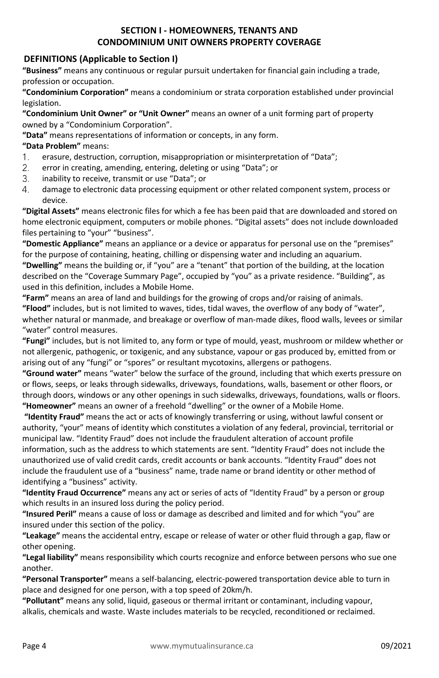# **SECTION I - HOMEOWNERS, TENANTS AND CONDOMINIUM UNIT OWNERS PROPERTY COVERAGE**

# <span id="page-3-1"></span><span id="page-3-0"></span>**DEFINITIONS (Applicable to Section I)**

**"Business"** means any continuous or regular pursuit undertaken for financial gain including a trade, profession or occupation.

**"Condominium Corporation"** means a condominium or strata corporation established under provincial legislation.

**"Condominium Unit Owner" or "Unit Owner"** means an owner of a unit forming part of property owned by a "Condominium Corporation".

**"Data"** means representations of information or concepts, in any form.

# **"Data Problem"** means:

- $\mathbf{1}$ . erasure, destruction, corruption, misappropriation or misinterpretation of "Data";
- $2.$ error in creating, amending, entering, deleting or using "Data"; or
- $\mathcal{E}$ inability to receive, transmit or use "Data"; or
- $\overline{4}$ damage to electronic data processing equipment or other related component system, process or device.

**"Digital Assets"** means electronic files for which a fee has been paid that are downloaded and stored on home electronic equipment, computers or mobile phones. "Digital assets" does not include downloaded files pertaining to "your" "business".

**"Domestic Appliance"** means an appliance or a device or apparatus for personal use on the "premises" for the purpose of containing, heating, chilling or dispensing water and including an aquarium.

**"Dwelling"** means the building or, if "you" are a "tenant" that portion of the building, at the location described on the "Coverage Summary Page", occupied by "you" as a private residence. "Building", as used in this definition, includes a Mobile Home.

**"Farm"** means an area of land and buildings for the growing of crops and/or raising of animals. **"Flood"** includes, but is not limited to waves, tides, tidal waves, the overflow of any body of "water", whether natural or manmade, and breakage or overflow of man-made dikes, flood walls, levees or similar "water" control measures.

**"Fungi"** includes, but is not limited to, any form or type of mould, yeast, mushroom or mildew whether or not allergenic, pathogenic, or toxigenic, and any substance, vapour or gas produced by, emitted from or arising out of any "fungi" or "spores" or resultant mycotoxins, allergens or pathogens.

**"Ground water"** means "water" below the surface of the ground, including that which exerts pressure on or flows, seeps, or leaks through sidewalks, driveways, foundations, walls, basement or other floors, or through doors, windows or any other openings in such sidewalks, driveways, foundations, walls or floors. **"Homeowner"** means an owner of a freehold "dwelling" or the owner of a Mobile Home.

**"Identity Fraud"** means the act or acts of knowingly transferring or using, without lawful consent or authority, "your" means of identity which constitutes a violation of any federal, provincial, territorial or municipal law. "Identity Fraud" does not include the fraudulent alteration of account profile information, such as the address to which statements are sent. "Identity Fraud" does not include the unauthorized use of valid credit cards, credit accounts or bank accounts. "Identity Fraud" does not include the fraudulent use of a "business" name, trade name or brand identity or other method of identifying a "business" activity.

**"Identity Fraud Occurrence"** means any act or series of acts of "Identity Fraud" by a person or group which results in an insured loss during the policy period.

**"Insured Peril"** means a cause of loss or damage as described and limited and for which "you" are insured under this section of the policy.

**"Leakage"** means the accidental entry, escape or release of water or other fluid through a gap, flaw or other opening.

**"Legal liability"** means responsibility which courts recognize and enforce between persons who sue one another.

**"Personal Transporter"** means a self-balancing, electric-powered transportation device able to turn in place and designed for one person, with a top speed of 20km/h.

**"Pollutant"** means any solid, liquid, gaseous or thermal irritant or contaminant, including vapour, alkalis, chemicals and waste. Waste includes materials to be recycled, reconditioned or reclaimed.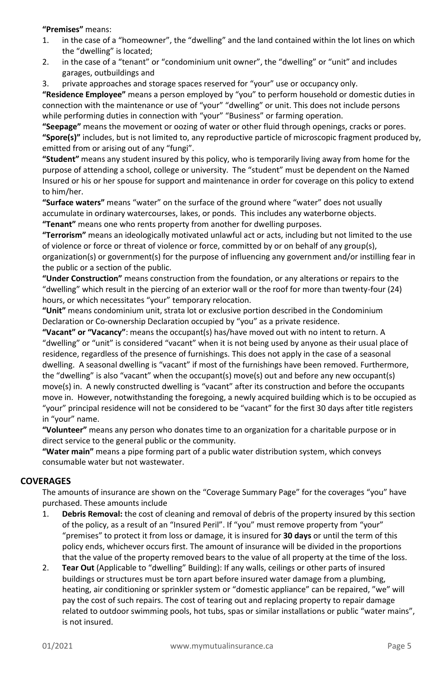**"Premises"** means:

- 1. in the case of a "homeowner", the "dwelling" and the land contained within the lot lines on which the "dwelling" is located;
- 2. in the case of a "tenant" or "condominium unit owner", the "dwelling" or "unit" and includes garages, outbuildings and
- 3. private approaches and storage spaces reserved for "your" use or occupancy only.

**"Residence Employee"** means a person employed by "you" to perform household or domestic duties in connection with the maintenance or use of "your" "dwelling" or unit. This does not include persons while performing duties in connection with "your" "Business" or farming operation.

**"Seepage"** means the movement or oozing of water or other fluid through openings, cracks or pores. **"Spore(s)"** includes, but is not limited to, any reproductive particle of microscopic fragment produced by, emitted from or arising out of any "fungi".

**"Student"** means any student insured by this policy, who is temporarily living away from home for the purpose of attending a school, college or university. The "student" must be dependent on the Named Insured or his or her spouse for support and maintenance in order for coverage on this policy to extend to him/her.

**"Surface waters"** means "water" on the surface of the ground where "water" does not usually accumulate in ordinary watercourses, lakes, or ponds. This includes any waterborne objects. **"Tenant"** means one who rents property from another for dwelling purposes.

**"Terrorism"** means an ideologically motivated unlawful act or acts, including but not limited to the use of violence or force or threat of violence or force, committed by or on behalf of any group(s), organization(s) or government(s) for the purpose of influencing any government and/or instilling fear in the public or a section of the public.

**"Under Construction"** means construction from the foundation, or any alterations or repairs to the "dwelling" which result in the piercing of an exterior wall or the roof for more than twenty-four (24) hours, or which necessitates "your" temporary relocation.

**"Unit"** means condominium unit, strata lot or exclusive portion described in the Condominium Declaration or Co-ownership Declaration occupied by "you" as a private residence.

**"Vacant" or "Vacancy"**: means the occupant(s) has/have moved out with no intent to return. A "dwelling" or "unit" is considered "vacant" when it is not being used by anyone as their usual place of residence, regardless of the presence of furnishings. This does not apply in the case of a seasonal dwelling. A seasonal dwelling is "vacant" if most of the furnishings have been removed. Furthermore, the "dwelling" is also "vacant" when the occupant(s) move(s) out and before any new occupant(s) move(s) in. A newly constructed dwelling is "vacant" after its construction and before the occupants move in. However, notwithstanding the foregoing, a newly acquired building which is to be occupied as "your" principal residence will not be considered to be "vacant" for the first 30 days after title registers in "your" name.

**"Volunteer"** means any person who donates time to an organization for a charitable purpose or in direct service to the general public or the community.

**"Water main"** means a pipe forming part of a public water distribution system, which conveys consumable water but not wastewater.

# <span id="page-4-0"></span>**COVERAGES**

The amounts of insurance are shown on the "Coverage Summary Page" for the coverages "you" have purchased. These amounts include

- <span id="page-4-1"></span>1. **Debris Removal:** the cost of cleaning and removal of debris of the property insured by this section of the policy, as a result of an "Insured Peril". If "you" must remove property from "your" "premises" to protect it from loss or damage, it is insured for **30 days** or until the term of this policy ends, whichever occurs first. The amount of insurance will be divided in the proportions that the value of the property removed bears to the value of all property at the time of the loss.
- <span id="page-4-3"></span><span id="page-4-2"></span>2. **Tear Out** (Applicable to "dwelling" Building): If any walls, ceilings or other parts of insured buildings or structures must be torn apart before insured water damage from a plumbing, heating, air conditioning or sprinkler system or "domestic appliance" can be repaired, "we" will pay the cost of such repairs. The cost of tearing out and replacing property to repair damage related to outdoor swimming pools, hot tubs, spas or similar installations or public "water mains", is not insured.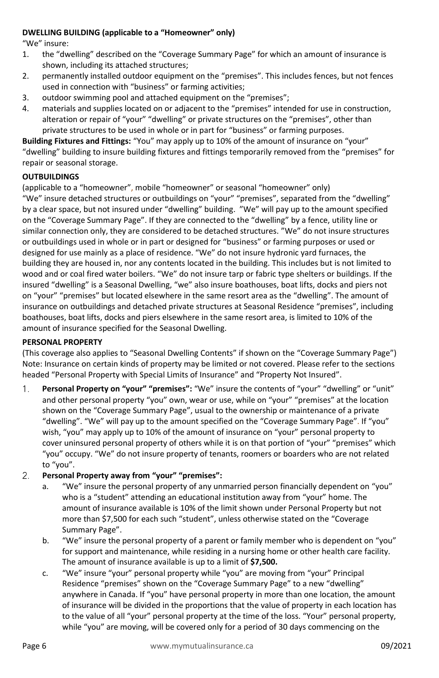#### **DWELLING BUILDING (applicable to a "Homeowner" only)**

"We" insure:

- 1. the "dwelling" described on the "Coverage Summary Page" for which an amount of insurance is shown, including its attached structures;
- 2. permanently installed outdoor equipment on the "premises". This includes fences, but not fences used in connection with "business" or farming activities;
- 3. outdoor swimming pool and attached equipment on the "premises";
- 4. materials and supplies located on or adjacent to the "premises" intended for use in construction, alteration or repair of "your" "dwelling" or private structures on the "premises", other than private structures to be used in whole or in part for "business" or farming purposes.

**Building Fixtures and Fittings:** "You" may apply up to 10% of the amount of insurance on "your" "dwelling" building to insure building fixtures and fittings temporarily removed from the "premises" for repair or seasonal storage.

#### <span id="page-5-0"></span>**OUTBUILDINGS**

(applicable to a "homeowner", mobile "homeowner" or seasonal "homeowner" only)

"We" insure detached structures or outbuildings on "your" "premises", separated from the "dwelling" by a clear space, but not insured under "dwelling" building. "We" will pay up to the amount specified on the "Coverage Summary Page". If they are connected to the "dwelling" by a fence, utility line or similar connection only, they are considered to be detached structures. "We" do not insure structures or outbuildings used in whole or in part or designed for "business" or farming purposes or used or designed for use mainly as a place of residence. "We" do not insure hydronic yard furnaces, the building they are housed in, nor any contents located in the building. This includes but is not limited to wood and or coal fired water boilers. "We" do not insure tarp or fabric type shelters or buildings. If the insured "dwelling" is a Seasonal Dwelling, "we" also insure boathouses, boat lifts, docks and piers not on "your" "premises" but located elsewhere in the same resort area as the "dwelling". The amount of insurance on outbuildings and detached private structures at Seasonal Residence "premises", including boathouses, boat lifts, docks and piers elsewhere in the same resort area, is limited to 10% of the amount of insurance specified for the Seasonal Dwelling.

#### <span id="page-5-1"></span>**PERSONAL PROPERTY**

(This coverage also applies to "Seasonal Dwelling Contents" if shown on the "Coverage Summary Page") Note: Insurance on certain kinds of property may be limited or not covered. Please refer to the sections headed "Personal Property with Special Limits of Insurance" and "Property Not Insured".

- $1<sub>1</sub>$ **Personal Property on "your" "premises":** "We" insure the contents of "your" "dwelling" or "unit" and other personal property "you" own, wear or use, while on "your" "premises" at the location shown on the "Coverage Summary Page", usual to the ownership or maintenance of a private "dwelling". "We" will pay up to the amount specified on the "Coverage Summary Page". If "you" wish, "you" may apply up to 10% of the amount of insurance on "your" personal property to cover uninsured personal property of others while it is on that portion of "your" "premises" which "you" occupy. "We" do not insure property of tenants, roomers or boarders who are not related to "you".
- $2.$ **Personal Property away from "your" "premises":** 
	- a. "We" insure the personal property of any unmarried person financially dependent on "you" who is a "student" attending an educational institution away from "your" home. The amount of insurance available is 10% of the limit shown under Personal Property but not more than \$7,500 for each such "student", unless otherwise stated on the "Coverage Summary Page".
	- b. "We" insure the personal property of a parent or family member who is dependent on "you" for support and maintenance, while residing in a nursing home or other health care facility. The amount of insurance available is up to a limit of **\$7,500.**
	- c. "We" insure "your" personal property while "you" are moving from "your" Principal Residence "premises" shown on the "Coverage Summary Page" to a new "dwelling" anywhere in Canada. If "you" have personal property in more than one location, the amount of insurance will be divided in the proportions that the value of property in each location has to the value of all "your" personal property at the time of the loss. "Your" personal property, while "you" are moving, will be covered only for a period of 30 days commencing on the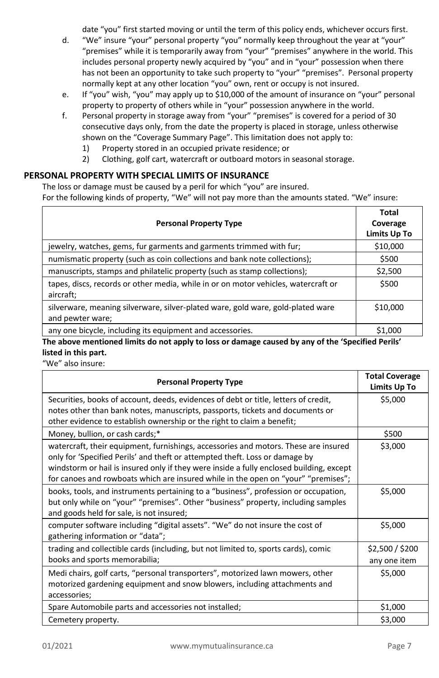date "you" first started moving or until the term of this policy ends, whichever occurs first.

- d. "We" insure "your" personal property "you" normally keep throughout the year at "your" "premises" while it is temporarily away from "your" "premises" anywhere in the world. This includes personal property newly acquired by "you" and in "your" possession when there has not been an opportunity to take such property to "your" "premises". Personal property normally kept at any other location "you" own, rent or occupy is not insured.
- e. If "you" wish, "you" may apply up to \$10,000 of the amount of insurance on "your" personal property to property of others while in "your" possession anywhere in the world.
- f. Personal property in storage away from "your" "premises" is covered for a period of 30 consecutive days only, from the date the property is placed in storage, unless otherwise shown on the "Coverage Summary Page". This limitation does not apply to:
	- 1) Property stored in an occupied private residence; or
	- 2) Clothing, golf cart, watercraft or outboard motors in seasonal storage.

# <span id="page-6-0"></span>**PERSONAL PROPERTY WITH SPECIAL LIMITS OF INSURANCE**

The loss or damage must be caused by a peril for which "you" are insured. For the following kinds of property, "We" will not pay more than the amounts stated. "We" insure:

| <b>Personal Property Type</b>                                                                       | Total<br>Coverage<br>Limits Up To |
|-----------------------------------------------------------------------------------------------------|-----------------------------------|
| jewelry, watches, gems, fur garments and garments trimmed with fur;                                 | \$10,000                          |
| numismatic property (such as coin collections and bank note collections);                           | \$500                             |
| manuscripts, stamps and philatelic property (such as stamp collections);                            | \$2,500                           |
| tapes, discs, records or other media, while in or on motor vehicles, watercraft or<br>aircraft;     | \$500                             |
| silverware, meaning silverware, silver-plated ware, gold ware, gold-plated ware<br>and pewter ware; | \$10,000                          |
| any one bicycle, including its equipment and accessories.                                           | \$1,000                           |

**The above mentioned limits do not apply to loss or damage caused by any of the 'Specified Perils' listed in this part.** 

"We" also insure:

| <b>Personal Property Type</b>                                                                                                                                                                                                                                                                                                                      | <b>Total Coverage</b><br>Limits Up To |
|----------------------------------------------------------------------------------------------------------------------------------------------------------------------------------------------------------------------------------------------------------------------------------------------------------------------------------------------------|---------------------------------------|
| Securities, books of account, deeds, evidences of debt or title, letters of credit,<br>notes other than bank notes, manuscripts, passports, tickets and documents or<br>other evidence to establish ownership or the right to claim a benefit;                                                                                                     | \$5,000                               |
| Money, bullion, or cash cards;*                                                                                                                                                                                                                                                                                                                    | \$500                                 |
| watercraft, their equipment, furnishings, accessories and motors. These are insured<br>only for 'Specified Perils' and theft or attempted theft. Loss or damage by<br>windstorm or hail is insured only if they were inside a fully enclosed building, except<br>for canoes and rowboats which are insured while in the open on "your" "premises"; | \$3,000                               |
| books, tools, and instruments pertaining to a "business", profession or occupation,<br>but only while on "your" "premises". Other "business" property, including samples<br>and goods held for sale, is not insured;                                                                                                                               | \$5,000                               |
| computer software including "digital assets". "We" do not insure the cost of<br>gathering information or "data";                                                                                                                                                                                                                                   | \$5,000                               |
| trading and collectible cards (including, but not limited to, sports cards), comic<br>books and sports memorabilia;                                                                                                                                                                                                                                | \$2,500 / \$200<br>any one item       |
| Medi chairs, golf carts, "personal transporters", motorized lawn mowers, other<br>motorized gardening equipment and snow blowers, including attachments and<br>accessories;                                                                                                                                                                        | \$5,000                               |
| Spare Automobile parts and accessories not installed;                                                                                                                                                                                                                                                                                              | \$1,000                               |
| Cemetery property.                                                                                                                                                                                                                                                                                                                                 | \$3,000                               |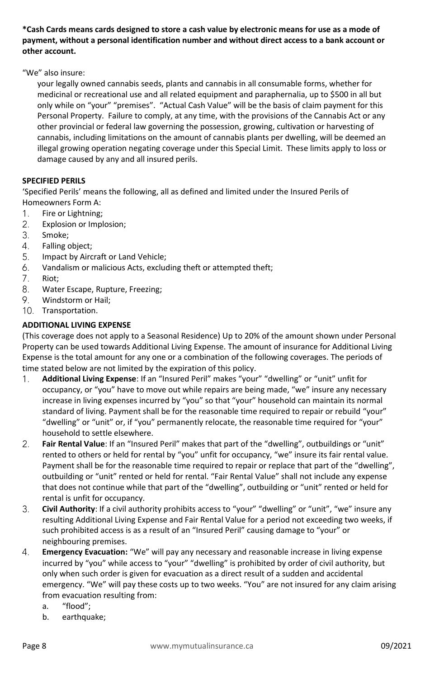**\*Cash Cards means cards designed to store a cash value by electronic means for use as a mode of payment, without a personal identification number and without direct access to a bank account or other account.** 

"We" also insure:

your legally owned cannabis seeds, plants and cannabis in all consumable forms, whether for medicinal or recreational use and all related equipment and paraphernalia, up to \$500 in all but only while on "your" "premises". "Actual Cash Value" will be the basis of claim payment for this Personal Property. Failure to comply, at any time, with the provisions of the Cannabis Act or any other provincial or federal law governing the possession, growing, cultivation or harvesting of cannabis, including limitations on the amount of cannabis plants per dwelling, will be deemed an illegal growing operation negating coverage under this Special Limit. These limits apply to loss or damage caused by any and all insured perils.

# **SPECIFIED PERILS**

'Specified Perils' means the following, all as defined and limited under the Insured Perils of Homeowners Form A:

- Fire or Lightning;  $1.$
- $2.$ Explosion or Implosion;
- 3. Smoke;
- 4. Falling object;
- 5. Impact by Aircraft or Land Vehicle;
- 6. Vandalism or malicious Acts, excluding theft or attempted theft;
- $7<sub>1</sub>$ Riot;
- 8. Water Escape, Rupture, Freezing;
- 9. Windstorm or Hail;
- 10. Transportation.

#### <span id="page-7-0"></span>**ADDITIONAL LIVING EXPENSE**

(This coverage does not apply to a Seasonal Residence) Up to 20% of the amount shown under Personal Property can be used towards Additional Living Expense. The amount of insurance for Additional Living Expense is the total amount for any one or a combination of the following coverages. The periods of time stated below are not limited by the expiration of this policy.

- **Additional Living Expense**: If an "Insured Peril" makes "your" "dwelling" or "unit" unfit for 1. occupancy, or "you" have to move out while repairs are being made, "we" insure any necessary increase in living expenses incurred by "you" so that "your" household can maintain its normal standard of living. Payment shall be for the reasonable time required to repair or rebuild "your" "dwelling" or "unit" or, if "you" permanently relocate, the reasonable time required for "your" household to settle elsewhere.
- $2.$ **Fair Rental Value**: If an "Insured Peril" makes that part of the "dwelling", outbuildings or "unit" rented to others or held for rental by "you" unfit for occupancy, "we" insure its fair rental value. Payment shall be for the reasonable time required to repair or replace that part of the "dwelling", outbuilding or "unit" rented or held for rental. "Fair Rental Value" shall not include any expense that does not continue while that part of the "dwelling", outbuilding or "unit" rented or held for rental is unfit for occupancy.
- $3<sub>1</sub>$ **Civil Authority**: If a civil authority prohibits access to "your" "dwelling" or "unit", "we" insure any resulting Additional Living Expense and Fair Rental Value for a period not exceeding two weeks, if such prohibited access is as a result of an "Insured Peril" causing damage to "your" or neighbouring premises.
- $\overline{4}$ . **Emergency Evacuation:** "We" will pay any necessary and reasonable increase in living expense incurred by "you" while access to "your" "dwelling" is prohibited by order of civil authority, but only when such order is given for evacuation as a direct result of a sudden and accidental emergency. "We" will pay these costs up to two weeks. "You" are not insured for any claim arising from evacuation resulting from:
	- a. "flood";
	- b. earthquake;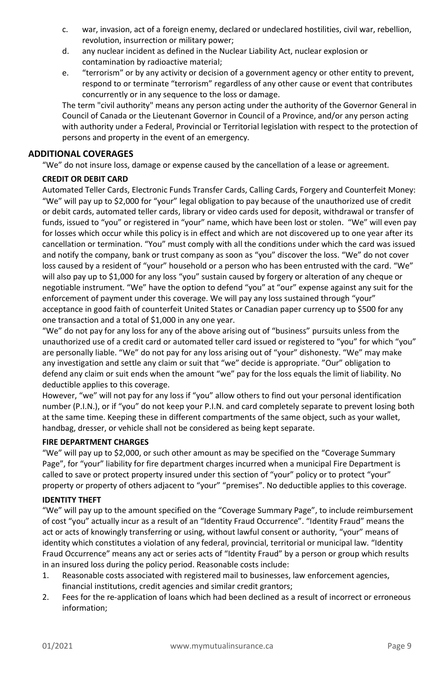- c. war, invasion, act of a foreign enemy, declared or undeclared hostilities, civil war, rebellion, revolution, insurrection or military power;
- d. any nuclear incident as defined in the Nuclear Liability Act, nuclear explosion or contamination by radioactive material;
- e. "terrorism" or by any activity or decision of a government agency or other entity to prevent, respond to or terminate "terrorism" regardless of any other cause or event that contributes concurrently or in any sequence to the loss or damage.

The term "civil authority" means any person acting under the authority of the Governor General in Council of Canada or the Lieutenant Governor in Council of a Province, and/or any person acting with authority under a Federal, Provincial or Territorial legislation with respect to the protection of persons and property in the event of an emergency.

# <span id="page-8-0"></span>**ADDITIONAL COVERAGES**

"We" do not insure loss, damage or expense caused by the cancellation of a lease or agreement.

#### <span id="page-8-1"></span>**CREDIT OR DEBIT CARD**

Automated Teller Cards, Electronic Funds Transfer Cards, Calling Cards, Forgery and Counterfeit Money: "We" will pay up to \$2,000 for "your" legal obligation to pay because of the unauthorized use of credit or debit cards, automated teller cards, library or video cards used for deposit, withdrawal or transfer of funds, issued to "you" or registered in "your" name, which have been lost or stolen. "We" will even pay for losses which occur while this policy is in effect and which are not discovered up to one year after its cancellation or termination. "You" must comply with all the conditions under which the card was issued and notify the company, bank or trust company as soon as "you" discover the loss. "We" do not cover loss caused by a resident of "your" household or a person who has been entrusted with the card. "We" will also pay up to \$1,000 for any loss "you" sustain caused by forgery or alteration of any cheque or negotiable instrument. "We" have the option to defend "you" at "our" expense against any suit for the enforcement of payment under this coverage. We will pay any loss sustained through "your" acceptance in good faith of counterfeit United States or Canadian paper currency up to \$500 for any one transaction and a total of \$1,000 in any one year.

"We" do not pay for any loss for any of the above arising out of "business" pursuits unless from the unauthorized use of a credit card or automated teller card issued or registered to "you" for which "you" are personally liable. "We" do not pay for any loss arising out of "your" dishonesty. "We" may make any investigation and settle any claim or suit that "we" decide is appropriate. "Our" obligation to defend any claim or suit ends when the amount "we" pay for the loss equals the limit of liability. No deductible applies to this coverage.

However, "we" will not pay for any loss if "you" allow others to find out your personal identification number (P.I.N.), or if "you" do not keep your P.I.N. and card completely separate to prevent losing both at the same time. Keeping these in different compartments of the same object, such as your wallet, handbag, dresser, or vehicle shall not be considered as being kept separate.

#### <span id="page-8-2"></span>**FIRE DEPARTMENT CHARGES**

"We" will pay up to \$2,000, or such other amount as may be specified on the "Coverage Summary Page", for "your" liability for fire department charges incurred when a municipal Fire Department is called to save or protect property insured under this section of "your" policy or to protect "your" property or property of others adjacent to "your" "premises". No deductible applies to this coverage.

#### <span id="page-8-3"></span>**IDENTITY THEFT**

"We" will pay up to the amount specified on the "Coverage Summary Page", to include reimbursement of cost "you" actually incur as a result of an "Identity Fraud Occurrence". "Identity Fraud" means the act or acts of knowingly transferring or using, without lawful consent or authority, "your" means of identity which constitutes a violation of any federal, provincial, territorial or municipal law. "Identity Fraud Occurrence" means any act or series acts of "Identity Fraud" by a person or group which results in an insured loss during the policy period. Reasonable costs include:

- 1. Reasonable costs associated with registered mail to businesses, law enforcement agencies, financial institutions, credit agencies and similar credit grantors;
- 2. Fees for the re-application of loans which had been declined as a result of incorrect or erroneous information;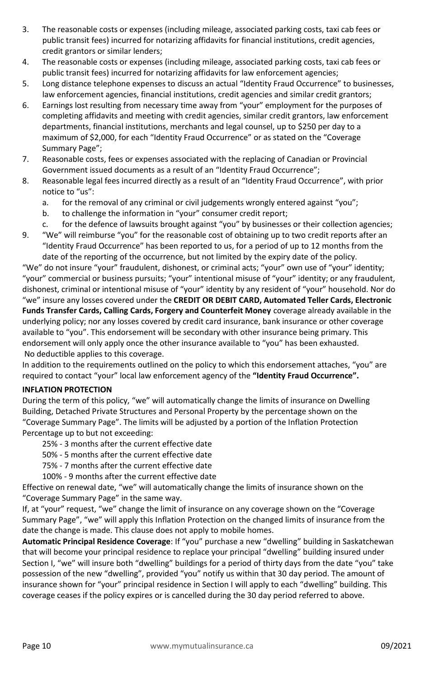- 3. The reasonable costs or expenses (including mileage, associated parking costs, taxi cab fees or public transit fees) incurred for notarizing affidavits for financial institutions, credit agencies, credit grantors or similar lenders;
- 4. The reasonable costs or expenses (including mileage, associated parking costs, taxi cab fees or public transit fees) incurred for notarizing affidavits for law enforcement agencies;
- 5. Long distance telephone expenses to discuss an actual "Identity Fraud Occurrence" to businesses, law enforcement agencies, financial institutions, credit agencies and similar credit grantors;
- 6. Earnings lost resulting from necessary time away from "your" employment for the purposes of completing affidavits and meeting with credit agencies, similar credit grantors, law enforcement departments, financial institutions, merchants and legal counsel, up to \$250 per day to a maximum of \$2,000, for each "Identity Fraud Occurrence" or as stated on the "Coverage Summary Page";
- 7. Reasonable costs, fees or expenses associated with the replacing of Canadian or Provincial Government issued documents as a result of an "Identity Fraud Occurrence";
- 8. Reasonable legal fees incurred directly as a result of an "Identity Fraud Occurrence", with prior notice to "us":
	- a. for the removal of any criminal or civil judgements wrongly entered against "you";
	- b. to challenge the information in "your" consumer credit report;
	- c. for the defence of lawsuits brought against "you" by businesses or their collection agencies;
- 9. "We" will reimburse "you" for the reasonable cost of obtaining up to two credit reports after an "Identity Fraud Occurrence" has been reported to us, for a period of up to 12 months from the date of the reporting of the occurrence, but not limited by the expiry date of the policy.

"We" do not insure "your" fraudulent, dishonest, or criminal acts; "your" own use of "your" identity; "your" commercial or business pursuits; "your" intentional misuse of "your" identity; or any fraudulent, dishonest, criminal or intentional misuse of "your" identity by any resident of "your" household. Nor do "we" insure any losses covered under the **CREDIT OR DEBIT CARD, Automated Teller Cards, Electronic Funds Transfer Cards, Calling Cards, Forgery and Counterfeit Money** coverage already available in the underlying policy; nor any losses covered by credit card insurance, bank insurance or other coverage available to "you". This endorsement will be secondary with other insurance being primary. This endorsement will only apply once the other insurance available to "you" has been exhausted. No deductible applies to this coverage.

In addition to the requirements outlined on the policy to which this endorsement attaches, "you" are required to contact "your" local law enforcement agency of the **"Identity Fraud Occurrence".** 

#### <span id="page-9-0"></span>**INFLATION PROTECTION**

During the term of this policy, "we" will automatically change the limits of insurance on Dwelling Building, Detached Private Structures and Personal Property by the percentage shown on the "Coverage Summary Page". The limits will be adjusted by a portion of the Inflation Protection Percentage up to but not exceeding:

25% - 3 months after the current effective date

- 50% 5 months after the current effective date
- 75% 7 months after the current effective date
- 100% 9 months after the current effective date

Effective on renewal date, "we" will automatically change the limits of insurance shown on the "Coverage Summary Page" in the same way.

If, at "your" request, "we" change the limit of insurance on any coverage shown on the "Coverage Summary Page", "we" will apply this Inflation Protection on the changed limits of insurance from the date the change is made. This clause does not apply to mobile homes.

**Automatic Principal Residence Coverage**: If "you" purchase a new "dwelling" building in Saskatchewan that will become your principal residence to replace your principal "dwelling" building insured under Section I, "we" will insure both "dwelling" buildings for a period of thirty days from the date "you" take possession of the new "dwelling", provided "you" notify us within that 30 day period. The amount of insurance shown for "your" principal residence in Section I will apply to each "dwelling" building. This coverage ceases if the policy expires or is cancelled during the 30 day period referred to above.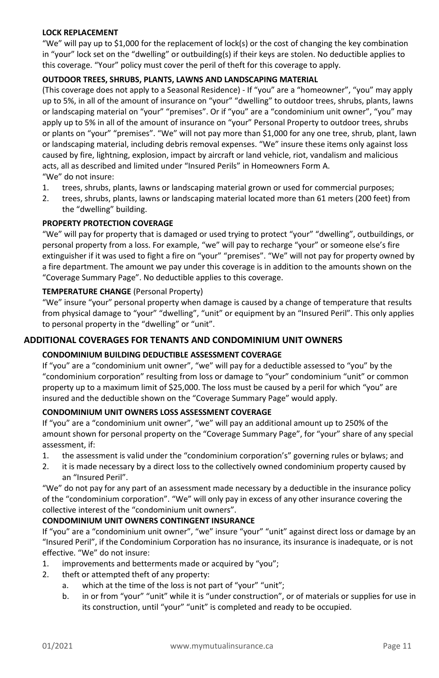#### <span id="page-10-0"></span>**LOCK REPLACEMENT**

"We" will pay up to \$1,000 for the replacement of lock(s) or the cost of changing the key combination in "your" lock set on the "dwelling" or outbuilding(s) if their keys are stolen. No deductible applies to this coverage. "Your" policy must cover the peril of theft for this coverage to apply.

#### <span id="page-10-1"></span>**OUTDOOR TREES, SHRUBS, PLANTS, LAWNS AND LANDSCAPING MATERIAL**

(This coverage does not apply to a Seasonal Residence) - If "you" are a "homeowner", "you" may apply up to 5%, in all of the amount of insurance on "your" "dwelling" to outdoor trees, shrubs, plants, lawns or landscaping material on "your" "premises". Or if "you" are a "condominium unit owner", "you" may apply up to 5% in all of the amount of insurance on "your" Personal Property to outdoor trees, shrubs or plants on "your" "premises". "We" will not pay more than \$1,000 for any one tree, shrub, plant, lawn or landscaping material, including debris removal expenses. "We" insure these items only against loss caused by fire, lightning, explosion, impact by aircraft or land vehicle, riot, vandalism and malicious acts, all as described and limited under "Insured Perils" in Homeowners Form A. "We" do not insure:

- 1. trees, shrubs, plants, lawns or landscaping material grown or used for commercial purposes;
- 2. trees, shrubs, plants, lawns or landscaping material located more than 61 meters (200 feet) from the "dwelling" building.

# <span id="page-10-2"></span>**PROPERTY PROTECTION COVERAGE**

"We" will pay for property that is damaged or used trying to protect "your" "dwelling", outbuildings, or personal property from a loss. For example, "we" will pay to recharge "your" or someone else's fire extinguisher if it was used to fight a fire on "your" "premises". "We" will not pay for property owned by a fire department. The amount we pay under this coverage is in addition to the amounts shown on the "Coverage Summary Page". No deductible applies to this coverage.

#### <span id="page-10-3"></span>**TEMPERATURE CHANGE** (Personal Property)

"We" insure "your" personal property when damage is caused by a change of temperature that results from physical damage to "your" "dwelling", "unit" or equipment by an "Insured Peril". This only applies to personal property in the "dwelling" or "unit".

# <span id="page-10-4"></span>**ADDITIONAL COVERAGES FOR TENANTS AND CONDOMINIUM UNIT OWNERS**

# <span id="page-10-5"></span>**CONDOMINIUM BUILDING DEDUCTIBLE ASSESSMENT COVERAGE**

If "you" are a "condominium unit owner", "we" will pay for a deductible assessed to "you" by the "condominium corporation" resulting from loss or damage to "your" condominium "unit" or common property up to a maximum limit of \$25,000. The loss must be caused by a peril for which "you" are insured and the deductible shown on the "Coverage Summary Page" would apply.

#### <span id="page-10-6"></span>**CONDOMINIUM UNIT OWNERS LOSS ASSESSMENT COVERAGE**

If "you" are a "condominium unit owner", "we" will pay an additional amount up to 250% of the amount shown for personal property on the "Coverage Summary Page", for "your" share of any special assessment, if:

- 1. the assessment is valid under the "condominium corporation's" governing rules or bylaws; and
- 2. it is made necessary by a direct loss to the collectively owned condominium property caused by an "Insured Peril".

"We" do not pay for any part of an assessment made necessary by a deductible in the insurance policy of the "condominium corporation". "We" will only pay in excess of any other insurance covering the collective interest of the "condominium unit owners".

#### **CONDOMINIUM UNIT OWNERS CONTINGENT INSURANCE**

If "you" are a "condominium unit owner", "we" insure "your" "unit" against direct loss or damage by an "Insured Peril", if the Condominium Corporation has no insurance, its insurance is inadequate, or is not effective. "We" do not insure:

- 1. improvements and betterments made or acquired by "you";
- 2. theft or attempted theft of any property:
	- a. which at the time of the loss is not part of "your" "unit";
	- b. in or from "your" "unit" while it is "under construction", or of materials or supplies for use in its construction, until "your" "unit" is completed and ready to be occupied.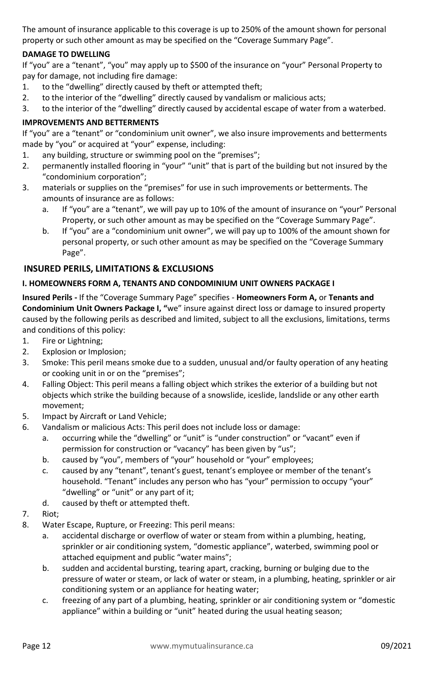The amount of insurance applicable to this coverage is up to 250% of the amount shown for personal property or such other amount as may be specified on the "Coverage Summary Page".

# <span id="page-11-0"></span>**DAMAGE TO DWELLING**

If "you" are a "tenant", "you" may apply up to \$500 of the insurance on "your" Personal Property to pay for damage, not including fire damage:

- 1. to the "dwelling" directly caused by theft or attempted theft;
- 2. to the interior of the "dwelling" directly caused by vandalism or malicious acts;
- 3. to the interior of the "dwelling" directly caused by accidental escape of water from a waterbed.

#### <span id="page-11-1"></span>**IMPROVEMENTS AND BETTERMENTS**

If "you" are a "tenant" or "condominium unit owner", we also insure improvements and betterments made by "you" or acquired at "your" expense, including:

- 1. any building, structure or swimming pool on the "premises";
- 2. permanently installed flooring in "your" "unit" that is part of the building but not insured by the "condominium corporation";
- 3. materials or supplies on the "premises" for use in such improvements or betterments. The amounts of insurance are as follows:
	- a. If "you" are a "tenant", we will pay up to 10% of the amount of insurance on "your" Personal Property, or such other amount as may be specified on the "Coverage Summary Page".
	- b. If "you" are a "condominium unit owner", we will pay up to 100% of the amount shown for personal property, or such other amount as may be specified on the "Coverage Summary Page".

# <span id="page-11-2"></span>**INSURED PERILS, LIMITATIONS & EXCLUSIONS**

#### <span id="page-11-3"></span>**I. HOMEOWNERS FORM A, TENANTS AND CONDOMINIUM UNIT OWNERS PACKAGE I**

**Insured Perils -** If the "Coverage Summary Page" specifies - **Homeowners Form A,** or **Tenants and Condominium Unit Owners Package I, "**we" insure against direct loss or damage to insured property caused by the following perils as described and limited, subject to all the exclusions, limitations, terms and conditions of this policy:

- 1. Fire or Lightning;
- 2. Explosion or Implosion;
- 3. Smoke: This peril means smoke due to a sudden, unusual and/or faulty operation of any heating or cooking unit in or on the "premises";
- 4. Falling Object: This peril means a falling object which strikes the exterior of a building but not objects which strike the building because of a snowslide, iceslide, landslide or any other earth movement;
- 5. Impact by Aircraft or Land Vehicle;
- 6. Vandalism or malicious Acts: This peril does not include loss or damage:
	- a. occurring while the "dwelling" or "unit" is "under construction" or "vacant" even if permission for construction or "vacancy" has been given by "us";
	- b. caused by "you", members of "your" household or "your" employees;
	- c. caused by any "tenant", tenant's guest, tenant's employee or member of the tenant's household. "Tenant" includes any person who has "your" permission to occupy "your" "dwelling" or "unit" or any part of it;
	- d. caused by theft or attempted theft.
- 7. Riot;
- 8. Water Escape, Rupture, or Freezing: This peril means:
	- a. accidental discharge or overflow of water or steam from within a plumbing, heating, sprinkler or air conditioning system, "domestic appliance", waterbed, swimming pool or attached equipment and public "water mains";
	- b. sudden and accidental bursting, tearing apart, cracking, burning or bulging due to the pressure of water or steam, or lack of water or steam, in a plumbing, heating, sprinkler or air conditioning system or an appliance for heating water;
	- c. freezing of any part of a plumbing, heating, sprinkler or air conditioning system or "domestic appliance" within a building or "unit" heated during the usual heating season;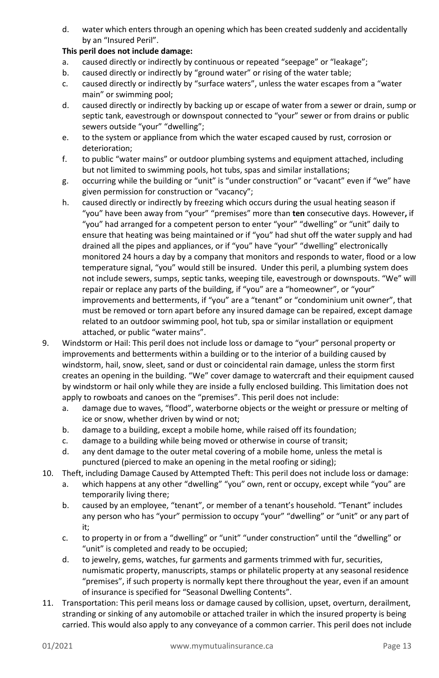d. water which enters through an opening which has been created suddenly and accidentally by an "Insured Peril".

#### **This peril does not include damage:**

- a. caused directly or indirectly by continuous or repeated "seepage" or "leakage";
- b. caused directly or indirectly by "ground water" or rising of the water table;
- c. caused directly or indirectly by "surface waters", unless the water escapes from a "water main" or swimming pool;
- d. caused directly or indirectly by backing up or escape of water from a sewer or drain, sump or septic tank, eavestrough or downspout connected to "your" sewer or from drains or public sewers outside "your" "dwelling";
- e. to the system or appliance from which the water escaped caused by rust, corrosion or deterioration;
- f. to public "water mains" or outdoor plumbing systems and equipment attached, including but not limited to swimming pools, hot tubs, spas and similar installations;
- g. occurring while the building or "unit" is "under construction" or "vacant" even if "we" have given permission for construction or "vacancy";
- h. caused directly or indirectly by freezing which occurs during the usual heating season if "you" have been away from "your" "premises" more than **ten** consecutive days. However**,** if "you" had arranged for a competent person to enter "your" "dwelling" or "unit" daily to ensure that heating was being maintained or if "you" had shut off the water supply and had drained all the pipes and appliances, or if "you" have "your" "dwelling" electronically monitored 24 hours a day by a company that monitors and responds to water, flood or a low temperature signal, "you" would still be insured. Under this peril, a plumbing system does not include sewers, sumps, septic tanks, weeping tile, eavestrough or downspouts. "We" will repair or replace any parts of the building, if "you" are a "homeowner", or "your" improvements and betterments, if "you" are a "tenant" or "condominium unit owner", that must be removed or torn apart before any insured damage can be repaired, except damage related to an outdoor swimming pool, hot tub, spa or similar installation or equipment attached, or public "water mains".
- 9. Windstorm or Hail: This peril does not include loss or damage to "your" personal property or improvements and betterments within a building or to the interior of a building caused by windstorm, hail, snow, sleet, sand or dust or coincidental rain damage, unless the storm first creates an opening in the building. "We" cover damage to watercraft and their equipment caused by windstorm or hail only while they are inside a fully enclosed building. This limitation does not apply to rowboats and canoes on the "premises". This peril does not include:
	- a. damage due to waves, "flood", waterborne objects or the weight or pressure or melting of ice or snow, whether driven by wind or not;
	- b. damage to a building, except a mobile home, while raised off its foundation;
	- c. damage to a building while being moved or otherwise in course of transit;
	- d. any dent damage to the outer metal covering of a mobile home, unless the metal is punctured (pierced to make an opening in the metal roofing or siding);
- 10. Theft, including Damage Caused by Attempted Theft: This peril does not include loss or damage:
	- a. which happens at any other "dwelling" "you" own, rent or occupy, except while "you" are temporarily living there;
	- b. caused by an employee, "tenant", or member of a tenant's household. "Tenant" includes any person who has "your" permission to occupy "your" "dwelling" or "unit" or any part of it;
	- c. to property in or from a "dwelling" or "unit" "under construction" until the "dwelling" or "unit" is completed and ready to be occupied;
	- d. to jewelry, gems, watches, fur garments and garments trimmed with fur, securities, numismatic property, manuscripts, stamps or philatelic property at any seasonal residence "premises", if such property is normally kept there throughout the year, even if an amount of insurance is specified for "Seasonal Dwelling Contents".
- 11. Transportation: This peril means loss or damage caused by collision, upset, overturn, derailment, stranding or sinking of any automobile or attached trailer in which the insured property is being carried. This would also apply to any conveyance of a common carrier. This peril does not include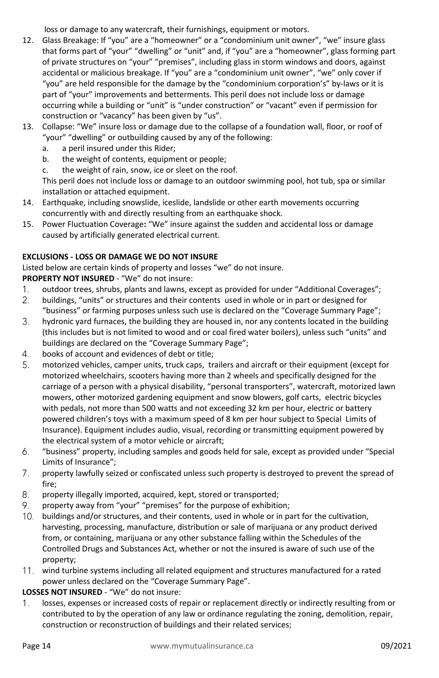loss or damage to any watercraft, their furnishings, equipment or motors.

- 12. Glass Breakage: If "you" are a "homeowner" or a "condominium unit owner", "we" insure glass that forms part of "your" "dwelling" or "unit" and, if "you" are a "homeowner", glass forming part of private structures on "your" "premises", including glass in storm windows and doors, against accidental or malicious breakage. If "you" are a "condominium unit owner", "we" only cover if "you" are held responsible for the damage by the "condominium corporation's" by-laws or it is part of "your" improvements and betterments. This peril does not include loss or damage occurring while a building or "unit" is "under construction" or "vacant" even if permission for construction or "vacancy" has been given by "us".
- 13. Collapse: "We" insure loss or damage due to the collapse of a foundation wall, floor, or roof of "your" "dwelling" or outbuilding caused by any of the following:
	- a. a peril insured under this Rider;
	- b. the weight of contents, equipment or people;
	- c. the weight of rain, snow, ice or sleet on the roof.

This peril does not include loss or damage to an outdoor swimming pool, hot tub, spa or similar installation or attached equipment.

- 14. Earthquake, including snowslide, iceslide, landslide or other earth movements occurring concurrently with and directly resulting from an earthquake shock.
- 15. Power Fluctuation Coverage**:** "We" insure against the sudden and accidental loss or damage caused by artificially generated electrical current.

# **EXCLUSIONS - LOSS OR DAMAGE WE DO NOT INSURE**

Listed below are certain kinds of property and losses "we" do not insure.

**PROPERTY NOT INSURED** - "We" do not insure:

- $1<sub>1</sub>$ outdoor trees, shrubs, plants and lawns, except as provided for under "Additional Coverages";
- $2.$ buildings, "units" or structures and their contents used in whole or in part or designed for "business" or farming purposes unless such use is declared on the "Coverage Summary Page";
- 3. hydronic yard furnaces, the building they are housed in, nor any contents located in the building (this includes but is not limited to wood and or coal fired water boilers), unless such "units" and buildings are declared on the "Coverage Summary Page";
- 4. books of account and evidences of debt or title;
- 5. motorized vehicles, camper units, truck caps, trailers and aircraft or their equipment (except for motorized wheelchairs, scooters having more than 2 wheels and specifically designed for the carriage of a person with a physical disability, "personal transporters", watercraft, motorized lawn mowers, other motorized gardening equipment and snow blowers, golf carts, electric bicycles with pedals, not more than 500 watts and not exceeding 32 km per hour, electric or battery powered children's toys with a maximum speed of 8 km per hour subject to Special Limits of Insurance). Equipment includes audio, visual, recording or transmitting equipment powered by the electrical system of a motor vehicle or aircraft;
- 6. "business" property, including samples and goods held for sale, except as provided under "Special Limits of Insurance";
- $7.$ property lawfully seized or confiscated unless such property is destroyed to prevent the spread of fire;
- 8. property illegally imported, acquired, kept, stored or transported;
- 9. property away from "your" "premises" for the purpose of exhibition;
- 10. buildings and/or structures, and their contents, used in whole or in part for the cultivation, harvesting, processing, manufacture, distribution or sale of marijuana or any product derived from, or containing, marijuana or any other substance falling within the Schedules of the Controlled Drugs and Substances Act, whether or not the insured is aware of such use of the property;
- 11. wind turbine systems including all related equipment and structures manufactured for a rated power unless declared on the "Coverage Summary Page".

# **LOSSES NOT INSURED** - "We" do not insure:

losses, expenses or increased costs of repair or replacement directly or indirectly resulting from or  $1_{\cdot}$ contributed to by the operation of any law or ordinance regulating the zoning, demolition, repair, construction or reconstruction of buildings and their related services;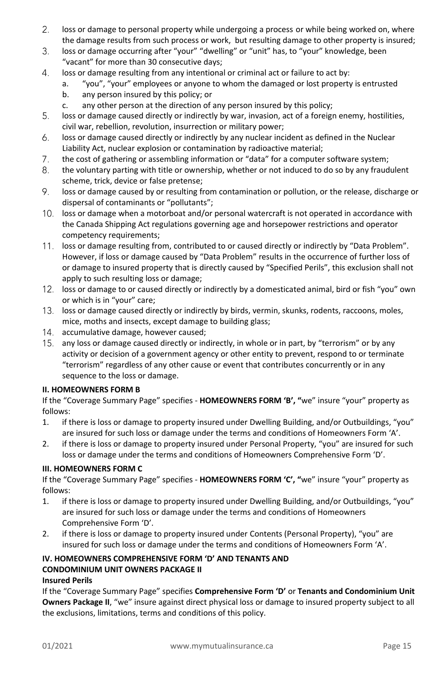- $2.$ loss or damage to personal property while undergoing a process or while being worked on, where the damage results from such process or work, but resulting damage to other property is insured;
- 3. loss or damage occurring after "your" "dwelling" or "unit" has, to "your" knowledge, been "vacant" for more than 30 consecutive days;
- $4.$ loss or damage resulting from any intentional or criminal act or failure to act by:
	- a. "you", "your" employees or anyone to whom the damaged or lost property is entrusted
	- b. any person insured by this policy; or
	- c. any other person at the direction of any person insured by this policy;
- 5. loss or damage caused directly or indirectly by war, invasion, act of a foreign enemy, hostilities, civil war, rebellion, revolution, insurrection or military power;
- 6. loss or damage caused directly or indirectly by any nuclear incident as defined in the Nuclear Liability Act, nuclear explosion or contamination by radioactive material;
- $7.$ the cost of gathering or assembling information or "data" for a computer software system;
- 8. the voluntary parting with title or ownership, whether or not induced to do so by any fraudulent scheme, trick, device or false pretense;
- 9. loss or damage caused by or resulting from contamination or pollution, or the release, discharge or dispersal of contaminants or "pollutants";
- $10.$ loss or damage when a motorboat and/or personal watercraft is not operated in accordance with the Canada Shipping Act regulations governing age and horsepower restrictions and operator competency requirements;
- loss or damage resulting from, contributed to or caused directly or indirectly by "Data Problem".  $11.$ However, if loss or damage caused by "Data Problem" results in the occurrence of further loss of or damage to insured property that is directly caused by "Specified Perils", this exclusion shall not apply to such resulting loss or damage;
- 12. loss or damage to or caused directly or indirectly by a domesticated animal, bird or fish "you" own or which is in "your" care;
- 13. loss or damage caused directly or indirectly by birds, vermin, skunks, rodents, raccoons, moles, mice, moths and insects, except damage to building glass;
- 14. accumulative damage, however caused;
- 15. any loss or damage caused directly or indirectly, in whole or in part, by "terrorism" or by any activity or decision of a government agency or other entity to prevent, respond to or terminate "terrorism" regardless of any other cause or event that contributes concurrently or in any sequence to the loss or damage.

#### <span id="page-14-0"></span>**II. HOMEOWNERS FORM B**

If the "Coverage Summary Page" specifies - **HOMEOWNERS FORM 'B', "**we" insure "your" property as follows:

- 1. if there is loss or damage to property insured under Dwelling Building, and/or Outbuildings, "you" are insured for such loss or damage under the terms and conditions of Homeowners Form 'A'.
- 2. if there is loss or damage to property insured under Personal Property, "you" are insured for such loss or damage under the terms and conditions of Homeowners Comprehensive Form 'D'.

# <span id="page-14-1"></span>**III. HOMEOWNERS FORM C**

If the "Coverage Summary Page" specifies - **HOMEOWNERS FORM 'C', "**we" insure "your" property as follows:

- 1. if there is loss or damage to property insured under Dwelling Building, and/or Outbuildings, "you" are insured for such loss or damage under the terms and conditions of Homeowners Comprehensive Form 'D'.
- 2. if there is loss or damage to property insured under Contents (Personal Property), "you" are insured for such loss or damage under the terms and conditions of Homeowners Form 'A'.

# <span id="page-14-2"></span>**IV. HOMEOWNERS COMPREHENSIVE FORM 'D' AND TENANTS AND CONDOMINIUM UNIT OWNERS PACKAGE II**

# **Insured Perils**

If the "Coverage Summary Page" specifies **Comprehensive Form 'D'** or **Tenants and Condominium Unit Owners Package II**, "we" insure against direct physical loss or damage to insured property subject to all the exclusions, limitations, terms and conditions of this policy.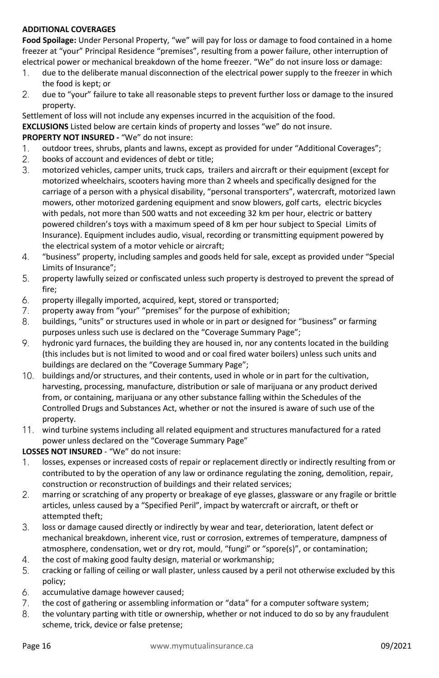# **ADDITIONAL COVERAGES**

**Food Spoilage:** Under Personal Property, "we" will pay for loss or damage to food contained in a home freezer at "your" Principal Residence "premises", resulting from a power failure, other interruption of electrical power or mechanical breakdown of the home freezer. "We" do not insure loss or damage:

- $1.$ due to the deliberate manual disconnection of the electrical power supply to the freezer in which the food is kept; or
- $2.$ due to "your" failure to take all reasonable steps to prevent further loss or damage to the insured property.

Settlement of loss will not include any expenses incurred in the acquisition of the food. **EXCLUSIONS** Listed below are certain kinds of property and losses "we" do not insure. **PROPERTY NOT INSURED -** "We" do not insure:

- $1.$ outdoor trees, shrubs, plants and lawns, except as provided for under "Additional Coverages";
- $2.$ books of account and evidences of debt or title;
- $3.$ motorized vehicles, camper units, truck caps, trailers and aircraft or their equipment (except for motorized wheelchairs, scooters having more than 2 wheels and specifically designed for the carriage of a person with a physical disability, "personal transporters", watercraft, motorized lawn mowers, other motorized gardening equipment and snow blowers, golf carts, electric bicycles with pedals, not more than 500 watts and not exceeding 32 km per hour, electric or battery powered children's toys with a maximum speed of 8 km per hour subject to Special Limits of Insurance). Equipment includes audio, visual, recording or transmitting equipment powered by the electrical system of a motor vehicle or aircraft;
- 4. "business" property, including samples and goods held for sale, except as provided under "Special Limits of Insurance";
- 5. property lawfully seized or confiscated unless such property is destroyed to prevent the spread of fire;
- 6. property illegally imported, acquired, kept, stored or transported;
- 7. property away from "your" "premises" for the purpose of exhibition;
- 8. buildings, "units" or structures used in whole or in part or designed for "business" or farming purposes unless such use is declared on the "Coverage Summary Page";
- 9. hydronic yard furnaces, the building they are housed in, nor any contents located in the building (this includes but is not limited to wood and or coal fired water boilers) unless such units and buildings are declared on the "Coverage Summary Page";
- 10. buildings and/or structures, and their contents, used in whole or in part for the cultivation, harvesting, processing, manufacture, distribution or sale of marijuana or any product derived from, or containing, marijuana or any other substance falling within the Schedules of the Controlled Drugs and Substances Act, whether or not the insured is aware of such use of the property.
- 11. wind turbine systems including all related equipment and structures manufactured for a rated power unless declared on the "Coverage Summary Page"

# **LOSSES NOT INSURED** - "We" do not insure:

- $1<sub>1</sub>$ losses, expenses or increased costs of repair or replacement directly or indirectly resulting from or contributed to by the operation of any law or ordinance regulating the zoning, demolition, repair, construction or reconstruction of buildings and their related services;
- $2.$ marring or scratching of any property or breakage of eye glasses, glassware or any fragile or brittle articles, unless caused by a "Specified Peril", impact by watercraft or aircraft, or theft or attempted theft;
- 3. loss or damage caused directly or indirectly by wear and tear, deterioration, latent defect or mechanical breakdown, inherent vice, rust or corrosion, extremes of temperature, dampness of atmosphere, condensation, wet or dry rot, mould, "fungi" or "spore(s)", or contamination;
- $\overline{4}$ . the cost of making good faulty design, material or workmanship;
- 5. cracking or falling of ceiling or wall plaster, unless caused by a peril not otherwise excluded by this policy;
- 6. accumulative damage however caused;
- $7.$ the cost of gathering or assembling information or "data" for a computer software system;
- 8. the voluntary parting with title or ownership, whether or not induced to do so by any fraudulent scheme, trick, device or false pretense;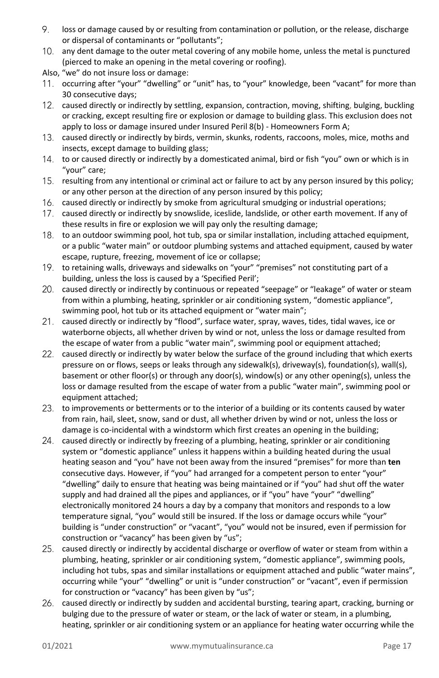- 9. loss or damage caused by or resulting from contamination or pollution, or the release, discharge or dispersal of contaminants or "pollutants";
- $10<sub>1</sub>$ any dent damage to the outer metal covering of any mobile home, unless the metal is punctured (pierced to make an opening in the metal covering or roofing).
- Also, "we" do not insure loss or damage:
- 11. occurring after "your" "dwelling" or "unit" has, to "your" knowledge, been "vacant" for more than 30 consecutive days;
- 12. caused directly or indirectly by settling, expansion, contraction, moving, shifting, bulging, buckling or cracking, except resulting fire or explosion or damage to building glass. This exclusion does not apply to loss or damage insured under Insured Peril 8(b) - Homeowners Form A;
- $13.$ caused directly or indirectly by birds, vermin, skunks, rodents, raccoons, moles, mice, moths and insects, except damage to building glass;
- 14. to or caused directly or indirectly by a domesticated animal, bird or fish "you" own or which is in "your" care;
- 15. resulting from any intentional or criminal act or failure to act by any person insured by this policy; or any other person at the direction of any person insured by this policy;
- caused directly or indirectly by smoke from agricultural smudging or industrial operations;
- 17. caused directly or indirectly by snowslide, iceslide, landslide, or other earth movement. If any of these results in fire or explosion we will pay only the resulting damage;
- to an outdoor swimming pool, hot tub, spa or similar installation, including attached equipment, or a public "water main" or outdoor plumbing systems and attached equipment, caused by water escape, rupture, freezing, movement of ice or collapse;
- 19. to retaining walls, driveways and sidewalks on "your" "premises" not constituting part of a building, unless the loss is caused by a 'Specified Peril';
- caused directly or indirectly by continuous or repeated "seepage" or "leakage" of water or steam from within a plumbing, heating, sprinkler or air conditioning system, "domestic appliance", swimming pool, hot tub or its attached equipment or "water main";
- caused directly or indirectly by "flood", surface water, spray, waves, tides, tidal waves, ice or waterborne objects, all whether driven by wind or not, unless the loss or damage resulted from the escape of water from a public "water main", swimming pool or equipment attached;
- $22.$ caused directly or indirectly by water below the surface of the ground including that which exerts pressure on or flows, seeps or leaks through any sidewalk(s), driveway(s), foundation(s), wall(s), basement or other floor(s) or through any door(s), window(s) or any other opening(s), unless the loss or damage resulted from the escape of water from a public "water main", swimming pool or equipment attached;
- to improvements or betterments or to the interior of a building or its contents caused by water from rain, hail, sleet, snow, sand or dust, all whether driven by wind or not, unless the loss or damage is co-incidental with a windstorm which first creates an opening in the building;
- caused directly or indirectly by freezing of a plumbing, heating, sprinkler or air conditioning system or "domestic appliance" unless it happens within a building heated during the usual heating season and "you" have not been away from the insured "premises" for more than **ten** consecutive days. However, if "you" had arranged for a competent person to enter "your" "dwelling" daily to ensure that heating was being maintained or if "you" had shut off the water supply and had drained all the pipes and appliances, or if "you" have "your" "dwelling" electronically monitored 24 hours a day by a company that monitors and responds to a low temperature signal, "you" would still be insured. If the loss or damage occurs while "your" building is "under construction" or "vacant", "you" would not be insured, even if permission for construction or "vacancy" has been given by "us";
- 25. caused directly or indirectly by accidental discharge or overflow of water or steam from within a plumbing, heating, sprinkler or air conditioning system, "domestic appliance", swimming pools, including hot tubs, spas and similar installations or equipment attached and public "water mains", occurring while "your" "dwelling" or unit is "under construction" or "vacant", even if permission for construction or "vacancy" has been given by "us";
- 26. caused directly or indirectly by sudden and accidental bursting, tearing apart, cracking, burning or bulging due to the pressure of water or steam, or the lack of water or steam, in a plumbing, heating, sprinkler or air conditioning system or an appliance for heating water occurring while the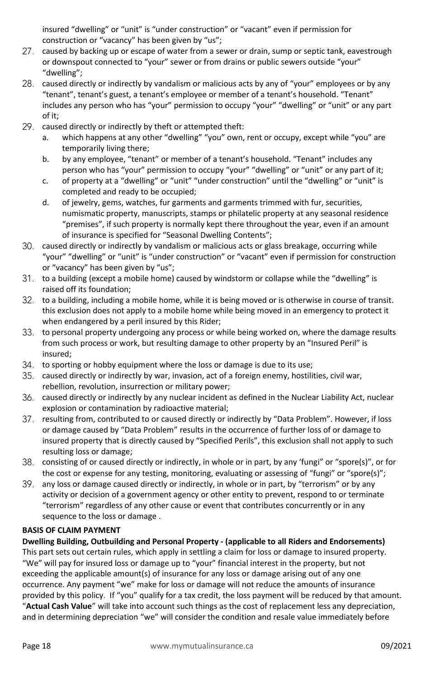insured "dwelling" or "unit" is "under construction" or "vacant" even if permission for construction or "vacancy" has been given by "us";

- 27. caused by backing up or escape of water from a sewer or drain, sump or septic tank, eavestrough or downspout connected to "your" sewer or from drains or public sewers outside "your" "dwelling";
- caused directly or indirectly by vandalism or malicious acts by any of "your" employees or by any "tenant", tenant's guest, a tenant's employee or member of a tenant's household. "Tenant" includes any person who has "your" permission to occupy "your" "dwelling" or "unit" or any part of it;
- 29. caused directly or indirectly by theft or attempted theft:
	- a. which happens at any other "dwelling" "you" own, rent or occupy, except while "you" are temporarily living there;
	- b. by any employee, "tenant" or member of a tenant's household. "Tenant" includes any person who has "your" permission to occupy "your" "dwelling" or "unit" or any part of it;
	- c. of property at a "dwelling" or "unit" "under construction" until the "dwelling" or "unit" is completed and ready to be occupied;
	- d. of jewelry, gems, watches, fur garments and garments trimmed with fur, securities, numismatic property, manuscripts, stamps or philatelic property at any seasonal residence "premises", if such property is normally kept there throughout the year, even if an amount of insurance is specified for "Seasonal Dwelling Contents";
- caused directly or indirectly by vandalism or malicious acts or glass breakage, occurring while "your" "dwelling" or "unit" is "under construction" or "vacant" even if permission for construction or "vacancy" has been given by "us";
- to a building (except a mobile home) caused by windstorm or collapse while the "dwelling" is raised off its foundation;
- to a building, including a mobile home, while it is being moved or is otherwise in course of transit. this exclusion does not apply to a mobile home while being moved in an emergency to protect it when endangered by a peril insured by this Rider;
- 33. to personal property undergoing any process or while being worked on, where the damage results from such process or work, but resulting damage to other property by an "Insured Peril" is insured;
- 34. to sporting or hobby equipment where the loss or damage is due to its use;
- 35. caused directly or indirectly by war, invasion, act of a foreign enemy, hostilities, civil war, rebellion, revolution, insurrection or military power;
- caused directly or indirectly by any nuclear incident as defined in the Nuclear Liability Act, nuclear explosion or contamination by radioactive material;
- 37. resulting from, contributed to or caused directly or indirectly by "Data Problem". However, if loss or damage caused by "Data Problem" results in the occurrence of further loss of or damage to insured property that is directly caused by "Specified Perils", this exclusion shall not apply to such resulting loss or damage;
- consisting of or caused directly or indirectly, in whole or in part, by any 'fungi" or "spore(s)", or for the cost or expense for any testing, monitoring, evaluating or assessing of "fungi" or "spore(s)";
- 39. any loss or damage caused directly or indirectly, in whole or in part, by "terrorism" or by any activity or decision of a government agency or other entity to prevent, respond to or terminate "terrorism" regardless of any other cause or event that contributes concurrently or in any sequence to the loss or damage .

# <span id="page-17-0"></span>**BASIS OF CLAIM PAYMENT**

**Dwelling Building, Outbuilding and Personal Property - (applicable to all Riders and Endorsements)**

This part sets out certain rules, which apply in settling a claim for loss or damage to insured property. "We" will pay for insured loss or damage up to "your" financial interest in the property, but not exceeding the applicable amount(s) of insurance for any loss or damage arising out of any one occurrence. Any payment "we" make for loss or damage will not reduce the amounts of insurance provided by this policy. If "you" qualify for a tax credit, the loss payment will be reduced by that amount. "**Actual Cash Value**" will take into account such things as the cost of replacement less any depreciation, and in determining depreciation "we" will consider the condition and resale value immediately before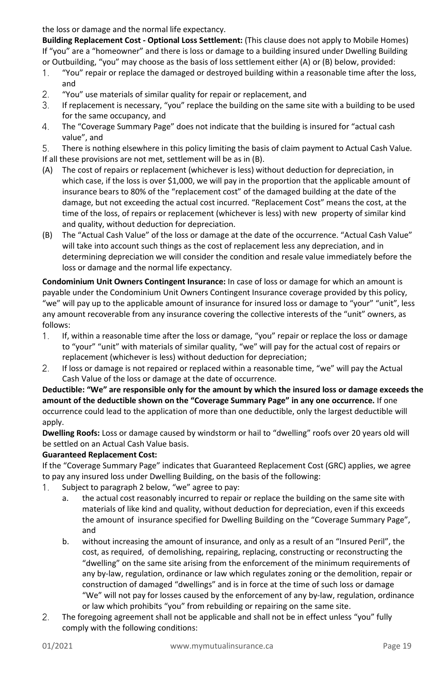the loss or damage and the normal life expectancy.

**Building Replacement Cost - Optional Loss Settlement:** (This clause does not apply to Mobile Homes) If "you" are a "homeowner" and there is loss or damage to a building insured under Dwelling Building or Outbuilding, "you" may choose as the basis of loss settlement either (A) or (B) below, provided:

- "You" repair or replace the damaged or destroyed building within a reasonable time after the loss,  $1_{-}$ and
- $2.$ "You" use materials of similar quality for repair or replacement, and
- 3. If replacement is necessary, "you" replace the building on the same site with a building to be used for the same occupancy, and
- $4.$ The "Coverage Summary Page" does not indicate that the building is insured for "actual cash value", and
- 5. There is nothing elsewhere in this policy limiting the basis of claim payment to Actual Cash Value. If all these provisions are not met, settlement will be as in (B).
- (A) The cost of repairs or replacement (whichever is less) without deduction for depreciation, in which case, if the loss is over \$1,000, we will pay in the proportion that the applicable amount of insurance bears to 80% of the "replacement cost" of the damaged building at the date of the damage, but not exceeding the actual cost incurred. "Replacement Cost" means the cost, at the time of the loss, of repairs or replacement (whichever is less) with new property of similar kind and quality, without deduction for depreciation.
- (B) The "Actual Cash Value" of the loss or damage at the date of the occurrence. "Actual Cash Value" will take into account such things as the cost of replacement less any depreciation, and in determining depreciation we will consider the condition and resale value immediately before the loss or damage and the normal life expectancy.

**Condominium Unit Owners Contingent Insurance:** In case of loss or damage for which an amount is payable under the Condominium Unit Owners Contingent Insurance coverage provided by this policy, "we" will pay up to the applicable amount of insurance for insured loss or damage to "your" "unit", less any amount recoverable from any insurance covering the collective interests of the "unit" owners, as follows:

- $1<sub>1</sub>$ If, within a reasonable time after the loss or damage, "you" repair or replace the loss or damage to "your" "unit" with materials of similar quality, "we" will pay for the actual cost of repairs or replacement (whichever is less) without deduction for depreciation;
- $2.$ If loss or damage is not repaired or replaced within a reasonable time, "we" will pay the Actual Cash Value of the loss or damage at the date of occurrence.

**Deductible: "We" are responsible only for the amount by which the insured loss or damage exceeds the amount of the deductible shown on the "Coverage Summary Page" in any one occurrence.** If one occurrence could lead to the application of more than one deductible, only the largest deductible will apply.

**Dwelling Roofs:** Loss or damage caused by windstorm or hail to "dwelling" roofs over 20 years old will be settled on an Actual Cash Value basis.

# **Guaranteed Replacement Cost:**

If the "Coverage Summary Page" indicates that Guaranteed Replacement Cost (GRC) applies, we agree to pay any insured loss under Dwelling Building, on the basis of the following:

- $1<sub>1</sub>$ Subject to paragraph 2 below, "we" agree to pay:
	- a. the actual cost reasonably incurred to repair or replace the building on the same site with materials of like kind and quality, without deduction for depreciation, even if this exceeds the amount of insurance specified for Dwelling Building on the "Coverage Summary Page", and
	- b. without increasing the amount of insurance, and only as a result of an "Insured Peril", the cost, as required, of demolishing, repairing, replacing, constructing or reconstructing the "dwelling" on the same site arising from the enforcement of the minimum requirements of any by-law, regulation, ordinance or law which regulates zoning or the demolition, repair or construction of damaged "dwellings" and is in force at the time of such loss or damage "We" will not pay for losses caused by the enforcement of any by-law, regulation, ordinance or law which prohibits "you" from rebuilding or repairing on the same site.
- $2.$ The foregoing agreement shall not be applicable and shall not be in effect unless "you" fully comply with the following conditions: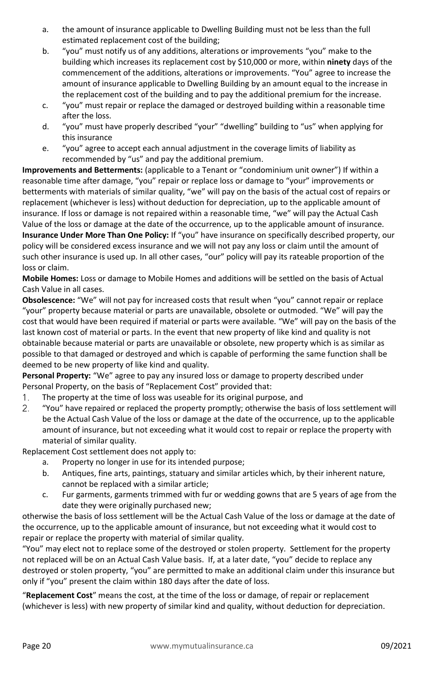- a. the amount of insurance applicable to Dwelling Building must not be less than the full estimated replacement cost of the building;
- b. "you" must notify us of any additions, alterations or improvements "you" make to the building which increases its replacement cost by \$10,000 or more, within **ninety** days of the commencement of the additions, alterations or improvements. "You" agree to increase the amount of insurance applicable to Dwelling Building by an amount equal to the increase in the replacement cost of the building and to pay the additional premium for the increase.
- c. "you" must repair or replace the damaged or destroyed building within a reasonable time after the loss.
- d. "you" must have properly described "your" "dwelling" building to "us" when applying for this insurance
- e. "you" agree to accept each annual adjustment in the coverage limits of liability as recommended by "us" and pay the additional premium.

**Improvements and Betterments:** (applicable to a Tenant or "condominium unit owner") If within a reasonable time after damage, "you" repair or replace loss or damage to "your" improvements or betterments with materials of similar quality, "we" will pay on the basis of the actual cost of repairs or replacement (whichever is less) without deduction for depreciation, up to the applicable amount of insurance. If loss or damage is not repaired within a reasonable time, "we" will pay the Actual Cash Value of the loss or damage at the date of the occurrence, up to the applicable amount of insurance. **Insurance Under More Than One Policy:** If "you" have insurance on specifically described property, our policy will be considered excess insurance and we will not pay any loss or claim until the amount of such other insurance is used up. In all other cases, "our" policy will pay its rateable proportion of the loss or claim.

**Mobile Homes:** Loss or damage to Mobile Homes and additions will be settled on the basis of Actual Cash Value in all cases.

**Obsolescence:** "We" will not pay for increased costs that result when "you" cannot repair or replace "your" property because material or parts are unavailable, obsolete or outmoded. "We" will pay the cost that would have been required if material or parts were available. "We" will pay on the basis of the last known cost of material or parts. In the event that new property of like kind and quality is not obtainable because material or parts are unavailable or obsolete, new property which is as similar as possible to that damaged or destroyed and which is capable of performing the same function shall be deemed to be new property of like kind and quality.

**Personal Property:** "We" agree to pay any insured loss or damage to property described under Personal Property, on the basis of "Replacement Cost" provided that:

- $1<sub>1</sub>$ The property at the time of loss was useable for its original purpose, and
- $2.$ "You" have repaired or replaced the property promptly; otherwise the basis of loss settlement will be the Actual Cash Value of the loss or damage at the date of the occurrence, up to the applicable amount of insurance, but not exceeding what it would cost to repair or replace the property with material of similar quality.

Replacement Cost settlement does not apply to:

- a. Property no longer in use for its intended purpose;
- b. Antiques, fine arts, paintings, statuary and similar articles which, by their inherent nature, cannot be replaced with a similar article;
- c. Fur garments, garments trimmed with fur or wedding gowns that are 5 years of age from the date they were originally purchased new;

otherwise the basis of loss settlement will be the Actual Cash Value of the loss or damage at the date of the occurrence, up to the applicable amount of insurance, but not exceeding what it would cost to repair or replace the property with material of similar quality.

"You" may elect not to replace some of the destroyed or stolen property. Settlement for the property not replaced will be on an Actual Cash Value basis. If, at a later date, "you" decide to replace any destroyed or stolen property, "you" are permitted to make an additional claim under this insurance but only if "you" present the claim within 180 days after the date of loss.

"**Replacement Cost**" means the cost, at the time of the loss or damage, of repair or replacement (whichever is less) with new property of similar kind and quality, without deduction for depreciation.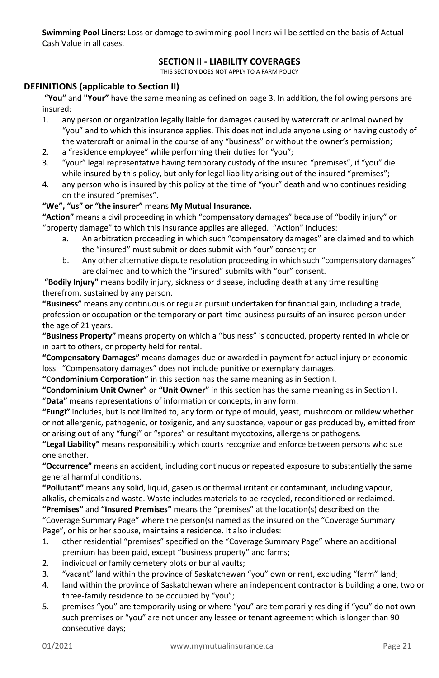<span id="page-20-0"></span>**Swimming Pool Liners:** Loss or damage to swimming pool liners will be settled on the basis of Actual Cash Value in all cases.

# **SECTION II - LIABILITY COVERAGES**

THIS SECTION DOES NOT APPLY TO A FARM POLICY

# <span id="page-20-1"></span>**DEFINITIONS (applicable to Section II)**

**"You"** and **"Your"** have the same meaning as defined on page 3. In addition, the following persons are insured:

- 1. any person or organization legally liable for damages caused by watercraft or animal owned by "you" and to which this insurance applies. This does not include anyone using or having custody of the watercraft or animal in the course of any "business" or without the owner's permission;
- 2. a "residence employee" while performing their duties for "you";
- 3. "your" legal representative having temporary custody of the insured "premises", if "you" die while insured by this policy, but only for legal liability arising out of the insured "premises";
- 4. any person who is insured by this policy at the time of "your" death and who continues residing on the insured "premises".

#### **"We", "us" or "the insurer"** means **My Mutual Insurance.**

**"Action"** means a civil proceeding in which "compensatory damages" because of "bodily injury" or "property damage" to which this insurance applies are alleged. "Action" includes:

- a. An arbitration proceeding in which such "compensatory damages" are claimed and to which the "insured" must submit or does submit with "our" consent; or
- b. Any other alternative dispute resolution proceeding in which such "compensatory damages" are claimed and to which the "insured" submits with "our" consent.

**"Bodily Injury"** means bodily injury, sickness or disease, including death at any time resulting therefrom, sustained by any person.

**"Business"** means any continuous or regular pursuit undertaken for financial gain, including a trade, profession or occupation or the temporary or part-time business pursuits of an insured person under the age of 21 years.

**"Business Property"** means property on which a "business" is conducted, property rented in whole or in part to others, or property held for rental.

**"Compensatory Damages"** means damages due or awarded in payment for actual injury or economic loss. "Compensatory damages" does not include punitive or exemplary damages.

**"Condominium Corporation"** in this section has the same meaning as in Section I.

**"Condominium Unit Owner"** or **"Unit Owner"** in this section has the same meaning as in Section I. "**Data"** means representations of information or concepts, in any form.

**"Fungi"** includes, but is not limited to, any form or type of mould, yeast, mushroom or mildew whether or not allergenic, pathogenic, or toxigenic, and any substance, vapour or gas produced by, emitted from or arising out of any "fungi" or "spores" or resultant mycotoxins, allergens or pathogens.

**"Legal Liability"** means responsibility which courts recognize and enforce between persons who sue one another.

**"Occurrence"** means an accident, including continuous or repeated exposure to substantially the same general harmful conditions.

**"Pollutant"** means any solid, liquid, gaseous or thermal irritant or contaminant, including vapour, alkalis, chemicals and waste. Waste includes materials to be recycled, reconditioned or reclaimed. **"Premises"** and **"Insured Premises"** means the "premises" at the location(s) described on the

"Coverage Summary Page" where the person(s) named as the insured on the "Coverage Summary Page", or his or her spouse, maintains a residence. It also includes:

- 1. other residential "premises" specified on the "Coverage Summary Page" where an additional premium has been paid, except "business property" and farms;
- 2. individual or family cemetery plots or burial vaults;
- 3. "vacant" land within the province of Saskatchewan "you" own or rent, excluding "farm" land;
- 4. land within the province of Saskatchewan where an independent contractor is building a one, two or three-family residence to be occupied by "you";
- 5. premises "you" are temporarily using or where "you" are temporarily residing if "you" do not own such premises or "you" are not under any lessee or tenant agreement which is longer than 90 consecutive days;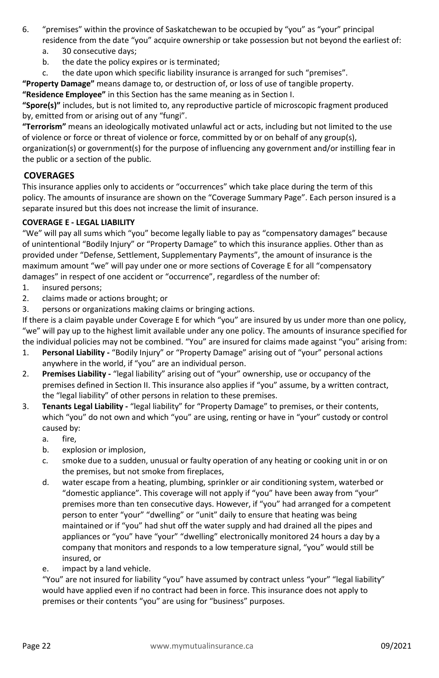- 6. "premises" within the province of Saskatchewan to be occupied by "you" as "your" principal residence from the date "you" acquire ownership or take possession but not beyond the earliest of:
	- a. 30 consecutive days;
	- b. the date the policy expires or is terminated;
	- c. the date upon which specific liability insurance is arranged for such "premises".

**"Property Damage"** means damage to, or destruction of, or loss of use of tangible property.

**"Residence Employee"** in this Section has the same meaning as in Section I.

**"Spore(s)"** includes, but is not limited to, any reproductive particle of microscopic fragment produced by, emitted from or arising out of any "fungi".

**"Terrorism"** means an ideologically motivated unlawful act or acts, including but not limited to the use of violence or force or threat of violence or force, committed by or on behalf of any group(s), organization(s) or government(s) for the purpose of influencing any government and/or instilling fear in the public or a section of the public.

# <span id="page-21-0"></span>**COVERAGES**

This insurance applies only to accidents or "occurrences" which take place during the term of this policy. The amounts of insurance are shown on the "Coverage Summary Page". Each person insured is a separate insured but this does not increase the limit of insurance.

# <span id="page-21-1"></span>**COVERAGE E - LEGAL LIABILITY**

"We" will pay all sums which "you" become legally liable to pay as "compensatory damages" because of unintentional "Bodily Injury" or "Property Damage" to which this insurance applies. Other than as provided under "Defense, Settlement, Supplementary Payments", the amount of insurance is the maximum amount "we" will pay under one or more sections of Coverage E for all "compensatory damages" in respect of one accident or "occurrence", regardless of the number of:

- 1. insured persons;
- 2. claims made or actions brought; or
- 3. persons or organizations making claims or bringing actions.

If there is a claim payable under Coverage E for which "you" are insured by us under more than one policy, "we" will pay up to the highest limit available under any one policy. The amounts of insurance specified for the individual policies may not be combined. "You" are insured for claims made against "you" arising from:

- 1. **Personal Liability -** "Bodily Injury" or "Property Damage" arising out of "your" personal actions anywhere in the world, if "you" are an individual person.
- 2. **Premises Liability -** "legal liability" arising out of "your" ownership, use or occupancy of the premises defined in Section II. This insurance also applies if "you" assume, by a written contract, the "legal liability" of other persons in relation to these premises.
- 3. **Tenants Legal Liability -** "legal liability" for "Property Damage" to premises, or their contents, which "you" do not own and which "you" are using, renting or have in "your" custody or control caused by:
	- a. fire,
	- b. explosion or implosion,
	- c. smoke due to a sudden, unusual or faulty operation of any heating or cooking unit in or on the premises, but not smoke from fireplaces,
	- d. water escape from a heating, plumbing, sprinkler or air conditioning system, waterbed or "domestic appliance". This coverage will not apply if "you" have been away from "your" premises more than ten consecutive days. However, if "you" had arranged for a competent person to enter "your" "dwelling" or "unit" daily to ensure that heating was being maintained or if "you" had shut off the water supply and had drained all the pipes and appliances or "you" have "your" "dwelling" electronically monitored 24 hours a day by a company that monitors and responds to a low temperature signal, "you" would still be insured, or
	- e. impact by a land vehicle.

"You" are not insured for liability "you" have assumed by contract unless "your" "legal liability" would have applied even if no contract had been in force. This insurance does not apply to premises or their contents "you" are using for "business" purposes.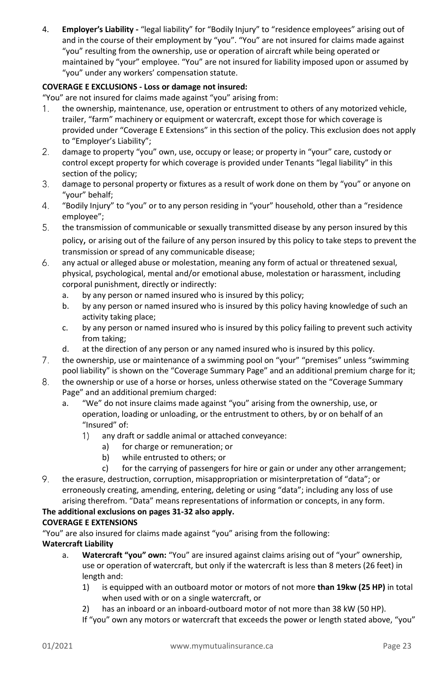4. **Employer's Liability -** "legal liability" for "Bodily Injury" to "residence employees" arising out of and in the course of their employment by "you". "You" are not insured for claims made against "you" resulting from the ownership, use or operation of aircraft while being operated or maintained by "your" employee. "You" are not insured for liability imposed upon or assumed by "you" under any workers' compensation statute.

# **COVERAGE E EXCLUSIONS - Loss or damage not insured:**

"You" are not insured for claims made against "you" arising from:

- the ownership, maintenance, use, operation or entrustment to others of any motorized vehicle, 1. trailer, "farm" machinery or equipment or watercraft, except those for which coverage is provided under "Coverage E Extensions" in this section of the policy. This exclusion does not apply to "Employer's Liability";
- $2.$ damage to property "you" own, use, occupy or lease; or property in "your" care, custody or control except property for which coverage is provided under Tenants "legal liability" in this section of the policy;
- 3. damage to personal property or fixtures as a result of work done on them by "you" or anyone on "your" behalf;
- $4.$ "Bodily Injury" to "you" or to any person residing in "your" household, other than a "residence employee";
- 5. the transmission of communicable or sexually transmitted disease by any person insured by this policy, or arising out of the failure of any person insured by this policy to take steps to prevent the transmission or spread of any communicable disease;
- 6. any actual or alleged abuse or molestation, meaning any form of actual or threatened sexual, physical, psychological, mental and/or emotional abuse, molestation or harassment, including corporal punishment, directly or indirectly:
	- a. by any person or named insured who is insured by this policy;
	- b. by any person or named insured who is insured by this policy having knowledge of such an activity taking place;
	- c. by any person or named insured who is insured by this policy failing to prevent such activity from taking;
	- d. at the direction of any person or any named insured who is insured by this policy.
- $7.$ the ownership, use or maintenance of a swimming pool on "your" "premises" unless "swimming pool liability" is shown on the "Coverage Summary Page" and an additional premium charge for it;
- 8. the ownership or use of a horse or horses, unless otherwise stated on the "Coverage Summary Page" and an additional premium charged:
	- a. "We" do not insure claims made against "you" arising from the ownership, use, or operation, loading or unloading, or the entrustment to others, by or on behalf of an "Insured" of:
		- any draft or saddle animal or attached conveyance: 1)
			- a) for charge or remuneration; or
			- b) while entrusted to others; or
			- c) for the carrying of passengers for hire or gain or under any other arrangement;
- 9. the erasure, destruction, corruption, misappropriation or misinterpretation of "data"; or erroneously creating, amending, entering, deleting or using "data"; including any loss of use arising therefrom. "Data" means representations of information or concepts, in any form.

# **The additional exclusions on pages 31-32 also apply.**

# **COVERAGE E EXTENSIONS**

"You" are also insured for claims made against "you" arising from the following: **Watercraft Liability**

- a. **Watercraft "you" own:** "You" are insured against claims arising out of "your" ownership, use or operation of watercraft, but only if the watercraft is less than 8 meters (26 feet) in length and:
	- 1) is equipped with an outboard motor or motors of not more **than 19kw (25 HP)** in total when used with or on a single watercraft, or
	- 2) has an inboard or an inboard-outboard motor of not more than 38 kW (50 HP).
	- If "you" own any motors or watercraft that exceeds the power or length stated above, "you"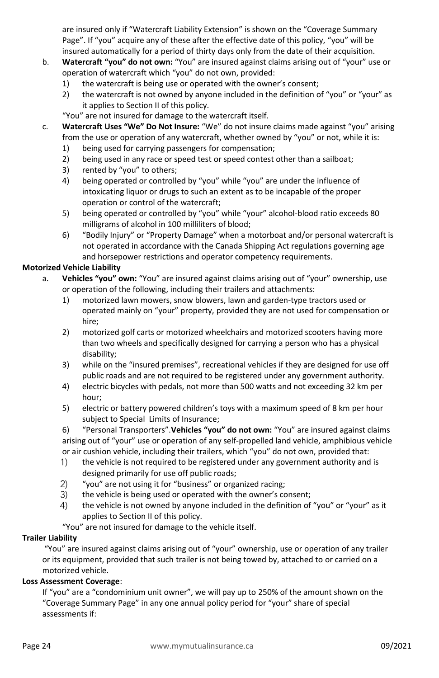are insured only if "Watercraft Liability Extension" is shown on the "Coverage Summary Page". If "you" acquire any of these after the effective date of this policy, "you" will be insured automatically for a period of thirty days only from the date of their acquisition.

- b. **Watercraft "you" do not own:** "You" are insured against claims arising out of "your" use or operation of watercraft which "you" do not own, provided:
	- 1) the watercraft is being use or operated with the owner's consent;
	- 2) the watercraft is not owned by anyone included in the definition of "you" or "your" as it applies to Section II of this policy.
	- "You" are not insured for damage to the watercraft itself.
- c. **Watercraft Uses "We" Do Not Insure:** "We" do not insure claims made against "you" arising from the use or operation of any watercraft, whether owned by "you" or not, while it is:
	- 1) being used for carrying passengers for compensation;
	- 2) being used in any race or speed test or speed contest other than a sailboat;
	- 3) rented by "you" to others;
	- 4) being operated or controlled by "you" while "you" are under the influence of intoxicating liquor or drugs to such an extent as to be incapable of the proper operation or control of the watercraft;
	- 5) being operated or controlled by "you" while "your" alcohol-blood ratio exceeds 80 milligrams of alcohol in 100 milliliters of blood;
	- 6) "Bodily Injury" or "Property Damage" when a motorboat and/or personal watercraft is not operated in accordance with the Canada Shipping Act regulations governing age and horsepower restrictions and operator competency requirements.

#### **Motorized Vehicle Liability**

- a. **Vehicles "you" own:** "You" are insured against claims arising out of "your" ownership, use or operation of the following, including their trailers and attachments:
	- 1) motorized lawn mowers, snow blowers, lawn and garden-type tractors used or operated mainly on "your" property, provided they are not used for compensation or hire;
	- 2) motorized golf carts or motorized wheelchairs and motorized scooters having more than two wheels and specifically designed for carrying a person who has a physical disability;
	- 3) while on the "insured premises", recreational vehicles if they are designed for use off public roads and are not required to be registered under any government authority.
	- 4) electric bicycles with pedals, not more than 500 watts and not exceeding 32 km per hour;
	- 5) electric or battery powered children's toys with a maximum speed of 8 km per hour subject to Special Limits of Insurance;

6) "Personal Transporters".**Vehicles "you" do not own:** "You" are insured against claims arising out of "your" use or operation of any self-propelled land vehicle, amphibious vehicle or air cushion vehicle, including their trailers, which "you" do not own, provided that:

- $\left( \left| \right| \right)$ the vehicle is not required to be registered under any government authority and is designed primarily for use off public roads;
- $(2)$ "you" are not using it for "business" or organized racing;
- $3)$ the vehicle is being used or operated with the owner's consent;
- 4) the vehicle is not owned by anyone included in the definition of "you" or "your" as it applies to Section II of this policy.

"You" are not insured for damage to the vehicle itself.

#### **Trailer Liability**

"You" are insured against claims arising out of "your" ownership, use or operation of any trailer or its equipment, provided that such trailer is not being towed by, attached to or carried on a motorized vehicle.

# **Loss Assessment Coverage**:

If "you" are a "condominium unit owner", we will pay up to 250% of the amount shown on the "Coverage Summary Page" in any one annual policy period for "your" share of special assessments if: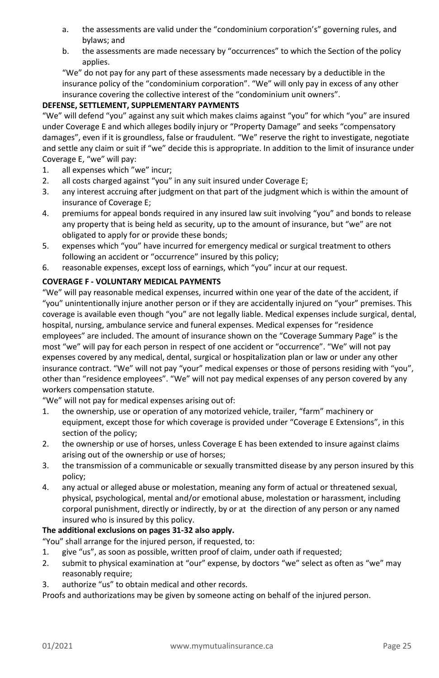- a. the assessments are valid under the "condominium corporation's" governing rules, and bylaws; and
- b. the assessments are made necessary by "occurrences" to which the Section of the policy applies.

"We" do not pay for any part of these assessments made necessary by a deductible in the insurance policy of the "condominium corporation". "We" will only pay in excess of any other insurance covering the collective interest of the "condominium unit owners".

# **DEFENSE, SETTLEMENT, SUPPLEMENTARY PAYMENTS**

"We" will defend "you" against any suit which makes claims against "you" for which "you" are insured under Coverage E and which alleges bodily injury or "Property Damage" and seeks "compensatory damages", even if it is groundless, false or fraudulent. "We" reserve the right to investigate, negotiate and settle any claim or suit if "we" decide this is appropriate. In addition to the limit of insurance under Coverage E, "we" will pay:

- 1. all expenses which "we" incur;
- 2. all costs charged against "you" in any suit insured under Coverage E;
- 3. any interest accruing after judgment on that part of the judgment which is within the amount of insurance of Coverage E;
- 4. premiums for appeal bonds required in any insured law suit involving "you" and bonds to release any property that is being held as security, up to the amount of insurance, but "we" are not obligated to apply for or provide these bonds;
- 5. expenses which "you" have incurred for emergency medical or surgical treatment to others following an accident or "occurrence" insured by this policy;
- 6. reasonable expenses, except loss of earnings, which "you" incur at our request.

# <span id="page-24-0"></span>**COVERAGE F - VOLUNTARY MEDICAL PAYMENTS**

"We" will pay reasonable medical expenses, incurred within one year of the date of the accident, if "you" unintentionally injure another person or if they are accidentally injured on "your" premises. This coverage is available even though "you" are not legally liable. Medical expenses include surgical, dental, hospital, nursing, ambulance service and funeral expenses. Medical expenses for "residence employees" are included. The amount of insurance shown on the "Coverage Summary Page" is the most "we" will pay for each person in respect of one accident or "occurrence". "We" will not pay expenses covered by any medical, dental, surgical or hospitalization plan or law or under any other insurance contract. "We" will not pay "your" medical expenses or those of persons residing with "you", other than "residence employees". "We" will not pay medical expenses of any person covered by any workers compensation statute.

"We" will not pay for medical expenses arising out of:

- 1. the ownership, use or operation of any motorized vehicle, trailer, "farm" machinery or equipment, except those for which coverage is provided under "Coverage E Extensions", in this section of the policy;
- 2. the ownership or use of horses, unless Coverage E has been extended to insure against claims arising out of the ownership or use of horses;
- 3. the transmission of a communicable or sexually transmitted disease by any person insured by this policy;
- 4. any actual or alleged abuse or molestation, meaning any form of actual or threatened sexual, physical, psychological, mental and/or emotional abuse, molestation or harassment, including corporal punishment, directly or indirectly, by or at the direction of any person or any named insured who is insured by this policy.

# **The additional exclusions on pages 31-32 also apply.**

"You" shall arrange for the injured person, if requested, to:

- 1. give "us", as soon as possible, written proof of claim, under oath if requested;
- 2. submit to physical examination at "our" expense, by doctors "we" select as often as "we" may reasonably require:
- 3. authorize "us" to obtain medical and other records.

Proofs and authorizations may be given by someone acting on behalf of the injured person.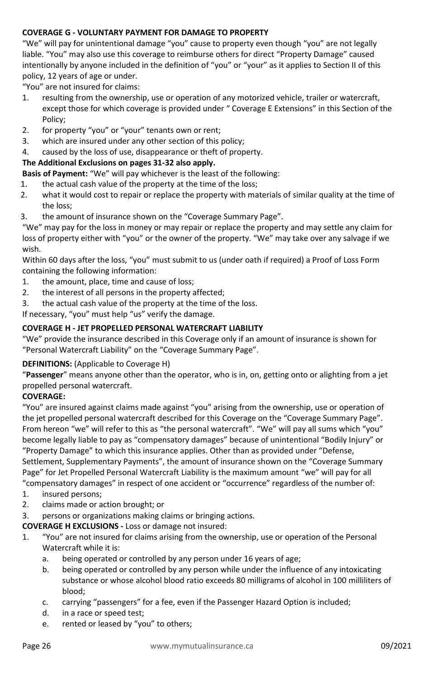# <span id="page-25-0"></span>**COVERAGE G - VOLUNTARY PAYMENT FOR DAMAGE TO PROPERTY**

"We" will pay for unintentional damage "you" cause to property even though "you" are not legally liable. "You" may also use this coverage to reimburse others for direct "Property Damage" caused intentionally by anyone included in the definition of "you" or "your" as it applies to Section II of this policy, 12 years of age or under.

"You" are not insured for claims:

- 1. resulting from the ownership, use or operation of any motorized vehicle, trailer or watercraft, except those for which coverage is provided under " Coverage E Extensions" in this Section of the Policy;
- 2. for property "you" or "your" tenants own or rent;
- 3. which are insured under any other section of this policy;
- 4. caused by the loss of use, disappearance or theft of property.

#### **The Additional Exclusions on pages 31-32 also apply.**

**Basis of Payment:** "We" will pay whichever is the least of the following:

- 1. the actual cash value of the property at the time of the loss;
- 2. what it would cost to repair or replace the property with materials of similar quality at the time of the loss;
- 3. the amount of insurance shown on the "Coverage Summary Page".

"We" may pay for the loss in money or may repair or replace the property and may settle any claim for loss of property either with "you" or the owner of the property. "We" may take over any salvage if we wish.

Within 60 days after the loss, "you" must submit to us (under oath if required) a Proof of Loss Form containing the following information:

- 1. the amount, place, time and cause of loss;
- 2. the interest of all persons in the property affected;
- 3. the actual cash value of the property at the time of the loss.

If necessary, "you" must help "us" verify the damage.

#### <span id="page-25-1"></span>**COVERAGE H - JET PROPELLED PERSONAL WATERCRAFT LIABILITY**

"We" provide the insurance described in this Coverage only if an amount of insurance is shown for "Personal Watercraft Liability" on the "Coverage Summary Page".

#### **DEFINITIONS:** (Applicable to Coverage H)

"**Passenger**" means anyone other than the operator, who is in, on, getting onto or alighting from a jet propelled personal watercraft.

#### **COVERAGE:**

"You" are insured against claims made against "you" arising from the ownership, use or operation of the jet propelled personal watercraft described for this Coverage on the "Coverage Summary Page". From hereon "we" will refer to this as "the personal watercraft". "We" will pay all sums which "you" become legally liable to pay as "compensatory damages" because of unintentional "Bodily Injury" or "Property Damage" to which this insurance applies. Other than as provided under "Defense, Settlement, Supplementary Payments", the amount of insurance shown on the "Coverage Summary Page" for Jet Propelled Personal Watercraft Liability is the maximum amount "we" will pay for all "compensatory damages" in respect of one accident or "occurrence" regardless of the number of:

- 1. insured persons;
- 2. claims made or action brought; or
- 3. persons or organizations making claims or bringing actions.

**COVERAGE H EXCLUSIONS -** Loss or damage not insured:

- 1. "You" are not insured for claims arising from the ownership, use or operation of the Personal Watercraft while it is:
	- a. being operated or controlled by any person under 16 years of age;
	- b. being operated or controlled by any person while under the influence of any intoxicating substance or whose alcohol blood ratio exceeds 80 milligrams of alcohol in 100 milliliters of blood;
	- c. carrying "passengers" for a fee, even if the Passenger Hazard Option is included;
	- d. in a race or speed test;
	- e. rented or leased by "you" to others;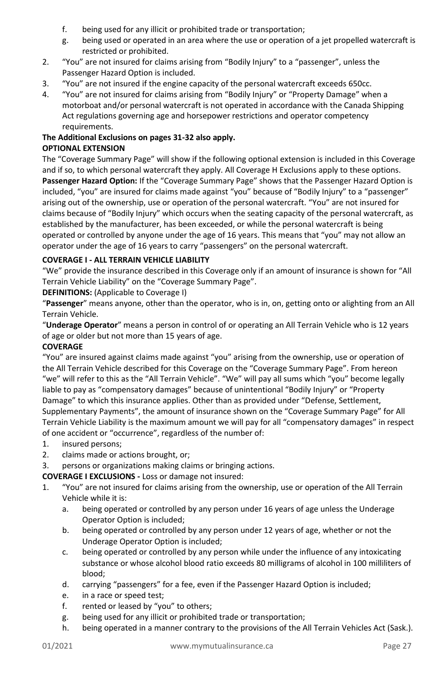- f. being used for any illicit or prohibited trade or transportation;
- g. being used or operated in an area where the use or operation of a jet propelled watercraft is restricted or prohibited.
- 2. "You" are not insured for claims arising from "Bodily Injury" to a "passenger", unless the Passenger Hazard Option is included.
- 3. "You" are not insured if the engine capacity of the personal watercraft exceeds 650cc.
- 4. "You" are not insured for claims arising from "Bodily Injury" or "Property Damage" when a motorboat and/or personal watercraft is not operated in accordance with the Canada Shipping Act regulations governing age and horsepower restrictions and operator competency requirements.

#### **The Additional Exclusions on pages 31-32 also apply. OPTIONAL EXTENSION**

The "Coverage Summary Page" will show if the following optional extension is included in this Coverage and if so, to which personal watercraft they apply. All Coverage H Exclusions apply to these options. **Passenger Hazard Option:** If the "Coverage Summary Page" shows that the Passenger Hazard Option is included, "you" are insured for claims made against "you" because of "Bodily Injury" to a "passenger" arising out of the ownership, use or operation of the personal watercraft. "You" are not insured for claims because of "Bodily Injury" which occurs when the seating capacity of the personal watercraft, as established by the manufacturer, has been exceeded, or while the personal watercraft is being operated or controlled by anyone under the age of 16 years. This means that "you" may not allow an operator under the age of 16 years to carry "passengers" on the personal watercraft.

# <span id="page-26-0"></span>**COVERAGE I - ALL TERRAIN VEHICLE LIABILITY**

"We" provide the insurance described in this Coverage only if an amount of insurance is shown for "All Terrain Vehicle Liability" on the "Coverage Summary Page".

**DEFINITIONS:** (Applicable to Coverage I)

"**Passenger**" means anyone, other than the operator, who is in, on, getting onto or alighting from an All Terrain Vehicle.

"**Underage Operator**" means a person in control of or operating an All Terrain Vehicle who is 12 years of age or older but not more than 15 years of age.

# **COVERAGE**

"You" are insured against claims made against "you" arising from the ownership, use or operation of the All Terrain Vehicle described for this Coverage on the "Coverage Summary Page". From hereon "we" will refer to this as the "All Terrain Vehicle". "We" will pay all sums which "you" become legally liable to pay as "compensatory damages" because of unintentional "Bodily Injury" or "Property Damage" to which this insurance applies. Other than as provided under "Defense, Settlement, Supplementary Payments", the amount of insurance shown on the "Coverage Summary Page" for All Terrain Vehicle Liability is the maximum amount we will pay for all "compensatory damages" in respect of one accident or "occurrence", regardless of the number of:

- 1. insured persons;
- 2. claims made or actions brought, or;

3. persons or organizations making claims or bringing actions.

# **COVERAGE I EXCLUSIONS -** Loss or damage not insured:

- 1. "You" are not insured for claims arising from the ownership, use or operation of the All Terrain Vehicle while it is:
	- a. being operated or controlled by any person under 16 years of age unless the Underage Operator Option is included;
	- b. being operated or controlled by any person under 12 years of age, whether or not the Underage Operator Option is included;
	- c. being operated or controlled by any person while under the influence of any intoxicating substance or whose alcohol blood ratio exceeds 80 milligrams of alcohol in 100 milliliters of blood;
	- d. carrying "passengers" for a fee, even if the Passenger Hazard Option is included;
	- e. in a race or speed test;
	- f. rented or leased by "you" to others;
	- g. being used for any illicit or prohibited trade or transportation;
	- h. being operated in a manner contrary to the provisions of the All Terrain Vehicles Act (Sask.).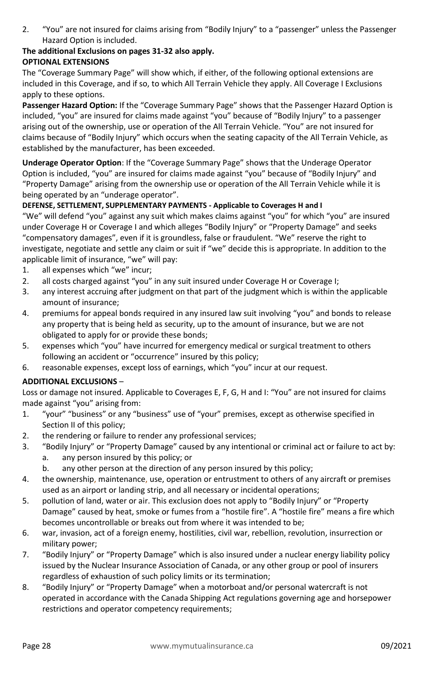2. "You" are not insured for claims arising from "Bodily Injury" to a "passenger" unless the Passenger Hazard Option is included.

# **The additional Exclusions on pages 31-32 also apply.**

# **OPTIONAL EXTENSIONS**

The "Coverage Summary Page" will show which, if either, of the following optional extensions are included in this Coverage, and if so, to which All Terrain Vehicle they apply. All Coverage I Exclusions apply to these options.

**Passenger Hazard Option:** If the "Coverage Summary Page" shows that the Passenger Hazard Option is included, "you" are insured for claims made against "you" because of "Bodily Injury" to a passenger arising out of the ownership, use or operation of the All Terrain Vehicle. "You" are not insured for claims because of "Bodily Injury" which occurs when the seating capacity of the All Terrain Vehicle, as established by the manufacturer, has been exceeded.

**Underage Operator Option**: If the "Coverage Summary Page" shows that the Underage Operator Option is included, "you" are insured for claims made against "you" because of "Bodily Injury" and "Property Damage" arising from the ownership use or operation of the All Terrain Vehicle while it is being operated by an "underage operator".

# **DEFENSE, SETTLEMENT, SUPPLEMENTARY PAYMENTS - Applicable to Coverages H and I**

"We" will defend "you" against any suit which makes claims against "you" for which "you" are insured under Coverage H or Coverage I and which alleges "Bodily Injury" or "Property Damage" and seeks "compensatory damages", even if it is groundless, false or fraudulent. "We" reserve the right to investigate, negotiate and settle any claim or suit if "we" decide this is appropriate. In addition to the applicable limit of insurance, "we" will pay:

- 1. all expenses which "we" incur;
- 2. all costs charged against "you" in any suit insured under Coverage H or Coverage I;
- 3. any interest accruing after judgment on that part of the judgment which is within the applicable amount of insurance;
- 4. premiums for appeal bonds required in any insured law suit involving "you" and bonds to release any property that is being held as security, up to the amount of insurance, but we are not obligated to apply for or provide these bonds;
- 5. expenses which "you" have incurred for emergency medical or surgical treatment to others following an accident or "occurrence" insured by this policy;
- 6. reasonable expenses, except loss of earnings, which "you" incur at our request.

# <span id="page-27-0"></span>**ADDITIONAL EXCLUSIONS** –

Loss or damage not insured. Applicable to Coverages E, F, G, H and I: "You" are not insured for claims made against "you" arising from:

- 1. "your" "business" or any "business" use of "your" premises, except as otherwise specified in Section II of this policy;
- 2. the rendering or failure to render any professional services;
- 3. "Bodily Injury" or "Property Damage" caused by any intentional or criminal act or failure to act by:
	- a. any person insured by this policy; or
	- b. any other person at the direction of any person insured by this policy;
- 4. the ownership, maintenance, use, operation or entrustment to others of any aircraft or premises used as an airport or landing strip, and all necessary or incidental operations;
- 5. pollution of land, water or air. This exclusion does not apply to "Bodily Injury" or "Property Damage" caused by heat, smoke or fumes from a "hostile fire". A "hostile fire" means a fire which becomes uncontrollable or breaks out from where it was intended to be;
- 6. war, invasion, act of a foreign enemy, hostilities, civil war, rebellion, revolution, insurrection or military power;
- 7. "Bodily Injury" or "Property Damage" which is also insured under a nuclear energy liability policy issued by the Nuclear Insurance Association of Canada, or any other group or pool of insurers regardless of exhaustion of such policy limits or its termination;
- 8. "Bodily Injury" or "Property Damage" when a motorboat and/or personal watercraft is not operated in accordance with the Canada Shipping Act regulations governing age and horsepower restrictions and operator competency requirements;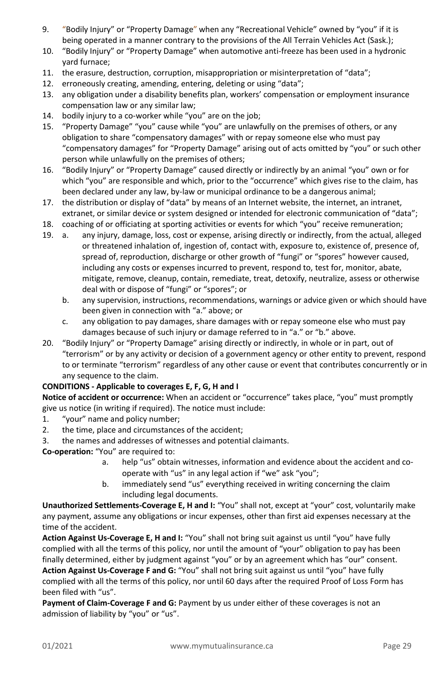- 9. "Bodily Injury" or "Property Damage" when any "Recreational Vehicle" owned by "you" if it is being operated in a manner contrary to the provisions of the All Terrain Vehicles Act (Sask.);
- 10. "Bodily Injury" or "Property Damage" when automotive anti-freeze has been used in a hydronic yard furnace;
- 11. the erasure, destruction, corruption, misappropriation or misinterpretation of "data";
- 12. erroneously creating, amending, entering, deleting or using "data";
- 13. any obligation under a disability benefits plan, workers' compensation or employment insurance compensation law or any similar law;
- 14. bodily injury to a co-worker while "you" are on the job;
- 15. "Property Damage" "you" cause while "you" are unlawfully on the premises of others, or any obligation to share "compensatory damages" with or repay someone else who must pay "compensatory damages" for "Property Damage" arising out of acts omitted by "you" or such other person while unlawfully on the premises of others;
- 16. "Bodily Injury" or "Property Damage" caused directly or indirectly by an animal "you" own or for which "you" are responsible and which, prior to the "occurrence" which gives rise to the claim, has been declared under any law, by-law or municipal ordinance to be a dangerous animal;
- 17. the distribution or display of "data" by means of an Internet website, the internet, an intranet, extranet, or similar device or system designed or intended for electronic communication of "data";
- 18. coaching of or officiating at sporting activities or events for which "you" receive remuneration;
- 19. a. any injury, damage, loss, cost or expense, arising directly or indirectly, from the actual, alleged or threatened inhalation of, ingestion of, contact with, exposure to, existence of, presence of, spread of, reproduction, discharge or other growth of "fungi" or "spores" however caused, including any costs or expenses incurred to prevent, respond to, test for, monitor, abate, mitigate, remove, cleanup, contain, remediate, treat, detoxify, neutralize, assess or otherwise deal with or dispose of "fungi" or "spores"; or
	- b. any supervision, instructions, recommendations, warnings or advice given or which should have been given in connection with "a." above; or
	- c. any obligation to pay damages, share damages with or repay someone else who must pay damages because of such injury or damage referred to in "a." or "b." above.
- 20. "Bodily Injury" or "Property Damage" arising directly or indirectly, in whole or in part, out of "terrorism" or by any activity or decision of a government agency or other entity to prevent, respond to or terminate "terrorism" regardless of any other cause or event that contributes concurrently or in any sequence to the claim.

#### **CONDITIONS - Applicable to coverages E, F, G, H and I**

**Notice of accident or occurrence:** When an accident or "occurrence" takes place, "you" must promptly give us notice (in writing if required). The notice must include:

- 1. "your" name and policy number;
- 2. the time, place and circumstances of the accident;
- 3. the names and addresses of witnesses and potential claimants.
- **Co-operation:** "You" are required to:
	- a. help "us" obtain witnesses, information and evidence about the accident and cooperate with "us" in any legal action if "we" ask "you";
	- b. immediately send "us" everything received in writing concerning the claim including legal documents.

**Unauthorized Settlements-Coverage E, H and I:** "You" shall not, except at "your" cost, voluntarily make any payment, assume any obligations or incur expenses, other than first aid expenses necessary at the time of the accident.

**Action Against Us-Coverage E, H and I:** "You" shall not bring suit against us until "you" have fully complied with all the terms of this policy, nor until the amount of "your" obligation to pay has been finally determined, either by judgment against "you" or by an agreement which has "our" consent.

**Action Against Us-Coverage F and G:** "You" shall not bring suit against us until "you" have fully complied with all the terms of this policy, nor until 60 days after the required Proof of Loss Form has been filed with "us".

**Payment of Claim-Coverage F and G:** Payment by us under either of these coverages is not an admission of liability by "you" or "us".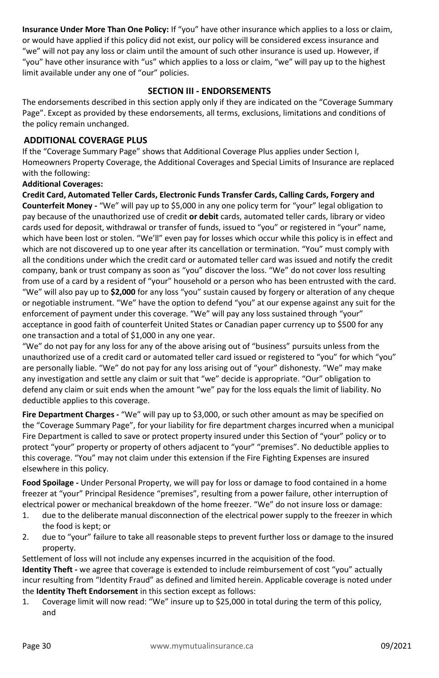**Insurance Under More Than One Policy:** If "you" have other insurance which applies to a loss or claim, or would have applied if this policy did not exist, our policy will be considered excess insurance and "we" will not pay any loss or claim until the amount of such other insurance is used up. However, if "you" have other insurance with "us" which applies to a loss or claim, "we" will pay up to the highest limit available under any one of "our" policies.

# **SECTION III - ENDORSEMENTS**

<span id="page-29-0"></span>The endorsements described in this section apply only if they are indicated on the "Coverage Summary Page". Except as provided by these endorsements, all terms, exclusions, limitations and conditions of the policy remain unchanged.

#### <span id="page-29-1"></span>**ADDITIONAL COVERAGE PLUS**

If the "Coverage Summary Page" shows that Additional Coverage Plus applies under Section I, Homeowners Property Coverage, the Additional Coverages and Special Limits of Insurance are replaced with the following:

#### **Additional Coverages:**

**Credit Card, Automated Teller Cards, Electronic Funds Transfer Cards, Calling Cards, Forgery and Counterfeit Money -** "We" will pay up to \$5,000 in any one policy term for "your" legal obligation to pay because of the unauthorized use of credit **or debit** cards, automated teller cards, library or video cards used for deposit, withdrawal or transfer of funds, issued to "you" or registered in "your" name, which have been lost or stolen. "We'll" even pay for losses which occur while this policy is in effect and which are not discovered up to one year after its cancellation or termination. "You" must comply with all the conditions under which the credit card or automated teller card was issued and notify the credit company, bank or trust company as soon as "you" discover the loss. "We" do not cover loss resulting from use of a card by a resident of "your" household or a person who has been entrusted with the card. "We" will also pay up to **\$2,000** for any loss "you" sustain caused by forgery or alteration of any cheque or negotiable instrument. "We" have the option to defend "you" at our expense against any suit for the enforcement of payment under this coverage. "We" will pay any loss sustained through "your" acceptance in good faith of counterfeit United States or Canadian paper currency up to \$500 for any one transaction and a total of \$1,000 in any one year.

"We" do not pay for any loss for any of the above arising out of "business" pursuits unless from the unauthorized use of a credit card or automated teller card issued or registered to "you" for which "you" are personally liable. "We" do not pay for any loss arising out of "your" dishonesty. "We" may make any investigation and settle any claim or suit that "we" decide is appropriate. "Our" obligation to defend any claim or suit ends when the amount "we" pay for the loss equals the limit of liability. No deductible applies to this coverage.

**Fire Department Charges -** "We" will pay up to \$3,000, or such other amount as may be specified on the "Coverage Summary Page", for your liability for fire department charges incurred when a municipal Fire Department is called to save or protect property insured under this Section of "your" policy or to protect "your" property or property of others adjacent to "your" "premises". No deductible applies to this coverage. "You" may not claim under this extension if the Fire Fighting Expenses are insured elsewhere in this policy.

**Food Spoilage -** Under Personal Property, we will pay for loss or damage to food contained in a home freezer at "your" Principal Residence "premises", resulting from a power failure, other interruption of electrical power or mechanical breakdown of the home freezer. "We" do not insure loss or damage:

- 1. due to the deliberate manual disconnection of the electrical power supply to the freezer in which the food is kept; or
- 2. due to "your" failure to take all reasonable steps to prevent further loss or damage to the insured property.

Settlement of loss will not include any expenses incurred in the acquisition of the food.

**Identity Theft -** we agree that coverage is extended to include reimbursement of cost "you" actually incur resulting from "Identity Fraud" as defined and limited herein. Applicable coverage is noted under the **Identity Theft Endorsement** in this section except as follows:

1. Coverage limit will now read: "We" insure up to \$25,000 in total during the term of this policy, and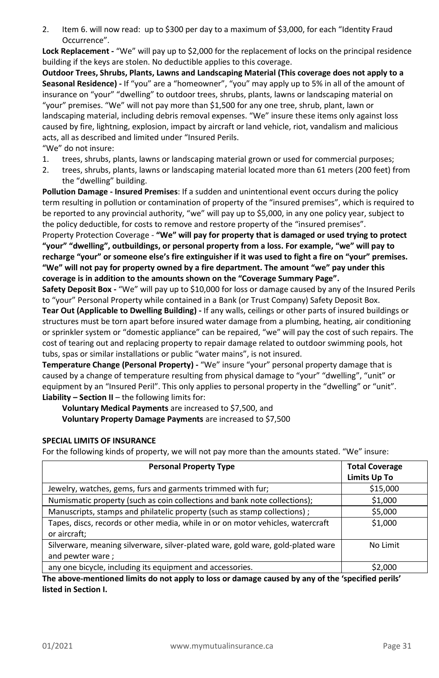2. Item 6. will now read: up to \$300 per day to a maximum of \$3,000, for each "Identity Fraud Occurrence".

**Lock Replacement -** "We" will pay up to \$2,000 for the replacement of locks on the principal residence building if the keys are stolen. No deductible applies to this coverage.

**Outdoor Trees, Shrubs, Plants, Lawns and Landscaping Material (This coverage does not apply to a Seasonal Residence) -** If "you" are a "homeowner", "you" may apply up to 5% in all of the amount of insurance on "your" "dwelling" to outdoor trees, shrubs, plants, lawns or landscaping material on "your" premises. "We" will not pay more than \$1,500 for any one tree, shrub, plant, lawn or landscaping material, including debris removal expenses. "We" insure these items only against loss caused by fire, lightning, explosion, impact by aircraft or land vehicle, riot, vandalism and malicious acts, all as described and limited under "Insured Perils.

- "We" do not insure:
- 1. trees, shrubs, plants, lawns or landscaping material grown or used for commercial purposes;
- 2. trees, shrubs, plants, lawns or landscaping material located more than 61 meters (200 feet) from the "dwelling" building.

**Pollution Damage - Insured Premises**: If a sudden and unintentional event occurs during the policy term resulting in pollution or contamination of property of the "insured premises", which is required to be reported to any provincial authority, "we" will pay up to \$5,000, in any one policy year, subject to the policy deductible, for costs to remove and restore property of the "insured premises".

Property Protection Coverage - **"We" will pay for property that is damaged or used trying to protect "your" "dwelling", outbuildings, or personal property from a loss. For example, "we" will pay to recharge "your" or someone else's fire extinguisher if it was used to fight a fire on "your" premises. "We" will not pay for property owned by a fire department. The amount "we" pay under this coverage is in addition to the amounts shown on the "Coverage Summary Page".**

**Safety Deposit Box -** "We" will pay up to \$10,000 for loss or damage caused by any of the Insured Perils to "your" Personal Property while contained in a Bank (or Trust Company) Safety Deposit Box.

**Tear Out (Applicable to Dwelling Building) -** If any walls, ceilings or other parts of insured buildings or structures must be torn apart before insured water damage from a plumbing, heating, air conditioning or sprinkler system or "domestic appliance" can be repaired, "we" will pay the cost of such repairs. The cost of tearing out and replacing property to repair damage related to outdoor swimming pools, hot tubs, spas or similar installations or public "water mains", is not insured.

**Temperature Change (Personal Property) -** "We" insure "your" personal property damage that is caused by a change of temperature resulting from physical damage to "your" "dwelling", "unit" or equipment by an "Insured Peril". This only applies to personal property in the "dwelling" or "unit". **Liability – Section II** – the following limits for:

**Voluntary Medical Payments** are increased to \$7,500, and **Voluntary Property Damage Payments** are increased to \$7,500

# **SPECIAL LIMITS OF INSURANCE**

For the following kinds of property, we will not pay more than the amounts stated. "We" insure:

| <b>Personal Property Type</b>                                                                       | <b>Total Coverage</b><br><b>Limits Up To</b> |
|-----------------------------------------------------------------------------------------------------|----------------------------------------------|
| Jewelry, watches, gems, furs and garments trimmed with fur;                                         | \$15,000                                     |
| Numismatic property (such as coin collections and bank note collections);                           | \$1,000                                      |
| Manuscripts, stamps and philatelic property (such as stamp collections);                            | \$5,000                                      |
| Tapes, discs, records or other media, while in or on motor vehicles, watercraft<br>or aircraft;     | \$1,000                                      |
| Silverware, meaning silverware, silver-plated ware, gold ware, gold-plated ware<br>and pewter ware; | No Limit                                     |
| any one bicycle, including its equipment and accessories.                                           | S2.000                                       |

**The above-mentioned limits do not apply to loss or damage caused by any of the 'specified perils' listed in Section I.**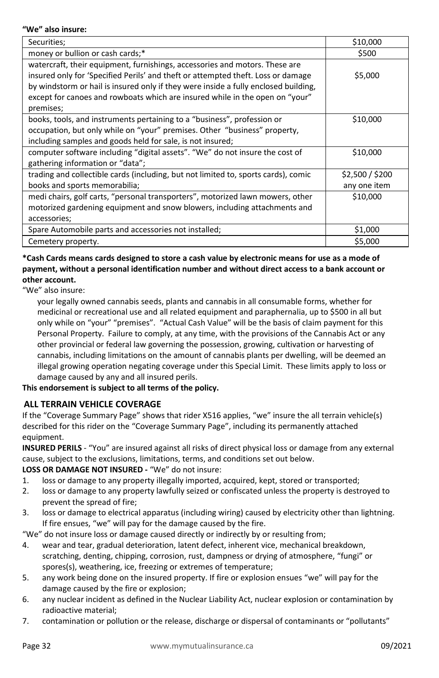#### **"We" also insure:**

| Securities;                                                                         | \$10,000        |
|-------------------------------------------------------------------------------------|-----------------|
| money or bullion or cash cards;*                                                    | \$500           |
| watercraft, their equipment, furnishings, accessories and motors. These are         |                 |
| insured only for 'Specified Perils' and theft or attempted theft. Loss or damage    | \$5,000         |
| by windstorm or hail is insured only if they were inside a fully enclosed building, |                 |
| except for canoes and rowboats which are insured while in the open on "your"        |                 |
| premises;                                                                           |                 |
| books, tools, and instruments pertaining to a "business", profession or             | \$10,000        |
| occupation, but only while on "your" premises. Other "business" property,           |                 |
| including samples and goods held for sale, is not insured;                          |                 |
| computer software including "digital assets". "We" do not insure the cost of        | \$10,000        |
| gathering information or "data";                                                    |                 |
| trading and collectible cards (including, but not limited to, sports cards), comic  | \$2,500 / \$200 |
| books and sports memorabilia;                                                       | any one item    |
| medi chairs, golf carts, "personal transporters", motorized lawn mowers, other      | \$10,000        |
| motorized gardening equipment and snow blowers, including attachments and           |                 |
| accessories;                                                                        |                 |
| Spare Automobile parts and accessories not installed;                               | \$1,000         |
| Cemetery property.                                                                  | \$5,000         |

# **\*Cash Cards means cards designed to store a cash value by electronic means for use as a mode of payment, without a personal identification number and without direct access to a bank account or other account.**

"We" also insure:

your legally owned cannabis seeds, plants and cannabis in all consumable forms, whether for medicinal or recreational use and all related equipment and paraphernalia, up to \$500 in all but only while on "your" "premises". "Actual Cash Value" will be the basis of claim payment for this Personal Property. Failure to comply, at any time, with the provisions of the Cannabis Act or any other provincial or federal law governing the possession, growing, cultivation or harvesting of cannabis, including limitations on the amount of cannabis plants per dwelling, will be deemed an illegal growing operation negating coverage under this Special Limit. These limits apply to loss or damage caused by any and all insured perils.

# **This endorsement is subject to all terms of the policy.**

# <span id="page-31-0"></span>**ALL TERRAIN VEHICLE COVERAGE**

If the "Coverage Summary Page" shows that rider X516 applies, "we" insure the all terrain vehicle(s) described for this rider on the "Coverage Summary Page", including its permanently attached equipment.

**INSURED PERILS** - "You" are insured against all risks of direct physical loss or damage from any external cause, subject to the exclusions, limitations, terms, and conditions set out below.

# **LOSS OR DAMAGE NOT INSURED -** "We" do not insure:

- 1. loss or damage to any property illegally imported, acquired, kept, stored or transported;
- 2. loss or damage to any property lawfully seized or confiscated unless the property is destroyed to prevent the spread of fire;
- 3. loss or damage to electrical apparatus (including wiring) caused by electricity other than lightning. If fire ensues, "we" will pay for the damage caused by the fire.

"We" do not insure loss or damage caused directly or indirectly by or resulting from;

- 4. wear and tear, gradual deterioration, latent defect, inherent vice, mechanical breakdown, scratching, denting, chipping, corrosion, rust, dampness or drying of atmosphere, "fungi" or spores(s), weathering, ice, freezing or extremes of temperature;
- 5. any work being done on the insured property. If fire or explosion ensues "we" will pay for the damage caused by the fire or explosion;
- 6. any nuclear incident as defined in the Nuclear Liability Act, nuclear explosion or contamination by radioactive material;
- 7. contamination or pollution or the release, discharge or dispersal of contaminants or "pollutants"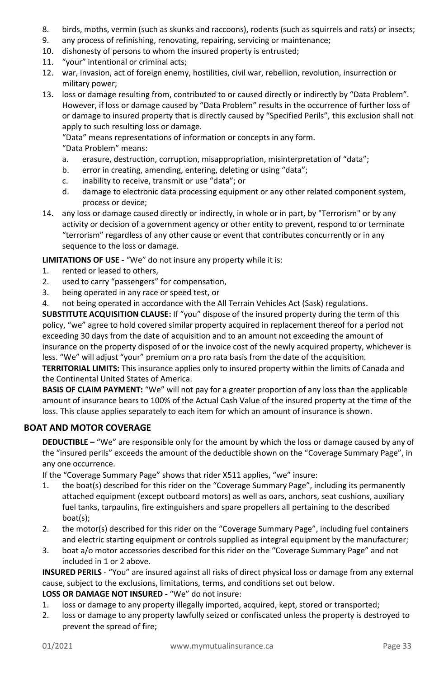- 8. birds, moths, vermin (such as skunks and raccoons), rodents (such as squirrels and rats) or insects;
- 9. any process of refinishing, renovating, repairing, servicing or maintenance;
- 10. dishonesty of persons to whom the insured property is entrusted;
- 11. "your" intentional or criminal acts;
- 12. war, invasion, act of foreign enemy, hostilities, civil war, rebellion, revolution, insurrection or military power;
- 13. loss or damage resulting from, contributed to or caused directly or indirectly by "Data Problem". However, if loss or damage caused by "Data Problem" results in the occurrence of further loss of or damage to insured property that is directly caused by "Specified Perils", this exclusion shall not apply to such resulting loss or damage.

"Data" means representations of information or concepts in any form.

"Data Problem" means:

- a. erasure, destruction, corruption, misappropriation, misinterpretation of "data";
- b. error in creating, amending, entering, deleting or using "data";
- c. inability to receive, transmit or use "data"; or
- d. damage to electronic data processing equipment or any other related component system, process or device;
- 14. any loss or damage caused directly or indirectly, in whole or in part, by "Terrorism" or by any activity or decision of a government agency or other entity to prevent, respond to or terminate "terrorism" regardless of any other cause or event that contributes concurrently or in any sequence to the loss or damage.

**LIMITATIONS OF USE -** "We" do not insure any property while it is:

- 1. rented or leased to others,
- 2. used to carry "passengers" for compensation,
- 3. being operated in any race or speed test, or
- 4. not being operated in accordance with the All Terrain Vehicles Act (Sask) regulations.

**SUBSTITUTE ACQUISITION CLAUSE:** If "you" dispose of the insured property during the term of this policy, "we" agree to hold covered similar property acquired in replacement thereof for a period not exceeding 30 days from the date of acquisition and to an amount not exceeding the amount of insurance on the property disposed of or the invoice cost of the newly acquired property, whichever is less. "We" will adjust "your" premium on a pro rata basis from the date of the acquisition.

**TERRITORIAL LIMITS:** This insurance applies only to insured property within the limits of Canada and the Continental United States of America.

**BASIS OF CLAIM PAYMENT:** "We" will not pay for a greater proportion of any loss than the applicable amount of insurance bears to 100% of the Actual Cash Value of the insured property at the time of the loss. This clause applies separately to each item for which an amount of insurance is shown.

# <span id="page-32-0"></span>**BOAT AND MOTOR COVERAGE**

**DEDUCTIBLE –** "We" are responsible only for the amount by which the loss or damage caused by any of the "insured perils" exceeds the amount of the deductible shown on the "Coverage Summary Page", in any one occurrence.

If the "Coverage Summary Page" shows that rider X511 applies, "we" insure:

- 1. the boat(s) described for this rider on the "Coverage Summary Page", including its permanently attached equipment (except outboard motors) as well as oars, anchors, seat cushions, auxiliary fuel tanks, tarpaulins, fire extinguishers and spare propellers all pertaining to the described boat(s);
- 2. the motor(s) described for this rider on the "Coverage Summary Page", including fuel containers and electric starting equipment or controls supplied as integral equipment by the manufacturer;
- 3. boat a/o motor accessories described for this rider on the "Coverage Summary Page" and not included in 1 or 2 above.

**INSURED PERILS** - "You" are insured against all risks of direct physical loss or damage from any external cause, subject to the exclusions, limitations, terms, and conditions set out below.

**LOSS OR DAMAGE NOT INSURED -** "We" do not insure:

- 1. loss or damage to any property illegally imported, acquired, kept, stored or transported;
- 2. loss or damage to any property lawfully seized or confiscated unless the property is destroyed to prevent the spread of fire;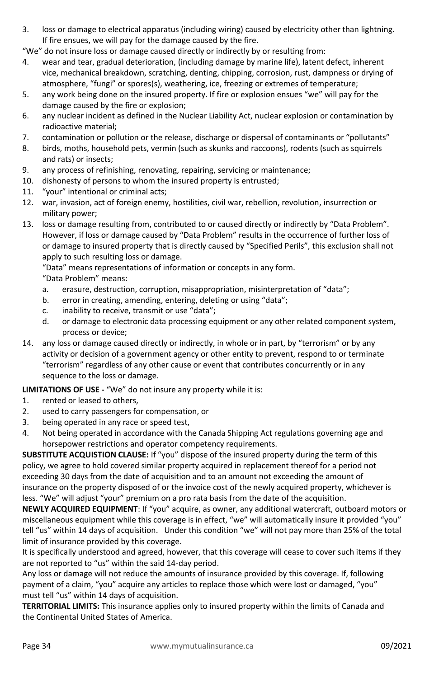- 3. loss or damage to electrical apparatus (including wiring) caused by electricity other than lightning. If fire ensues, we will pay for the damage caused by the fire.
- "We" do not insure loss or damage caused directly or indirectly by or resulting from:
- 4. wear and tear, gradual deterioration, (including damage by marine life), latent defect, inherent vice, mechanical breakdown, scratching, denting, chipping, corrosion, rust, dampness or drying of atmosphere, "fungi" or spores(s), weathering, ice, freezing or extremes of temperature;
- 5. any work being done on the insured property. If fire or explosion ensues "we" will pay for the damage caused by the fire or explosion;
- 6. any nuclear incident as defined in the Nuclear Liability Act, nuclear explosion or contamination by radioactive material;
- 7. contamination or pollution or the release, discharge or dispersal of contaminants or "pollutants"
- 8. birds, moths, household pets, vermin (such as skunks and raccoons), rodents (such as squirrels and rats) or insects;
- 9. any process of refinishing, renovating, repairing, servicing or maintenance;
- 10. dishonesty of persons to whom the insured property is entrusted;
- 11. "your" intentional or criminal acts;
- 12. war, invasion, act of foreign enemy, hostilities, civil war, rebellion, revolution, insurrection or military power;
- 13. loss or damage resulting from, contributed to or caused directly or indirectly by "Data Problem". However, if loss or damage caused by "Data Problem" results in the occurrence of further loss of or damage to insured property that is directly caused by "Specified Perils", this exclusion shall not apply to such resulting loss or damage.

"Data" means representations of information or concepts in any form.

"Data Problem" means:

- a. erasure, destruction, corruption, misappropriation, misinterpretation of "data";
- b. error in creating, amending, entering, deleting or using "data";
- c. inability to receive, transmit or use "data";
- d. or damage to electronic data processing equipment or any other related component system, process or device;
- 14. any loss or damage caused directly or indirectly, in whole or in part, by "terrorism" or by any activity or decision of a government agency or other entity to prevent, respond to or terminate "terrorism" regardless of any other cause or event that contributes concurrently or in any sequence to the loss or damage.

**LIMITATIONS OF USE -** "We" do not insure any property while it is:

- 1. rented or leased to others,
- 2. used to carry passengers for compensation, or
- 3. being operated in any race or speed test,
- 4. Not being operated in accordance with the Canada Shipping Act regulations governing age and horsepower restrictions and operator competency requirements.

**SUBSTITUTE ACQUISTION CLAUSE:** If "you" dispose of the insured property during the term of this policy, we agree to hold covered similar property acquired in replacement thereof for a period not exceeding 30 days from the date of acquisition and to an amount not exceeding the amount of insurance on the property disposed of or the invoice cost of the newly acquired property, whichever is less. "We" will adjust "your" premium on a pro rata basis from the date of the acquisition.

**NEWLY ACQUIRED EQUIPMENT**: If "you" acquire, as owner, any additional watercraft, outboard motors or miscellaneous equipment while this coverage is in effect, "we" will automatically insure it provided "you" tell "us" within 14 days of acquisition. Under this condition "we" will not pay more than 25% of the total limit of insurance provided by this coverage.

It is specifically understood and agreed, however, that this coverage will cease to cover such items if they are not reported to "us" within the said 14-day period.

Any loss or damage will not reduce the amounts of insurance provided by this coverage. If, following payment of a claim, "you" acquire any articles to replace those which were lost or damaged, "you" must tell "us" within 14 days of acquisition.

**TERRITORIAL LIMITS:** This insurance applies only to insured property within the limits of Canada and the Continental United States of America.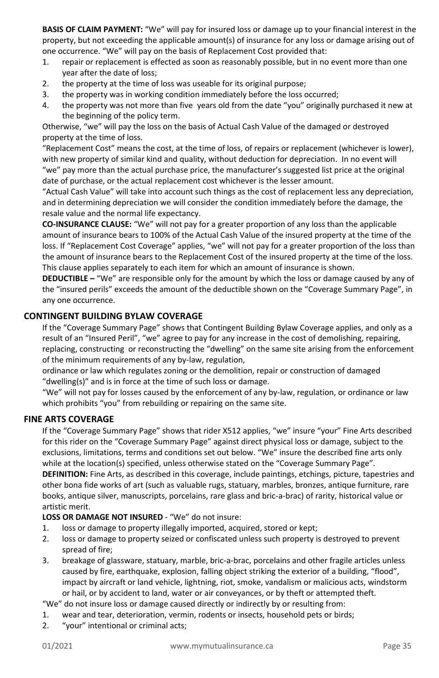**BASIS OF CLAIM PAYMENT:** "We" will pay for insured loss or damage up to your financial interest in the property, but not exceeding the applicable amount(s) of insurance for any loss or damage arising out of one occurrence. "We" will pay on the basis of Replacement Cost provided that:

- 1. repair or replacement is effected as soon as reasonably possible, but in no event more than one year after the date of loss;
- 2. the property at the time of loss was useable for its original purpose;
- 3. the property was in working condition immediately before the loss occurred;
- 4. the property was not more than five years old from the date "you" originally purchased it new at the beginning of the policy term.

Otherwise, "we" will pay the loss on the basis of Actual Cash Value of the damaged or destroyed property at the time of loss.

"Replacement Cost" means the cost, at the time of loss, of repairs or replacement (whichever is lower), with new property of similar kind and quality, without deduction for depreciation. In no event will "we" pay more than the actual purchase price, the manufacturer's suggested list price at the original date of purchase, or the actual replacement cost whichever is the lesser amount.

"Actual Cash Value" will take into account such things as the cost of replacement less any depreciation, and in determining depreciation we will consider the condition immediately before the damage, the resale value and the normal life expectancy.

**CO-INSURANCE CLAUSE:** "We" will not pay for a greater proportion of any loss than the applicable amount of insurance bears to 100% of the Actual Cash Value of the insured property at the time of the loss. If "Replacement Cost Coverage" applies, "we" will not pay for a greater proportion of the loss than the amount of insurance bears to the Replacement Cost of the insured property at the time of the loss. This clause applies separately to each item for which an amount of insurance is shown.

**DEDUCTIBLE –** "We" are responsible only for the amount by which the loss or damage caused by any of the "insured perils" exceeds the amount of the deductible shown on the "Coverage Summary Page", in any one occurrence.

#### <span id="page-34-0"></span>**CONTINGENT BUILDING BYLAW COVERAGE**

If the "Coverage Summary Page" shows that Contingent Building Bylaw Coverage applies, and only as a result of an "Insured Peril", "we" agree to pay for any increase in the cost of demolishing, repairing, replacing, constructing or reconstructing the "dwelling" on the same site arising from the enforcement of the minimum requirements of any by-law, regulation,

ordinance or law which regulates zoning or the demolition, repair or construction of damaged "dwelling(s)" and is in force at the time of such loss or damage.

"We" will not pay for losses caused by the enforcement of any by-law, regulation, or ordinance or law which prohibits "you" from rebuilding or repairing on the same site.

#### <span id="page-34-1"></span>**FINE ARTS COVERAGE**

If the "Coverage Summary Page" shows that rider X512 applies, "we" insure "your" Fine Arts described for this rider on the "Coverage Summary Page" against direct physical loss or damage, subject to the exclusions, limitations, terms and conditions set out below. "We" insure the described fine arts only while at the location(s) specified, unless otherwise stated on the "Coverage Summary Page". **DEFINITION:** Fine Arts, as described in this coverage, include paintings, etchings, picture, tapestries and other bona fide works of art (such as valuable rugs, statuary, marbles, bronzes, antique furniture, rare books, antique silver, manuscripts, porcelains, rare glass and bric-a-brac) of rarity, historical value or artistic merit.

#### **LOSS OR DAMAGE NOT INSURED** - "We" do not insure:

- 1. loss or damage to property illegally imported, acquired, stored or kept;
- 2. loss or damage to property seized or confiscated unless such property is destroyed to prevent spread of fire;
- 3. breakage of glassware, statuary, marble, bric-a-brac, porcelains and other fragile articles unless caused by fire, earthquake, explosion, falling object striking the exterior of a building, "flood", impact by aircraft or land vehicle, lightning, riot, smoke, vandalism or malicious acts, windstorm or hail, or by accident to land, water or air conveyances, or by theft or attempted theft.

"We" do not insure loss or damage caused directly or indirectly by or resulting from:

- 1. wear and tear, deterioration, vermin, rodents or insects, household pets or birds;
- 2. "your" intentional or criminal acts;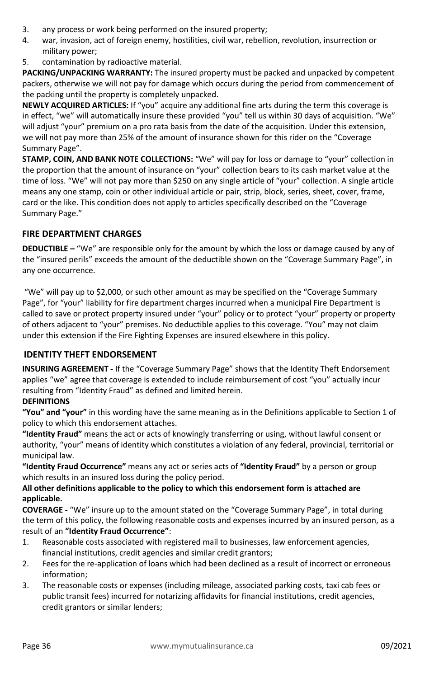- 3. any process or work being performed on the insured property;
- 4. war, invasion, act of foreign enemy, hostilities, civil war, rebellion, revolution, insurrection or military power;
- 5. contamination by radioactive material.

**PACKING/UNPACKING WARRANTY:** The insured property must be packed and unpacked by competent packers, otherwise we will not pay for damage which occurs during the period from commencement of the packing until the property is completely unpacked.

**NEWLY ACQUIRED ARTICLES:** If "you" acquire any additional fine arts during the term this coverage is in effect, "we" will automatically insure these provided "you" tell us within 30 days of acquisition. "We" will adjust "your" premium on a pro rata basis from the date of the acquisition. Under this extension, we will not pay more than 25% of the amount of insurance shown for this rider on the "Coverage Summary Page".

**STAMP, COIN, AND BANK NOTE COLLECTIONS:** "We" will pay for loss or damage to "your" collection in the proportion that the amount of insurance on "your" collection bears to its cash market value at the time of loss. "We" will not pay more than \$250 on any single article of "your" collection. A single article means any one stamp, coin or other individual article or pair, strip, block, series, sheet, cover, frame, card or the like. This condition does not apply to articles specifically described on the "Coverage Summary Page."

# <span id="page-35-0"></span>**FIRE DEPARTMENT CHARGES**

**DEDUCTIBLE –** "We" are responsible only for the amount by which the loss or damage caused by any of the "insured perils" exceeds the amount of the deductible shown on the "Coverage Summary Page", in any one occurrence.

"We" will pay up to \$2,000, or such other amount as may be specified on the "Coverage Summary Page", for "your" liability for fire department charges incurred when a municipal Fire Department is called to save or protect property insured under "your" policy or to protect "your" property or property of others adjacent to "your" premises. No deductible applies to this coverage. "You" may not claim under this extension if the Fire Fighting Expenses are insured elsewhere in this policy.

# <span id="page-35-1"></span>**IDENTITY THEFT ENDORSEMENT**

**INSURING AGREEMENT -** If the "Coverage Summary Page" shows that the Identity Theft Endorsement applies "we" agree that coverage is extended to include reimbursement of cost "you" actually incur resulting from "Identity Fraud" as defined and limited herein.

# **DEFINITIONS**

**"You" and "your"** in this wording have the same meaning as in the Definitions applicable to Section 1 of policy to which this endorsement attaches.

**"Identity Fraud"** means the act or acts of knowingly transferring or using, without lawful consent or authority, "your" means of identity which constitutes a violation of any federal, provincial, territorial or municipal law.

**"Identity Fraud Occurrence"** means any act or series acts of **"Identity Fraud"** by a person or group which results in an insured loss during the policy period.

# **All other definitions applicable to the policy to which this endorsement form is attached are applicable.**

**COVERAGE -** "We" insure up to the amount stated on the "Coverage Summary Page", in total during the term of this policy, the following reasonable costs and expenses incurred by an insured person, as a result of an **"Identity Fraud Occurrence"**:

- 1. Reasonable costs associated with registered mail to businesses, law enforcement agencies, financial institutions, credit agencies and similar credit grantors;
- 2. Fees for the re-application of loans which had been declined as a result of incorrect or erroneous information;
- 3. The reasonable costs or expenses (including mileage, associated parking costs, taxi cab fees or public transit fees) incurred for notarizing affidavits for financial institutions, credit agencies, credit grantors or similar lenders;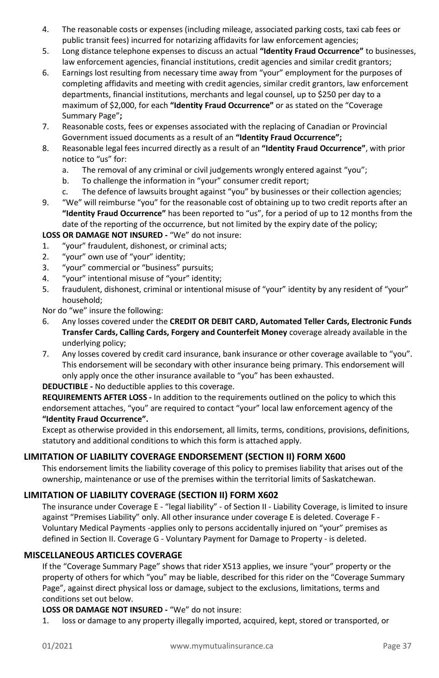- 4. The reasonable costs or expenses (including mileage, associated parking costs, taxi cab fees or public transit fees) incurred for notarizing affidavits for law enforcement agencies;
- 5. Long distance telephone expenses to discuss an actual **"Identity Fraud Occurrence"** to businesses, law enforcement agencies, financial institutions, credit agencies and similar credit grantors;
- 6. Earnings lost resulting from necessary time away from "your" employment for the purposes of completing affidavits and meeting with credit agencies, similar credit grantors, law enforcement departments, financial institutions, merchants and legal counsel, up to \$250 per day to a maximum of \$2,000, for each **"Identity Fraud Occurrence"** or as stated on the "Coverage Summary Page"**;**
- 7. Reasonable costs, fees or expenses associated with the replacing of Canadian or Provincial Government issued documents as a result of an **"Identity Fraud Occurrence";**
- 8. Reasonable legal fees incurred directly as a result of an **"Identity Fraud Occurrence"**, with prior notice to "us" for:
	- a. The removal of any criminal or civil judgements wrongly entered against "you";
	- b. To challenge the information in "your" consumer credit report;
	- c. The defence of lawsuits brought against "you" by businesses or their collection agencies;
- 9. "We" will reimburse "you" for the reasonable cost of obtaining up to two credit reports after an **"Identity Fraud Occurrence"** has been reported to "us", for a period of up to 12 months from the date of the reporting of the occurrence, but not limited by the expiry date of the policy;

# **LOSS OR DAMAGE NOT INSURED -** "We" do not insure:

- 1. "your" fraudulent, dishonest, or criminal acts;<br>2. "your" own use of "your" identity:
- "your" own use of "your" identity;
- 3. "your" commercial or "business" pursuits;
- 4. "your" intentional misuse of "your" identity;
- 5. fraudulent, dishonest, criminal or intentional misuse of "your" identity by any resident of "your" household;

Nor do "we" insure the following:

- 6. Any losses covered under the **CREDIT OR DEBIT CARD, Automated Teller Cards, Electronic Funds Transfer Cards, Calling Cards, Forgery and Counterfeit Money** coverage already available in the underlying policy;
- 7. Any losses covered by credit card insurance, bank insurance or other coverage available to "you". This endorsement will be secondary with other insurance being primary. This endorsement will only apply once the other insurance available to "you" has been exhausted.

**DEDUCTIBLE -** No deductible applies to this coverage.

**REQUIREMENTS AFTER LOSS -** In addition to the requirements outlined on the policy to which this endorsement attaches, "you" are required to contact "your" local law enforcement agency of the **"Identity Fraud Occurrence".** 

Except as otherwise provided in this endorsement, all limits, terms, conditions, provisions, definitions, statutory and additional conditions to which this form is attached apply.

# <span id="page-36-0"></span>**LIMITATION OF LIABILITY COVERAGE ENDORSEMENT (SECTION II) FORM X600**

This endorsement limits the liability coverage of this policy to premises liability that arises out of the ownership, maintenance or use of the premises within the territorial limits of Saskatchewan.

# <span id="page-36-1"></span>**LIMITATION OF LIABILITY COVERAGE (SECTION II) FORM X602**

The insurance under Coverage E - "legal liability" - of Section II - Liability Coverage, is limited to insure against "Premises Liability" only. All other insurance under coverage E is deleted. Coverage F - Voluntary Medical Payments -applies only to persons accidentally injured on "your" premises as defined in Section II. Coverage G - Voluntary Payment for Damage to Property - is deleted.

# <span id="page-36-2"></span>**MISCELLANEOUS ARTICLES COVERAGE**

If the "Coverage Summary Page" shows that rider X513 applies, we insure "your" property or the property of others for which "you" may be liable, described for this rider on the "Coverage Summary Page", against direct physical loss or damage, subject to the exclusions, limitations, terms and conditions set out below.

# **LOSS OR DAMAGE NOT INSURED -** "We" do not insure:

1. loss or damage to any property illegally imported, acquired, kept, stored or transported, or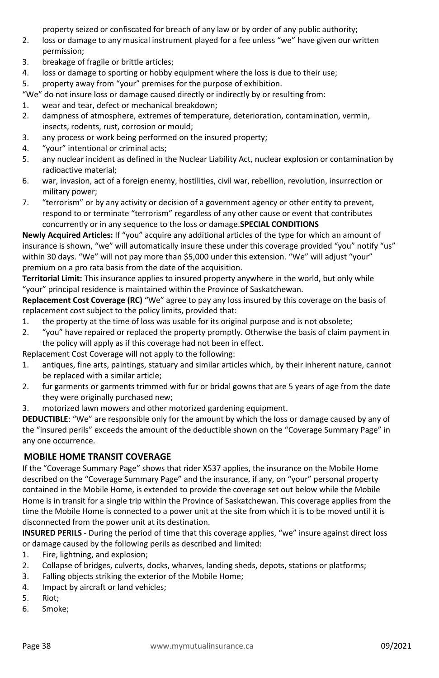property seized or confiscated for breach of any law or by order of any public authority;

- 2. loss or damage to any musical instrument played for a fee unless "we" have given our written permission;
- 3. breakage of fragile or brittle articles;
- 4. loss or damage to sporting or hobby equipment where the loss is due to their use;
- 5. property away from "your" premises for the purpose of exhibition.

"We" do not insure loss or damage caused directly or indirectly by or resulting from:

- 1. wear and tear, defect or mechanical breakdown;
- 2. dampness of atmosphere, extremes of temperature, deterioration, contamination, vermin, insects, rodents, rust, corrosion or mould;
- 3. any process or work being performed on the insured property;
- 4. "your" intentional or criminal acts;
- 5. any nuclear incident as defined in the Nuclear Liability Act, nuclear explosion or contamination by radioactive material;
- 6. war, invasion, act of a foreign enemy, hostilities, civil war, rebellion, revolution, insurrection or military power;
- 7. "terrorism" or by any activity or decision of a government agency or other entity to prevent, respond to or terminate "terrorism" regardless of any other cause or event that contributes concurrently or in any sequence to the loss or damage.**SPECIAL CONDITIONS**

**Newly Acquired Articles:** If "you" acquire any additional articles of the type for which an amount of insurance is shown, "we" will automatically insure these under this coverage provided "you" notify "us" within 30 days. "We" will not pay more than \$5,000 under this extension. "We" will adjust "your" premium on a pro rata basis from the date of the acquisition.

**Territorial Limit:** This insurance applies to insured property anywhere in the world, but only while "your" principal residence is maintained within the Province of Saskatchewan.

**Replacement Cost Coverage (RC)** "We" agree to pay any loss insured by this coverage on the basis of replacement cost subject to the policy limits, provided that:

- 1. the property at the time of loss was usable for its original purpose and is not obsolete;
- 2. "you" have repaired or replaced the property promptly. Otherwise the basis of claim payment in the policy will apply as if this coverage had not been in effect.

Replacement Cost Coverage will not apply to the following:

- 1. antiques, fine arts, paintings, statuary and similar articles which, by their inherent nature, cannot be replaced with a similar article;
- 2. fur garments or garments trimmed with fur or bridal gowns that are 5 years of age from the date they were originally purchased new;
- 3. motorized lawn mowers and other motorized gardening equipment.

**DEDUCTIBLE**: "We" are responsible only for the amount by which the loss or damage caused by any of the "insured perils" exceeds the amount of the deductible shown on the "Coverage Summary Page" in any one occurrence.

# <span id="page-37-0"></span>**MOBILE HOME TRANSIT COVERAGE**

If the "Coverage Summary Page" shows that rider X537 applies, the insurance on the Mobile Home described on the "Coverage Summary Page" and the insurance, if any, on "your" personal property contained in the Mobile Home, is extended to provide the coverage set out below while the Mobile Home is in transit for a single trip within the Province of Saskatchewan. This coverage applies from the time the Mobile Home is connected to a power unit at the site from which it is to be moved until it is disconnected from the power unit at its destination.

**INSURED PERILS** - During the period of time that this coverage applies, "we" insure against direct loss or damage caused by the following perils as described and limited:

- 1. Fire, lightning, and explosion;
- 2. Collapse of bridges, culverts, docks, wharves, landing sheds, depots, stations or platforms;
- 3. Falling objects striking the exterior of the Mobile Home;
- 4. Impact by aircraft or land vehicles;
- 5. Riot;
- 6. Smoke;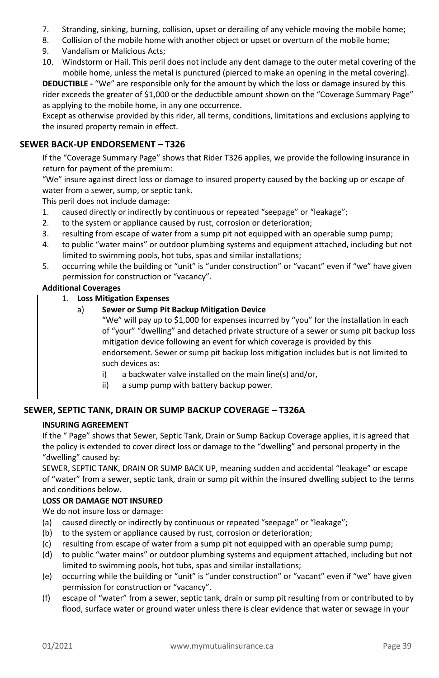- 7. Stranding, sinking, burning, collision, upset or derailing of any vehicle moving the mobile home;
- 8. Collision of the mobile home with another object or upset or overturn of the mobile home;
- 9. Vandalism or Malicious Acts;
- 10. Windstorm or Hail. This peril does not include any dent damage to the outer metal covering of the mobile home, unless the metal is punctured (pierced to make an opening in the metal covering).

**DEDUCTIBLE -** "We" are responsible only for the amount by which the loss or damage insured by this rider exceeds the greater of \$1,000 or the deductible amount shown on the "Coverage Summary Page" as applying to the mobile home, in any one occurrence.

Except as otherwise provided by this rider, all terms, conditions, limitations and exclusions applying to the insured property remain in effect.

# <span id="page-38-0"></span>**SEWER BACK-UP ENDORSEMENT – T326**

If the "Coverage Summary Page" shows that Rider T326 applies, we provide the following insurance in return for payment of the premium:

"We" insure against direct loss or damage to insured property caused by the backing up or escape of water from a sewer, sump, or septic tank.

This peril does not include damage:

- 1. caused directly or indirectly by continuous or repeated "seepage" or "leakage";
- 2. to the system or appliance caused by rust, corrosion or deterioration;
- 3. resulting from escape of water from a sump pit not equipped with an operable sump pump;
- 4. to public "water mains" or outdoor plumbing systems and equipment attached, including but not limited to swimming pools, hot tubs, spas and similar installations;
- 5. occurring while the building or "unit" is "under construction" or "vacant" even if "we" have given permission for construction or "vacancy".

#### **Additional Coverages**

- 1. **Loss Mitigation Expenses**
	- a) **Sewer or Sump Pit Backup Mitigation Device**

"We" will pay up to \$1,000 for expenses incurred by "you" for the installation in each of "your" "dwelling" and detached private structure of a sewer or sump pit backup loss mitigation device following an event for which coverage is provided by this endorsement. Sewer or sump pit backup loss mitigation includes but is not limited to such devices as:

- i) a backwater valve installed on the main line(s) and/or,
- ii) a sump pump with battery backup power.

# <span id="page-38-1"></span>**SEWER, SEPTIC TANK, DRAIN OR SUMP BACKUP COVERAGE – T326A**

#### **INSURING AGREEMENT**

If the " Page" shows that Sewer, Septic Tank, Drain or Sump Backup Coverage applies, it is agreed that the policy is extended to cover direct loss or damage to the "dwelling" and personal property in the "dwelling" caused by:

SEWER, SEPTIC TANK, DRAIN OR SUMP BACK UP, meaning sudden and accidental "leakage" or escape of "water" from a sewer, septic tank, drain or sump pit within the insured dwelling subject to the terms and conditions below.

#### **LOSS OR DAMAGE NOT INSURED**

We do not insure loss or damage:

- (a) caused directly or indirectly by continuous or repeated "seepage" or "leakage";
- (b) to the system or appliance caused by rust, corrosion or deterioration;
- (c) resulting from escape of water from a sump pit not equipped with an operable sump pump;
- (d) to public "water mains" or outdoor plumbing systems and equipment attached, including but not limited to swimming pools, hot tubs, spas and similar installations;
- (e) occurring while the building or "unit" is "under construction" or "vacant" even if "we" have given permission for construction or "vacancy".
- (f) escape of "water" from a sewer, septic tank, drain or sump pit resulting from or contributed to by flood, surface water or ground water unless there is clear evidence that water or sewage in your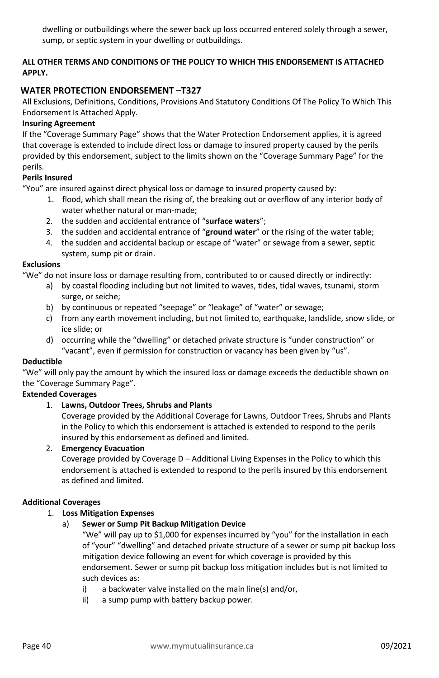dwelling or outbuildings where the sewer back up loss occurred entered solely through a sewer, sump, or septic system in your dwelling or outbuildings.

# **ALL OTHER TERMS AND CONDITIONS OF THE POLICY TO WHICH THIS ENDORSEMENT IS ATTACHED APPLY.**

# <span id="page-39-0"></span>**WATER PROTECTION ENDORSEMENT –T327**

All Exclusions, Definitions, Conditions, Provisions And Statutory Conditions Of The Policy To Which This Endorsement Is Attached Apply.

#### **Insuring Agreement**

If the "Coverage Summary Page" shows that the Water Protection Endorsement applies, it is agreed that coverage is extended to include direct loss or damage to insured property caused by the perils provided by this endorsement, subject to the limits shown on the "Coverage Summary Page" for the perils.

#### **Perils Insured**

"You" are insured against direct physical loss or damage to insured property caused by:

- 1. flood, which shall mean the rising of, the breaking out or overflow of any interior body of water whether natural or man-made;
- 2. the sudden and accidental entrance of "**surface waters**";
- 3. the sudden and accidental entrance of "**ground water**" or the rising of the water table;
- 4. the sudden and accidental backup or escape of "water" or sewage from a sewer, septic system, sump pit or drain.

#### **Exclusions**

"We" do not insure loss or damage resulting from, contributed to or caused directly or indirectly:

- a) by coastal flooding including but not limited to waves, tides, tidal waves, tsunami, storm surge, or seiche;
- b) by continuous or repeated "seepage" or "leakage" of "water" or sewage;
- c) from any earth movement including, but not limited to, earthquake, landslide, snow slide, or ice slide; or
- d) occurring while the "dwelling" or detached private structure is "under construction" or "vacant", even if permission for construction or vacancy has been given by "us".

#### **Deductible**

"We" will only pay the amount by which the insured loss or damage exceeds the deductible shown on the "Coverage Summary Page".

#### **Extended Coverages**

#### 1. **Lawns, Outdoor Trees, Shrubs and Plants**

Coverage provided by the Additional Coverage for Lawns, Outdoor Trees, Shrubs and Plants in the Policy to which this endorsement is attached is extended to respond to the perils insured by this endorsement as defined and limited.

#### 2. **Emergency Evacuation**

Coverage provided by Coverage D – Additional Living Expenses in the Policy to which this endorsement is attached is extended to respond to the perils insured by this endorsement as defined and limited.

#### **Additional Coverages**

#### 1. **Loss Mitigation Expenses**

a) **Sewer or Sump Pit Backup Mitigation Device**

"We" will pay up to \$1,000 for expenses incurred by "you" for the installation in each of "your" "dwelling" and detached private structure of a sewer or sump pit backup loss mitigation device following an event for which coverage is provided by this endorsement. Sewer or sump pit backup loss mitigation includes but is not limited to such devices as:

- i) a backwater valve installed on the main line(s) and/or,
- ii) a sump pump with battery backup power.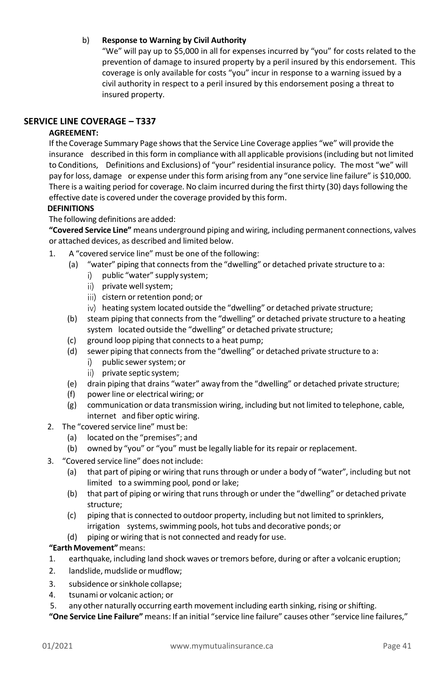#### b) **Response to Warning by Civil Authority**

"We" will pay up to \$5,000 in all for expenses incurred by "you" for costs related to the prevention of damage to insured property by a peril insured by this endorsement. This coverage is only available for costs "you" incur in response to a warning issued by a civil authority in respect to a peril insured by this endorsement posing a threat to insured property.

# <span id="page-40-0"></span>**SERVICE LINE COVERAGE – T337**

#### **AGREEMENT:**

If the Coverage Summary Page showsthat the Service Line Coverage applies "we" will provide the insurance described in thisform in compliance with all applicable provisions(including but not limited to Conditions, Definitions and Exclusions) of "your" residential insurance policy. The most "we" will pay for loss, damage or expense under this form arising from any "one service line failure" is \$10,000. There is a waiting period for coverage. No claim incurred during the first thirty (30) daysfollowing the effective date is covered under the coverage provided by this form.

#### **DEFINITIONS**

The following definitions are added:

**"Covered Service Line"** means underground piping and wiring, including permanent connections, valves or attached devices, as described and limited below.

- 1. A "covered service line" must be one of the following:
	- (a) "water" piping that connects from the "dwelling" or detached private structure to a:
		- i) public "water" supply system;
		- ii) private well system;
		- iii) cistern or retention pond; or
		- iv) heating system located outside the "dwelling" or detached private structure;
	- (b) steam piping that connects from the "dwelling" or detached private structure to a heating system located outside the "dwelling" or detached private structure;
	- (c) ground loop piping that connects to a heat pump;
	- (d) sewer piping that connects from the "dwelling" or detached private structure to a:
		- public sewer system; or  $\vert \vert$
		- ii) private septic system:
	- (e) drain piping that drains "water" away from the "dwelling" or detached private structure;
	- (f) power line or electrical wiring; or
	- (g) communication or data transmission wiring, including but not limited to telephone, cable, internet and fiber optic wiring.
- 2. The "covered service line" must be:
	- (a) located on the "premises"; and
	- (b) owned by "you" or "you" must be legally liable for itsrepair or replacement.
- 3. "Covered service line" does not include:
	- (a) that part of piping or wiring that runsthrough or under a body of "water", including but not limited to a swimming pool, pond or lake;
	- (b) that part of piping or wiring that runsthrough or under the "dwelling" or detached private structure;
	- (c) piping that is connected to outdoor property, including but not limited to sprinklers, irrigation systems, swimming pools, hot tubs and decorative ponds; or
	- (d) piping or wiring that is not connected and ready for use.

# **"EarthMovement"**means:

- 1. earthquake, including land shock waves ortremors before, during or after a volcanic eruption;
- 2. landslide, mudslide or mudflow;
- 3. subsidence or sinkhole collapse;
- 4. tsunami or volcanic action; or
- 5. any other naturally occurring earth movement including earth sinking, rising orshifting.

**"One Service Line Failure"** means: If an initial "service line failure" causes other "service line failures,"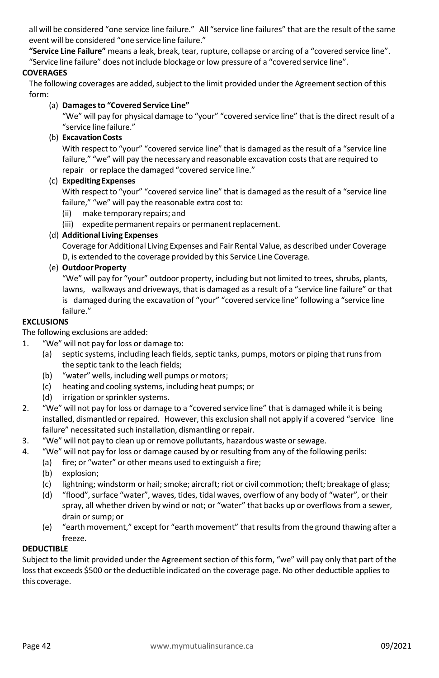all will be considered "one service line failure." All "service line failures" that are the result of the same event will be considered "one service line failure."

**"Service Line Failure"** means a leak, break, tear, rupture, collapse or arcing of a "covered service line".

"Service line failure" does not include blockage or low pressure of a "covered service line".

# **COVERAGES**

The following coverages are added, subject to the limit provided under the Agreement section of this form:

#### (a) **Damagesto "Covered Service Line"**

"We" will pay for physical damage to "your" "covered service line" that isthe direct result of a "service line failure."

# (b) **ExcavationCosts**

With respect to "your" "covered service line" that is damaged asthe result of a "service line failure," "we" will pay the necessary and reasonable excavation costs that are required to repair orreplace the damaged "covered service line."

#### (c) **ExpeditingExpenses**

With respect to "your" "covered service line" that is damaged as the result of a "service line failure," "we" will pay the reasonable extra cost to:

(ii) make temporary repairs; and

(iii) expedite permanent repairs or permanent replacement.

#### (d) **Additional Living Expenses**

Coverage for Additional Living Expenses and Fair Rental Value, as described under Coverage D, is extended to the coverage provided by this Service Line Coverage.

#### (e) **OutdoorProperty**

"We" will pay for "your" outdoor property, including but not limited to trees, shrubs, plants, lawns, walkways and driveways, that is damaged as a result of a "service line failure" or that is damaged during the excavation of "your" "covered service line" following a "service line failure."

# **EXCLUSIONS**

The following exclusions are added:

- 1. "We" will not pay for loss or damage to:
	- (a) septic systems, including leach fields, septic tanks, pumps, motors or piping that runs from the septic tank to the leach fields;
	- (b) "water" wells, including well pumps or motors;
	- (c) heating and cooling systems, including heat pumps; or
	- (d) irrigation or sprinkler systems.
- 2. "We" will not pay for loss or damage to a "covered service line" that is damaged while it is being installed, dismantled or repaired. However, this exclusion shall not apply if a covered "service line failure" necessitated such installation, dismantling or repair.
- 3. "We" will not pay to clean up or remove pollutants, hazardous waste or sewage.
- 4. "We" will not pay for loss or damage caused by or resulting from any of the following perils:
	- (a) fire; or "water" or other means used to extinguish a fire;
	- (b) explosion;
	- (c) lightning; windstorm or hail; smoke; aircraft; riot or civil commotion; theft; breakage of glass;
	- (d) "flood",surface "water", waves, tides, tidal waves, overflow of any body of "water", or their spray, all whether driven by wind or not; or "water" that backs up or overflowsfrom a sewer, drain or sump; or
	- (e) "earth movement," except for "earth movement" that results from the ground thawing after a freeze.

#### **DEDUCTIBLE**

Subject to the limit provided under the Agreement section of this form, "we" will pay only that part of the loss that exceeds \$500 or the deductible indicated on the coverage page. No other deductible applies to this coverage.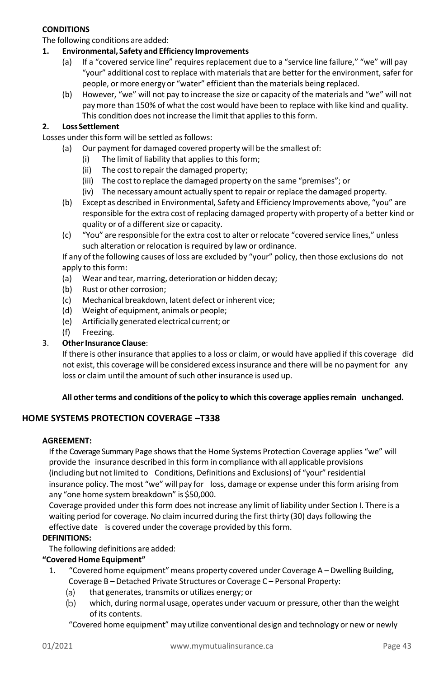# **CONDITIONS**

The following conditions are added:

#### **1. Environmental, Safety and Efficiency Improvements**

- (a) If a "covered service line" requires replacement due to a "service line failure," "we" will pay "your" additional cost to replace with materials that are better for the environment, safer for people, or more energy or "water" efficient than the materials being replaced.
- (b) However, "we" will not pay to increase the size or capacity of the materials and "we" will not pay more than 150% of what the cost would have been to replace with like kind and quality. This condition does not increase the limit that applies to this form.

#### **2. LossSettlement**

- Losses under this form will be settled as follows:
	- (a) Our payment for damaged covered property will be the smallest of:
		- (i) The limit of liability that applies to this form;
		- (ii) The cost to repair the damaged property;
		- (iii) The cost to replace the damaged property on the same "premises"; or
		- (iv) The necessary amount actually spent to repair or replace the damaged property.
	- (b) Except as described in Environmental, Safety and Efficiency Improvements above, "you" are responsible for the extra cost of replacing damaged property with property of a better kind or quality or of a different size or capacity.
	- (c) "You" are responsible for the extra cost to alter or relocate "covered service lines," unless such alteration or relocation is required by law or ordinance.

If any of the following causes of loss are excluded by "your" policy, then those exclusions do not apply to this form:

- (a) Wear and tear, marring, deterioration or hidden decay;
- (b) Rust or other corrosion;
- (c) Mechanical breakdown, latent defect orinherent vice;
- (d) Weight of equipment, animals or people;
- (e) Artificially generated electrical current; or
- (f) Freezing.

#### 3. **OtherInsurance Clause**:

If there is other insurance that appliesto a loss or claim, or would have applied if this coverage did not exist, this coverage will be considered excessinsurance and there will be no payment for any loss or claim until the amount of such other insurance is used up.

#### **All other terms and conditions of the policy to which this coverage appliesremain unchanged.**

# <span id="page-42-0"></span>**HOME SYSTEMS PROTECTION COVERAGE –T338**

#### **AGREEMENT:**

If the Coverage Summary Page showsthat the Home Systems Protection Coverage applies "we" will provide the insurance described in this form in compliance with all applicable provisions (including but not limited to Conditions, Definitions and Exclusions) of "your" residential insurance policy. The most "we" will pay for loss, damage or expense under thisform arising from any "one home system breakdown" is \$50,000.

Coverage provided under thisform does not increase any limit of liability under Section I. There is a waiting period for coverage. No claim incurred during the first thirty (30) days following the effective date is covered under the coverage provided by this form.

#### **DEFINITIONS:**

The following definitions are added:

#### **"CoveredHome Equipment"**

- 1. "Covered home equipment" means property covered under Coverage A Dwelling Building, Coverage B – Detached Private Structures or Coverage C – Personal Property:
	- that generates, transmits or utilizes energy; or (a)
	- which, during normal usage, operates under vacuum or pressure, other than the weight (b) of its contents.
	- "Covered home equipment" may utilize conventional design and technology or new or newly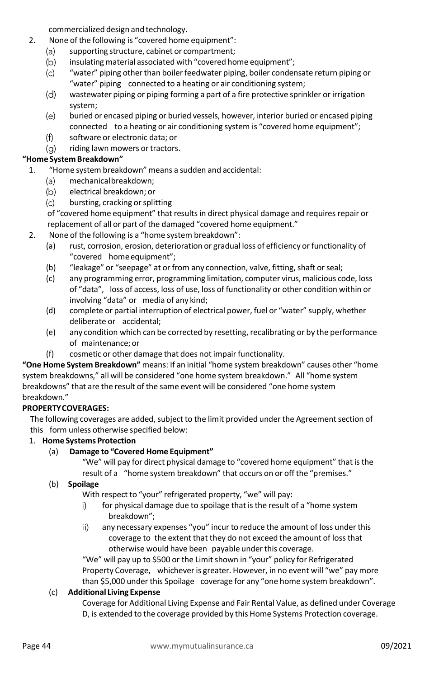commercialized design and technology.

- 2. None of the following is "covered home equipment":
	- $(a)$ supporting structure, cabinet or compartment;
	- $(b)$ insulating material associated with "covered home equipment";
	- $(c)$ "water" piping other than boiler feedwater piping, boiler condensate return piping or "water" piping connected to a heating or air conditioning system;
	- $(d)$ wastewater piping or piping forming a part of a fire protective sprinkler or irrigation system;
	- $(e)$ buried or encased piping or buried vessels, however, interior buried or encased piping connected to a heating or air conditioning system is "covered home equipment";
	- $(f)$ software or electronic data; or
	- (a) riding lawn mowers or tractors.

# **"Home System Breakdown"**

- 1. "Home system breakdown" means a sudden and accidental:
	- mechanicalbreakdown; (a)
	- $(b)$ electrical breakdown; or
	- $(c)$ bursting, cracking or splitting

of "covered home equipment" that resultsin direct physical damage and requires repair or replacement of all or part of the damaged "covered home equipment."

- 2. None of the following is a "home system breakdown":
	- (a) rust, corrosion, erosion, deterioration or gradual loss of efficiency or functionality of "covered homeequipment";
	- (b) "leakage" or "seepage" at or from any connection, valve, fitting, shaft or seal;
	- (c) any programming error, programming limitation, computer virus, malicious code, loss of "data", loss of access, loss of use, loss of functionality or other condition within or involving "data" or media of any kind;
	- (d) complete or partial interruption of electrical power, fuel or "water" supply, whether deliberate or accidental;
	- (e) any condition which can be corrected by resetting, recalibrating or by the performance of maintenance; or
	- (f) cosmetic or other damage that does not impair functionality.

**"One Home System Breakdown"** means: If an initial "home system breakdown" causes other "home system breakdowns," all will be considered "one home system breakdown." All "home system breakdowns" that are the result of the same event will be considered "one home system breakdown."

# **PROPERTYCOVERAGES:**

The following coverages are added, subject to the limit provided under the Agreement section of this form unless otherwise specified below:

# 1. **Home Systems Protection**

# (a) **Damage to "Covered Home Equipment"**

"We" will pay for direct physical damage to "covered home equipment" that is the result of a "home system breakdown" that occurs on or off the "premises."

# (b) **Spoilage**

With respect to "your" refrigerated property, "we" will pay:

- i) for physical damage due to spoilage that is the result of a "home system breakdown";
- ii) any necessary expenses "you" incur to reduce the amount of loss under this coverage to the extent that they do not exceed the amount of lossthat otherwise would have been payable under this coverage.

"We" will pay up to \$500 or the Limit shown in "your" policy for Refrigerated Property Coverage, whichever is greater. However, in no event will "we" pay more than \$5,000 under this Spoilage coverage for any "one home system breakdown".

# (c) **Additional Living Expense**

Coverage for Additional Living Expense and Fair Rental Value, as defined under Coverage D, is extended to the coverage provided by this Home Systems Protection coverage.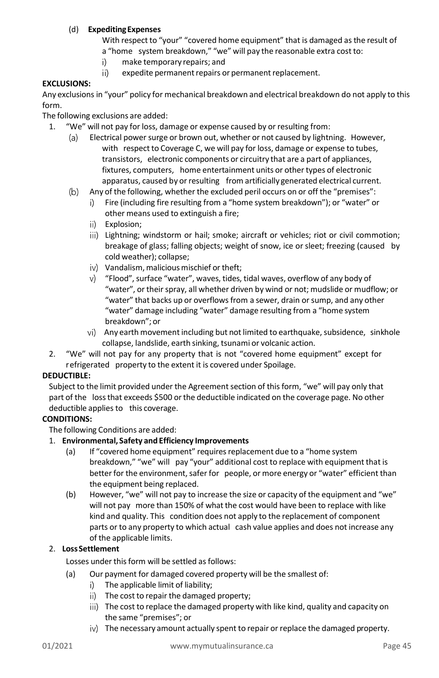# (d) **ExpeditingExpenses**

With respect to "your" "covered home equipment" that is damaged as the result of a "home system breakdown," "we" will pay the reasonable extra cost to:

- i) make temporary repairs; and
- ii) expedite permanent repairs or permanent replacement.

# **EXCLUSIONS:**

Any exclusions in "your" policy for mechanical breakdown and electrical breakdown do not apply to this form.

The following exclusions are added:

- 1. "We" will not pay for loss, damage or expense caused by or resulting from:
	- Electrical power surge or brown out, whether or not caused by lightning. However,  $(a)$ with respect to Coverage C, we will pay for loss, damage or expense to tubes, transistors, electronic components or circuitry that are a part of appliances, fixtures, computers, home entertainment units or other types of electronic apparatus, caused by or resulting from artificially generated electrical current.
	- $(b)$ Any of the following, whether the excluded peril occurs on or off the "premises":
		- i) Fire (including fire resulting from a "home system breakdown"); or "water" or other means used to extinguish a fire;
		- ii) Explosion:
		- iii) Lightning; windstorm or hail; smoke; aircraft or vehicles; riot or civil commotion; breakage of glass; falling objects; weight of snow, ice or sleet; freezing (caused by cold weather); collapse;
		- iv) Vandalism, malicious mischief or theft;
		- "Flood",surface "water", waves, tides, tidal waves, overflow of any body of V) "water", or their spray, all whether driven by wind or not; mudslide or mudflow; or "water" that backs up or overflows from a sewer, drain or sump, and any other "water" damage including "water" damage resulting from a "home system breakdown"; or
		- vi) Any earth movement including but not limited to earthquake, subsidence, sinkhole collapse, landslide, earth sinking, tsunami or volcanic action.
- 2. "We" will not pay for any property that is not "covered home equipment" except for refrigerated property to the extent it is covered under Spoilage.

# **DEDUCTIBLE:**

Subject to the limit provided under the Agreement section of this form, "we" will pay only that part of the lossthat exceeds \$500 orthe deductible indicated on the coverage page. No other deductible applies to this coverage.

# **CONDITIONS:**

The following Conditions are added:

#### 1. **Environmental, Safety and Efficiency Improvements**

- (a) If "covered home equipment" requires replacement due to a "home system breakdown," "we" will pay "your" additional cost to replace with equipment that is better for the environment, safer for people, or more energy or "water" efficient than the equipment being replaced.
- (b) However, "we" will not pay to increase the size or capacity of the equipment and "we" will not pay more than 150% of what the cost would have been to replace with like kind and quality. This condition does not apply to the replacement of component parts or to any property to which actual cash value applies and does not increase any of the applicable limits.

# 2. **LossSettlement**

Losses under this form will be settled as follows:

- (a) Our payment for damaged covered property will be the smallest of:
	- i) The applicable limit of liability;
	- ii) The cost to repair the damaged property;
	- iii) The cost to replace the damaged property with like kind, quality and capacity on the same "premises"; or
	- iv) The necessary amount actually spent to repair or replace the damaged property.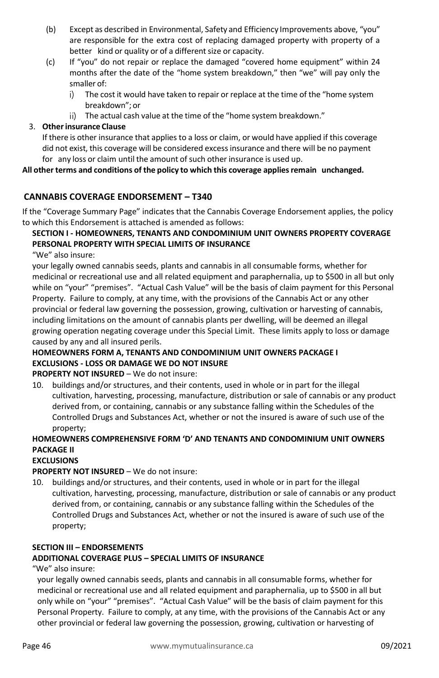- (b) Except as described in Environmental, Safety and Efficiency Improvements above, "you" are responsible for the extra cost of replacing damaged property with property of a better kind or quality or of a different size or capacity.
- (c) If "you" do not repair or replace the damaged "covered home equipment" within 24 months after the date of the "home system breakdown," then "we" will pay only the smaller of:
	- i). The cost it would have taken to repair or replace at the time of the "home system breakdown"; or
	- ii) The actual cash value at the time of the "home system breakdown."

# 3. **Otherinsurance Clause**

If there is other insurance that applies to a loss or claim, or would have applied if this coverage did not exist, this coverage will be considered excessinsurance and there will be no payment for any loss or claim until the amount of such other insurance is used up.

# **All other terms and conditions of the policy to which this coverage appliesremain unchanged.**

# <span id="page-45-0"></span>**CANNABIS COVERAGE ENDORSEMENT – T340**

If the "Coverage Summary Page" indicates that the Cannabis Coverage Endorsement applies, the policy to which this Endorsement is attached is amended as follows:

# **SECTION I - HOMEOWNERS, TENANTS AND CONDOMINIUM UNIT OWNERS PROPERTY COVERAGE PERSONAL PROPERTY WITH SPECIAL LIMITS OF INSURANCE**

"We" also insure:

your legally owned cannabis seeds, plants and cannabis in all consumable forms, whether for medicinal or recreational use and all related equipment and paraphernalia, up to \$500 in all but only while on "your" "premises". "Actual Cash Value" will be the basis of claim payment for this Personal Property. Failure to comply, at any time, with the provisions of the Cannabis Act or any other provincial or federal law governing the possession, growing, cultivation or harvesting of cannabis, including limitations on the amount of cannabis plants per dwelling, will be deemed an illegal growing operation negating coverage under this Special Limit. These limits apply to loss or damage caused by any and all insured perils.

# **HOMEOWNERS FORM A, TENANTS AND CONDOMINIUM UNIT OWNERS PACKAGE I EXCLUSIONS - LOSS OR DAMAGE WE DO NOT INSURE**

**PROPERTY NOT INSURED** – We do not insure:

10. buildings and/or structures, and their contents, used in whole or in part for the illegal cultivation, harvesting, processing, manufacture, distribution or sale of cannabis or any product derived from, or containing, cannabis or any substance falling within the Schedules of the Controlled Drugs and Substances Act, whether or not the insured is aware of such use of the property;

# **HOMEOWNERS COMPREHENSIVE FORM 'D' AND TENANTS AND CONDOMINIUM UNIT OWNERS PACKAGE II**

# **EXCLUSIONS**

# **PROPERTY NOT INSURED** – We do not insure:

10. buildings and/or structures, and their contents, used in whole or in part for the illegal cultivation, harvesting, processing, manufacture, distribution or sale of cannabis or any product derived from, or containing, cannabis or any substance falling within the Schedules of the Controlled Drugs and Substances Act, whether or not the insured is aware of such use of the property;

# **SECTION III – ENDORSEMENTS**

# **ADDITIONAL COVERAGE PLUS – SPECIAL LIMITS OF INSURANCE**

"We" also insure:

your legally owned cannabis seeds, plants and cannabis in all consumable forms, whether for medicinal or recreational use and all related equipment and paraphernalia, up to \$500 in all but only while on "your" "premises". "Actual Cash Value" will be the basis of claim payment for this Personal Property. Failure to comply, at any time, with the provisions of the Cannabis Act or any other provincial or federal law governing the possession, growing, cultivation or harvesting of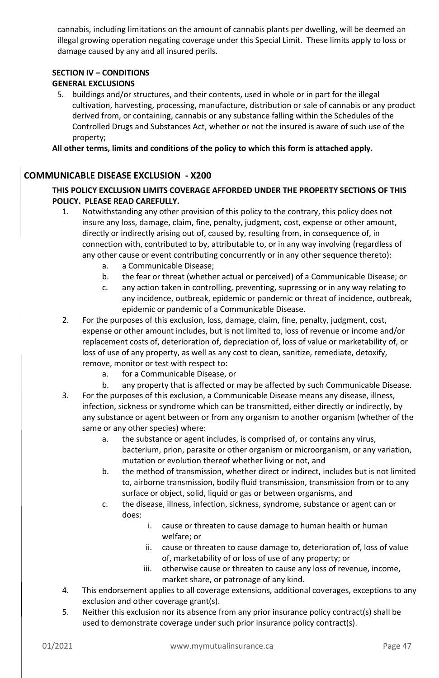cannabis, including limitations on the amount of cannabis plants per dwelling, will be deemed an illegal growing operation negating coverage under this Special Limit. These limits apply to loss or damage caused by any and all insured perils.

#### **SECTION IV – CONDITIONS GENERAL EXCLUSIONS**

5. buildings and/or structures, and their contents, used in whole or in part for the illegal cultivation, harvesting, processing, manufacture, distribution or sale of cannabis or any product derived from, or containing, cannabis or any substance falling within the Schedules of the Controlled Drugs and Substances Act, whether or not the insured is aware of such use of the property;

**All other terms, limits and conditions of the policy to which this form is attached apply.**

# <span id="page-46-0"></span>**COMMUNICABLE DISEASE EXCLUSION - X200**

# **THIS POLICY EXCLUSION LIMITS COVERAGE AFFORDED UNDER THE PROPERTY SECTIONS OF THIS POLICY. PLEASE READ CAREFULLY.**

- 1. Notwithstanding any other provision of this policy to the contrary, this policy does not insure any loss, damage, claim, fine, penalty, judgment, cost, expense or other amount, directly or indirectly arising out of, caused by, resulting from, in consequence of, in connection with, contributed to by, attributable to, or in any way involving (regardless of any other cause or event contributing concurrently or in any other sequence thereto):
	- a. a Communicable Disease;
	- b. the fear or threat (whether actual or perceived) of a Communicable Disease; or
	- c. any action taken in controlling, preventing, supressing or in any way relating to any incidence, outbreak, epidemic or pandemic or threat of incidence, outbreak, epidemic or pandemic of a Communicable Disease.
- 2. For the purposes of this exclusion, loss, damage, claim, fine, penalty, judgment, cost, expense or other amount includes, but is not limited to, loss of revenue or income and/or replacement costs of, deterioration of, depreciation of, loss of value or marketability of, or loss of use of any property, as well as any cost to clean, sanitize, remediate, detoxify, remove, monitor or test with respect to:
	- a. for a Communicable Disease, or
	- b. any property that is affected or may be affected by such Communicable Disease.
- 3. For the purposes of this exclusion, a Communicable Disease means any disease, illness, infection, sickness or syndrome which can be transmitted, either directly or indirectly, by any substance or agent between or from any organism to another organism (whether of the same or any other species) where:
	- a. the substance or agent includes, is comprised of, or contains any virus, bacterium, prion, parasite or other organism or microorganism, or any variation, mutation or evolution thereof whether living or not, and
	- b. the method of transmission, whether direct or indirect, includes but is not limited to, airborne transmission, bodily fluid transmission, transmission from or to any surface or object, solid, liquid or gas or between organisms, and
	- c. the disease, illness, infection, sickness, syndrome, substance or agent can or does:
		- i. cause or threaten to cause damage to human health or human welfare; or
		- ii. cause or threaten to cause damage to, deterioration of, loss of value of, marketability of or loss of use of any property; or
		- iii. otherwise cause or threaten to cause any loss of revenue, income, market share, or patronage of any kind.
- 4. This endorsement applies to all coverage extensions, additional coverages, exceptions to any exclusion and other coverage grant(s).
- 5. Neither this exclusion nor its absence from any prior insurance policy contract(s) shall be used to demonstrate coverage under such prior insurance policy contract(s).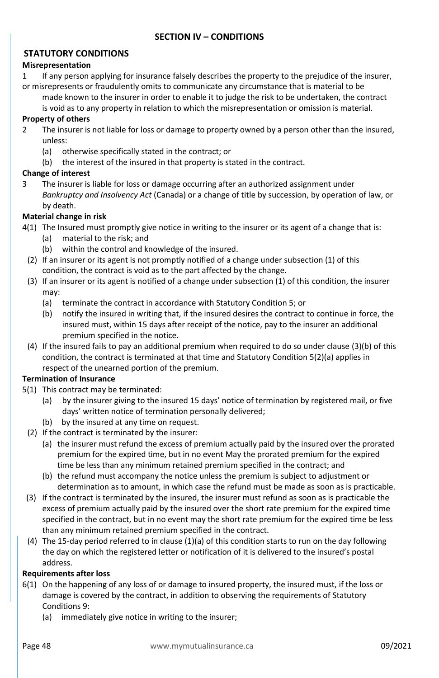# <span id="page-47-1"></span><span id="page-47-0"></span>**STATUTORY CONDITIONS**

#### **Misrepresentation**

1 If any person applying for insurance falsely describes the property to the prejudice of the insurer, or misrepresents or fraudulently omits to communicate any circumstance that is material to be

made known to the insurer in order to enable it to judge the risk to be undertaken, the contract is void as to any property in relation to which the misrepresentation or omission is material.

#### **Property of others**

- 2 The insurer is not liable for loss or damage to property owned by a person other than the insured, unless:
	- (a) otherwise specifically stated in the contract; or
	- (b) the interest of the insured in that property is stated in the contract.

#### **Change of interest**

3 The insurer is liable for loss or damage occurring after an authorized assignment under *Bankruptcy and Insolvency Act* (Canada) or a change of title by succession, by operation of law, or by death.

#### **Material change in risk**

- 4(1) The Insured must promptly give notice in writing to the insurer or its agent of a change that is:
	- (a) material to the risk; and
	- (b) within the control and knowledge of the insured.
	- (2) If an insurer or its agent is not promptly notified of a change under subsection (1) of this condition, the contract is void as to the part affected by the change.
	- (3) If an insurer or its agent is notified of a change under subsection (1) of this condition, the insurer may:
		- (a) terminate the contract in accordance with Statutory Condition 5; or
		- (b) notify the insured in writing that, if the insured desires the contract to continue in force, the insured must, within 15 days after receipt of the notice, pay to the insurer an additional premium specified in the notice.
	- (4) If the insured fails to pay an additional premium when required to do so under clause (3)(b) of this condition, the contract is terminated at that time and Statutory Condition 5(2)(a) applies in respect of the unearned portion of the premium.

# **Termination of Insurance**

- 5(1) This contract may be terminated:
	- (a) by the insurer giving to the insured 15 days' notice of termination by registered mail, or five days' written notice of termination personally delivered;
	- (b) by the insured at any time on request.
	- (2) If the contract is terminated by the insurer:
		- (a) the insurer must refund the excess of premium actually paid by the insured over the prorated premium for the expired time, but in no event May the prorated premium for the expired time be less than any minimum retained premium specified in the contract; and
		- (b) the refund must accompany the notice unless the premium is subject to adjustment or determination as to amount, in which case the refund must be made as soon as is practicable.
	- (3) If the contract is terminated by the insured, the insurer must refund as soon as is practicable the excess of premium actually paid by the insured over the short rate premium for the expired time specified in the contract, but in no event may the short rate premium for the expired time be less than any minimum retained premium specified in the contract.
	- (4) The 15-day period referred to in clause (1)(a) of this condition starts to run on the day following the day on which the registered letter or notification of it is delivered to the insured's postal address.

#### **Requirements after loss**

- 6(1) On the happening of any loss of or damage to insured property, the insured must, if the loss or damage is covered by the contract, in addition to observing the requirements of Statutory Conditions 9:
	- (a) immediately give notice in writing to the insurer;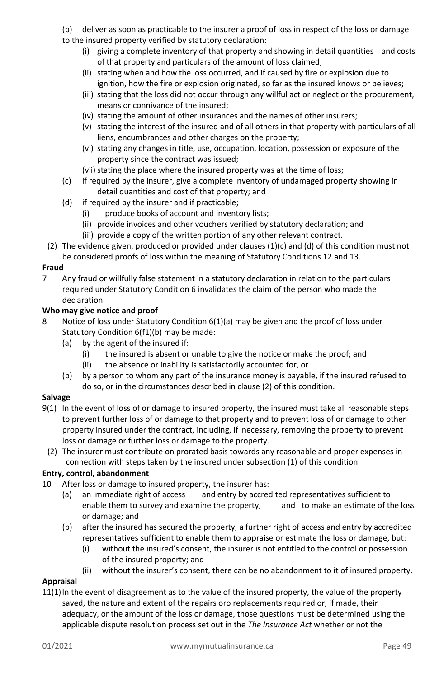(b) deliver as soon as practicable to the insurer a proof of loss in respect of the loss or damage to the insured property verified by statutory declaration:

- (i) giving a complete inventory of that property and showing in detail quantities and costs of that property and particulars of the amount of loss claimed;
- (ii) stating when and how the loss occurred, and if caused by fire or explosion due to ignition, how the fire or explosion originated, so far as the insured knows or believes;
- (iii) stating that the loss did not occur through any willful act or neglect or the procurement, means or connivance of the insured;
- (iv) stating the amount of other insurances and the names of other insurers;
- (v) stating the interest of the insured and of all others in that property with particulars of all liens, encumbrances and other charges on the property;
- (vi) stating any changes in title, use, occupation, location, possession or exposure of the property since the contract was issued;
- (vii) stating the place where the insured property was at the time of loss;
- (c) if required by the insurer, give a complete inventory of undamaged property showing in detail quantities and cost of that property; and
- (d) if required by the insurer and if practicable;
	- (i) produce books of account and inventory lists;
	- (ii) provide invoices and other vouchers verified by statutory declaration; and
	- (iii) provide a copy of the written portion of any other relevant contract.
- (2) The evidence given, produced or provided under clauses (1)(c) and (d) of this condition must not be considered proofs of loss within the meaning of Statutory Conditions 12 and 13.

#### **Fraud**

7 Any fraud or willfully false statement in a statutory declaration in relation to the particulars required under Statutory Condition 6 invalidates the claim of the person who made the declaration.

#### **Who may give notice and proof**

- 8 Notice of loss under Statutory Condition 6(1)(a) may be given and the proof of loss under Statutory Condition 6(f1)(b) may be made:
	- (a) by the agent of the insured if:
		- (i) the insured is absent or unable to give the notice or make the proof; and
		- (ii) the absence or inability is satisfactorily accounted for, or
	- (b) by a person to whom any part of the insurance money is payable, if the insured refused to do so, or in the circumstances described in clause (2) of this condition.

#### **Salvage**

- 9(1) In the event of loss of or damage to insured property, the insured must take all reasonable steps to prevent further loss of or damage to that property and to prevent loss of or damage to other property insured under the contract, including, if necessary, removing the property to prevent loss or damage or further loss or damage to the property.
- (2) The insurer must contribute on prorated basis towards any reasonable and proper expenses in connection with steps taken by the insured under subsection (1) of this condition.

# **Entry, control, abandonment**

- 10 After loss or damage to insured property, the insurer has:
	- (a) an immediate right of access and entry by accredited representatives sufficient to enable them to survey and examine the property, and to make an estimate of the loss or damage; and
	- (b) after the insured has secured the property, a further right of access and entry by accredited representatives sufficient to enable them to appraise or estimate the loss or damage, but:
		- (i) without the insured's consent, the insurer is not entitled to the control or possession of the insured property; and
		- (ii) without the insurer's consent, there can be no abandonment to it of insured property.

# **Appraisal**

11(1) In the event of disagreement as to the value of the insured property, the value of the property saved, the nature and extent of the repairs oro replacements required or, if made, their adequacy, or the amount of the loss or damage, those questions must be determined using the applicable dispute resolution process set out in the *The Insurance Act* whether or not the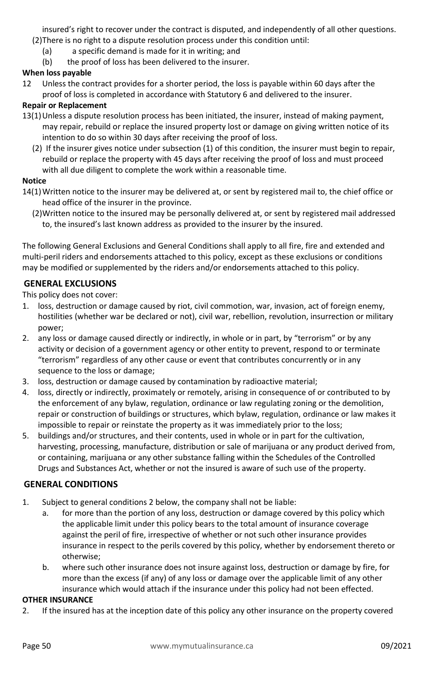insured's right to recover under the contract is disputed, and independently of all other questions.

- (2)There is no right to a dispute resolution process under this condition until:
	- (a) a specific demand is made for it in writing; and
	- (b) the proof of loss has been delivered to the insurer.

# **When loss payable**

12 Unless the contract provides for a shorter period, the loss is payable within 60 days after the proof of loss is completed in accordance with Statutory 6 and delivered to the insurer.

#### **Repair or Replacement**

- 13(1)Unless a dispute resolution process has been initiated, the insurer, instead of making payment, may repair, rebuild or replace the insured property lost or damage on giving written notice of its intention to do so within 30 days after receiving the proof of loss.
	- (2) If the insurer gives notice under subsection (1) of this condition, the insurer must begin to repair, rebuild or replace the property with 45 days after receiving the proof of loss and must proceed with all due diligent to complete the work within a reasonable time.

# **Notice**

- 14(1)Written notice to the insurer may be delivered at, or sent by registered mail to, the chief office or head office of the insurer in the province.
	- (2)Written notice to the insured may be personally delivered at, or sent by registered mail addressed to, the insured's last known address as provided to the insurer by the insured.

The following General Exclusions and General Conditions shall apply to all fire, fire and extended and multi-peril riders and endorsements attached to this policy, except as these exclusions or conditions may be modified or supplemented by the riders and/or endorsements attached to this policy.

# <span id="page-49-0"></span>**GENERAL EXCLUSIONS**

This policy does not cover:

- 1. loss, destruction or damage caused by riot, civil commotion, war, invasion, act of foreign enemy, hostilities (whether war be declared or not), civil war, rebellion, revolution, insurrection or military power;
- 2. any loss or damage caused directly or indirectly, in whole or in part, by "terrorism" or by any activity or decision of a government agency or other entity to prevent, respond to or terminate "terrorism" regardless of any other cause or event that contributes concurrently or in any sequence to the loss or damage;
- 3. loss, destruction or damage caused by contamination by radioactive material;
- 4. loss, directly or indirectly, proximately or remotely, arising in consequence of or contributed to by the enforcement of any bylaw, regulation, ordinance or law regulating zoning or the demolition, repair or construction of buildings or structures, which bylaw, regulation, ordinance or law makes it impossible to repair or reinstate the property as it was immediately prior to the loss;
- 5. buildings and/or structures, and their contents, used in whole or in part for the cultivation, harvesting, processing, manufacture, distribution or sale of marijuana or any product derived from, or containing, marijuana or any other substance falling within the Schedules of the Controlled Drugs and Substances Act, whether or not the insured is aware of such use of the property.

# <span id="page-49-1"></span>**GENERAL CONDITIONS**

- 1. Subject to general conditions 2 below, the company shall not be liable:
	- a. for more than the portion of any loss, destruction or damage covered by this policy which the applicable limit under this policy bears to the total amount of insurance coverage against the peril of fire, irrespective of whether or not such other insurance provides insurance in respect to the perils covered by this policy, whether by endorsement thereto or otherwise;
	- b. where such other insurance does not insure against loss, destruction or damage by fire, for more than the excess (if any) of any loss or damage over the applicable limit of any other insurance which would attach if the insurance under this policy had not been effected.

#### **OTHER INSURANCE**

2. If the insured has at the inception date of this policy any other insurance on the property covered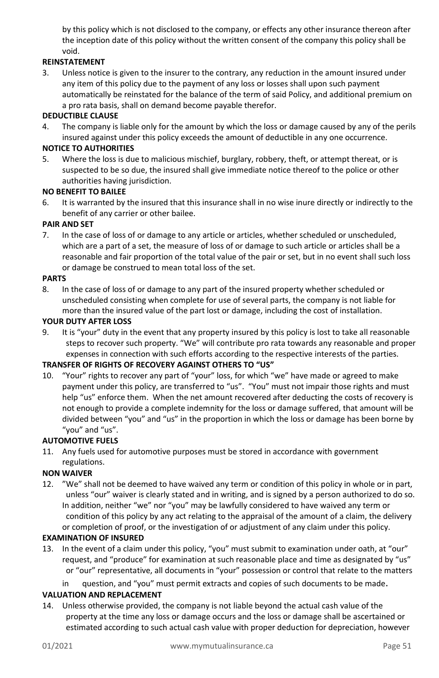by this policy which is not disclosed to the company, or effects any other insurance thereon after the inception date of this policy without the written consent of the company this policy shall be void.

#### **REINSTATEMENT**

3. Unless notice is given to the insurer to the contrary, any reduction in the amount insured under any item of this policy due to the payment of any loss or losses shall upon such payment automatically be reinstated for the balance of the term of said Policy, and additional premium on a pro rata basis, shall on demand become payable therefor.

#### **DEDUCTIBLE CLAUSE**

4. The company is liable only for the amount by which the loss or damage caused by any of the perils insured against under this policy exceeds the amount of deductible in any one occurrence.

#### **NOTICE TO AUTHORITIES**

5. Where the loss is due to malicious mischief, burglary, robbery, theft, or attempt thereat, or is suspected to be so due, the insured shall give immediate notice thereof to the police or other authorities having jurisdiction.

#### **NO BENEFIT TO BAILEE**

6. It is warranted by the insured that this insurance shall in no wise inure directly or indirectly to the benefit of any carrier or other bailee.

#### **PAIR AND SET**

7. In the case of loss of or damage to any article or articles, whether scheduled or unscheduled, which are a part of a set, the measure of loss of or damage to such article or articles shall be a reasonable and fair proportion of the total value of the pair or set, but in no event shall such loss or damage be construed to mean total loss of the set.

#### **PARTS**

8. In the case of loss of or damage to any part of the insured property whether scheduled or unscheduled consisting when complete for use of several parts, the company is not liable for more than the insured value of the part lost or damage, including the cost of installation.

#### **YOUR DUTY AFTER LOSS**

9. It is "your" duty in the event that any property insured by this policy is lost to take all reasonable steps to recover such property. "We" will contribute pro rata towards any reasonable and proper expenses in connection with such efforts according to the respective interests of the parties.

#### **TRANSFER OF RIGHTS OF RECOVERY AGAINST OTHERS TO "US"**

10. "Your" rights to recover any part of "your" loss, for which "we" have made or agreed to make payment under this policy, are transferred to "us". "You" must not impair those rights and must help "us" enforce them. When the net amount recovered after deducting the costs of recovery is not enough to provide a complete indemnity for the loss or damage suffered, that amount will be divided between "you" and "us" in the proportion in which the loss or damage has been borne by "you" and "us".

#### **AUTOMOTIVE FUELS**

11. Any fuels used for automotive purposes must be stored in accordance with government regulations.

#### **NON WAIVER**

12. "We" shall not be deemed to have waived any term or condition of this policy in whole or in part, unless "our" waiver is clearly stated and in writing, and is signed by a person authorized to do so. In addition, neither "we" nor "you" may be lawfully considered to have waived any term or condition of this policy by any act relating to the appraisal of the amount of a claim, the delivery or completion of proof, or the investigation of or adjustment of any claim under this policy.

#### **EXAMINATION OF INSURED**

13. In the event of a claim under this policy, "you" must submit to examination under oath, at "our" request, and "produce" for examination at such reasonable place and time as designated by "us" or "our" representative, all documents in "your" possession or control that relate to the matters

in question, and "you" must permit extracts and copies of such documents to be made.

#### **VALUATION AND REPLACEMENT**

14. Unless otherwise provided, the company is not liable beyond the actual cash value of the property at the time any loss or damage occurs and the loss or damage shall be ascertained or estimated according to such actual cash value with proper deduction for depreciation, however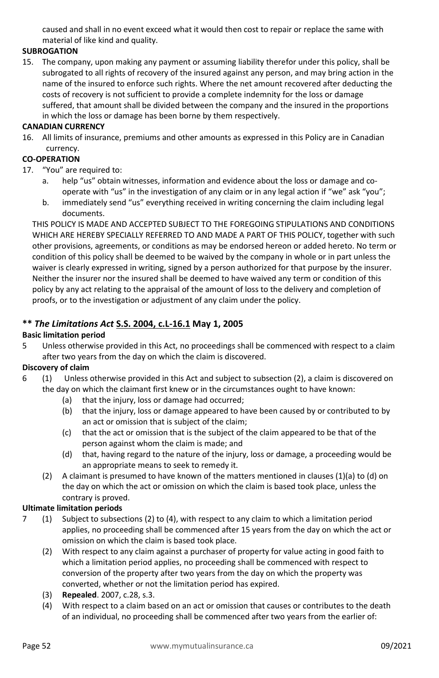caused and shall in no event exceed what it would then cost to repair or replace the same with material of like kind and quality.

#### **SUBROGATION**

15. The company, upon making any payment or assuming liability therefor under this policy, shall be subrogated to all rights of recovery of the insured against any person, and may bring action in the name of the insured to enforce such rights. Where the net amount recovered after deducting the costs of recovery is not sufficient to provide a complete indemnity for the loss or damage suffered, that amount shall be divided between the company and the insured in the proportions in which the loss or damage has been borne by them respectively.

#### **CANADIAN CURRENCY**

16. All limits of insurance, premiums and other amounts as expressed in this Policy are in Canadian currency.

#### **CO-OPERATION**

- 17. "You" are required to:
	- a. help "us" obtain witnesses, information and evidence about the loss or damage and cooperate with "us" in the investigation of any claim or in any legal action if "we" ask "you";
	- b. immediately send "us" everything received in writing concerning the claim including legal documents.

THIS POLICY IS MADE AND ACCEPTED SUBJECT TO THE FOREGOING STIPULATIONS AND CONDITIONS WHICH ARE HEREBY SPECIALLY REFERRED TO AND MADE A PART OF THIS POLICY, together with such other provisions, agreements, or conditions as may be endorsed hereon or added hereto. No term or condition of this policy shall be deemed to be waived by the company in whole or in part unless the waiver is clearly expressed in writing, signed by a person authorized for that purpose by the insurer. Neither the insurer nor the insured shall be deemed to have waived any term or condition of this policy by any act relating to the appraisal of the amount of loss to the delivery and completion of proofs, or to the investigation or adjustment of any claim under the policy.

# **\*\*** *The Limitations Act* **S.S. 2004, c.L-16.1 May 1, 2005**

#### **Basic limitation period**

5 Unless otherwise provided in this Act, no proceedings shall be commenced with respect to a claim after two years from the day on which the claim is discovered.

# **Discovery of claim**

- 6 (1) Unless otherwise provided in this Act and subject to subsection (2), a claim is discovered on the day on which the claimant first knew or in the circumstances ought to have known:
	- (a) that the injury, loss or damage had occurred;
	- (b) that the injury, loss or damage appeared to have been caused by or contributed to by an act or omission that is subject of the claim;
	- (c) that the act or omission that is the subject of the claim appeared to be that of the person against whom the claim is made; and
	- (d) that, having regard to the nature of the injury, loss or damage, a proceeding would be an appropriate means to seek to remedy it.
	- (2) A claimant is presumed to have known of the matters mentioned in clauses  $(1)(a)$  to  $(d)$  on the day on which the act or omission on which the claim is based took place, unless the contrary is proved.

#### **Ultimate limitation periods**

- 7 (1) Subject to subsections (2) to (4), with respect to any claim to which a limitation period applies, no proceeding shall be commenced after 15 years from the day on which the act or omission on which the claim is based took place.
	- (2) With respect to any claim against a purchaser of property for value acting in good faith to which a limitation period applies, no proceeding shall be commenced with respect to conversion of the property after two years from the day on which the property was converted, whether or not the limitation period has expired.
	- (3) **Repealed**. 2007, c.28, s.3.
	- (4) With respect to a claim based on an act or omission that causes or contributes to the death of an individual, no proceeding shall be commenced after two years from the earlier of: